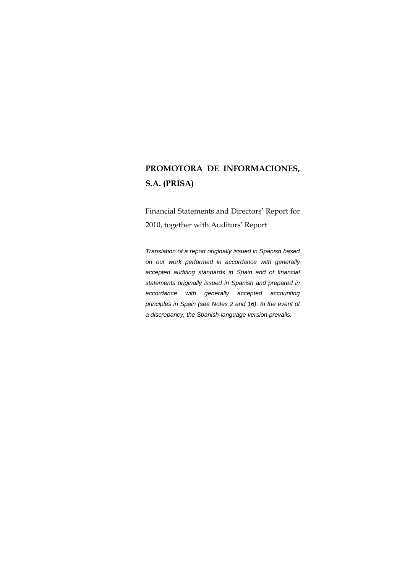# **PROMOTORA DE INFORMACIONES, S.A. (PRISA)**

Financial Statements and Directors' Report for 2010, together with Auditors' Report

*Translation of a report originally issued in Spanish based on our work performed in accordance with generally accepted auditing standards in Spain and of financial statements originally issued in Spanish and prepared in accordance with generally accepted accounting principles in Spain (see Notes 2 and 16). In the event of a discrepancy, the Spanish-language version prevails.*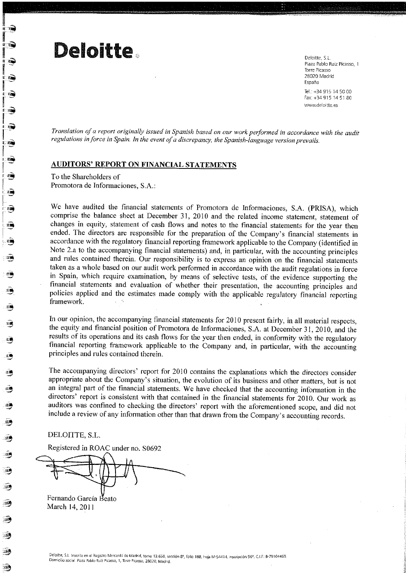# **Deloitte**

Deloitte S.L. Plaza Pablo Ruiz Picasso, 1 Torre Picasso 28020 Madrid España

Tel.: +34 915 14 50 00 Fax: +34 915 14 51 80 www.deloitte.es

Translation of a report originally issued in Spanish based on our work performed in accordance with the audit regulations in force in Spain. In the event of a discrepancy, the Spanish-language version prevails.

### **AUDITORS' REPORT ON FINANCIAL STATEMENTS**

To the Shareholders of Promotora de Informaciones, S.A.:

We have audited the financial statements of Promotora de Informaciones, S.A. (PRISA), which comprise the balance sheet at December 31, 2010 and the related income statement, statement of changes in equity, statement of cash flows and notes to the financial statements for the year then ended. The directors are responsible for the preparation of the Company's financial statements in accordance with the regulatory financial reporting framework applicable to the Company (identified in Note 2.a to the accompanying financial statements) and, in particular, with the accounting principles and rules contained therein. Our responsibility is to express an opinion on the financial statements taken as a whole based on our audit work performed in accordance with the audit regulations in force in Spain, which require examination, by means of selective tests, of the evidence supporting the financial statements and evaluation of whether their presentation, the accounting principles and policies applied and the estimates made comply with the applicable regulatory financial reporting framework.  $\omega \sim 25$ 

In our opinion, the accompanying financial statements for 2010 present fairly, in all material respects, the equity and financial position of Promotora de Informaciones, S.A. at December 31, 2010, and the results of its operations and its cash flows for the year then ended, in conformity with the regulatory financial reporting framework applicable to the Company and, in particular, with the accounting principles and rules contained therein.

The accompanying directors' report for 2010 contains the explanations which the directors consider appropriate about the Company's situation, the evolution of its business and other matters, but is not an integral part of the financial statements. We have checked that the accounting information in the directors' report is consistent with that contained in the financial statements for 2010. Our work as auditors was confined to checking the directors' report with the aforementioned scope, and did not include a review of any information other than that drawn from the Company's accounting records.

DELOITTE, S.L.

Registered in ROAC under no. S0692

Fernando García Beato March 14, 2011

185

185

-1393

16.

18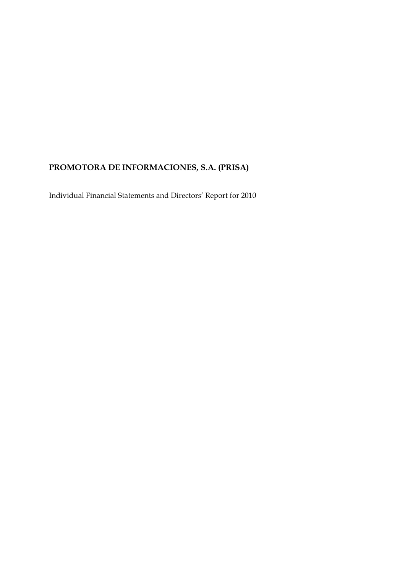# **PROMOTORA DE INFORMACIONES, S.A. (PRISA)**

Individual Financial Statements and Directors' Report for 2010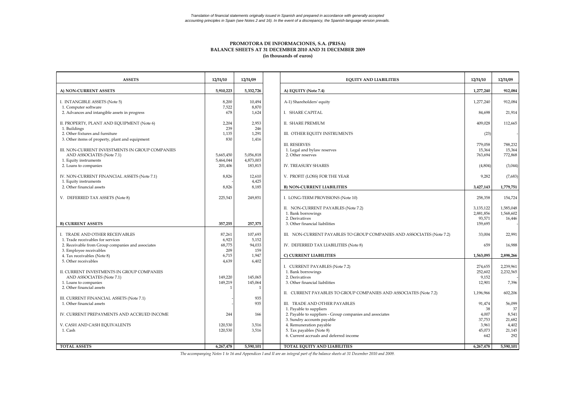#### **PROMOTORA DE INFORMACIONES, S.A. (PRISA) BALANCE SHEETS AT 31 DECEMBER 2010 AND 31 DECEMBER 2009 (in thousands of euros)**

| <b>ASSETS</b>                                                                      | 12/31/10               | 12/31/09                | <b>EQUITY AND LIABILITIES</b>                                                          | 12/31/10               | 12/31/09               |
|------------------------------------------------------------------------------------|------------------------|-------------------------|----------------------------------------------------------------------------------------|------------------------|------------------------|
| A) NON-CURRENT ASSETS                                                              | 5,910,223              | 5.332.726               | A) EQUITY (Note 7.4)                                                                   | 1,277,240              | 912,084                |
| I. INTANGIBLE ASSETS (Note 5)                                                      | 8.200                  | 10,494<br>8,870         | A-1) Shareholders' equity                                                              | 1,277,240              | 912,084                |
| 1. Computer software<br>2. Advances and intangible assets in progress              | 7,522<br>678           | 1,624                   | I. SHARE CAPITAL                                                                       | 84,698                 | 21,914                 |
| II. PROPERTY, PLANT AND EQUIPMENT (Note 6)<br>1. Buildings                         | 2.204<br>239           | 2,953<br>246            | <b>II. SHARE PREMIUM</b>                                                               | 409,028                | 112,665                |
| 2. Other fixtures and furniture<br>3. Other items of property, plant and equipment | 1.135<br>830           | 1,291<br>1,416          | III. OTHER EQUITY INSTRUMENTS                                                          | (23)                   |                        |
| III. NON-CURRENT INVESTMENTS IN GROUP COMPANIES                                    |                        |                         | <b>III. RESERVES</b><br>1. Legal and bylaw reserves                                    | 779,058<br>15,364      | 788,232<br>15,364      |
| AND ASSOCIATES (Note 7.1)<br>1. Equity instruments                                 | 5,665,450<br>5,464,044 | 5,056,818<br>4,873,003  | 2. Other reserves                                                                      | 763,694                | 772,868                |
| 2. Loans to companies                                                              | 201,406                | 183,815                 | <b>IV. TREASURY SHARES</b>                                                             | (4,804)                | (3,044)                |
| IV. NON-CURRENT FINANCIAL ASSETS (Note 7.1)<br>1. Equity instruments               | 8,826                  | 12,610<br>4,425         | V. PROFIT (LOSS) FOR THE YEAR                                                          | 9,282                  | (7,683)                |
| 2. Other financial assets                                                          | 8,826                  | 8,185                   | <b>B) NON-CURRENT LIABILITIES</b>                                                      | 3,427,143              | 1,779,751              |
| V. DEFERRED TAX ASSETS (Note 8)                                                    | 225,543                | 249,851                 | I. LONG-TERM PROVISIONS (Note 10)                                                      | 258,358                | 154,724                |
|                                                                                    |                        |                         | II. NON-CURRENT PAYABLES (Note 7.2)<br>1. Bank borrowings                              | 3,135,122<br>2,881,856 | 1,585,048<br>1,568,602 |
|                                                                                    |                        |                         | 2. Derivatives                                                                         | 93,571                 | 16,446                 |
| <b>B) CURRENT ASSETS</b>                                                           | 357,255                | 257,375                 | 3. Other financial liabilities                                                         | 159,695                |                        |
| I. TRADE AND OTHER RECEIVABLES<br>1. Trade receivables for services                | 87,261<br>6,923        | 107,693<br>5,152        | III. NON-CURRENT PAYABLES TO GROUP COMPANIES AND ASSOCIATES (Note 7.2)                 | 33,004                 | 22,991                 |
| 2. Receivable from Group companies and associates<br>3. Employee receivables       | 68,775<br>209          | 94,033<br>159           | IV. DEFERRED TAX LIABILITIES (Note 8)                                                  | 659                    | 16,988                 |
| 4. Tax receivables (Note 8)                                                        | 6,715                  | 1,947                   | C) CURRENT LIABILITIES                                                                 | 1,563,095              | 2,898,266              |
| 5. Other receivables                                                               | 4,639                  | 6,402                   | I. CURRENT PAYABLES (Note 7.2)                                                         | 274,655                | 2,239,961              |
| II. CURRENT INVESTMENTS IN GROUP COMPANIES<br>AND ASSOCIATES (Note 7.1)            | 149,220                | 145,065                 | 1. Bank borrowings<br>2. Derivatives                                                   | 252,602<br>9,152       | 2,232,565              |
| 1. Loans to companies<br>2. Other financial assets                                 | 149,219                | 145,064<br>$\mathbf{1}$ | 3. Other financial liabilities                                                         | 12,901                 | 7,396                  |
| III. CURRENT FINANCIAL ASSETS (Note 7.1)                                           |                        | 935                     | II. CURRENT PAYABLES TO GROUP COMPANIES AND ASSOCIATES (Note 7.2)                      | 1,196,966              | 602,206                |
| 1. Other financial assets                                                          |                        | 935                     | III. TRADE AND OTHER PAYABLES<br>1. Payable to suppliers                               | 91,474<br>38           | 56,099<br>37           |
| IV. CURRENT PREPAYMENTS AND ACCRUED INCOME                                         | 244                    | 166                     | 2. Payable to suppliers - Group companies and associates<br>3. Sundry accounts payable | 4,007<br>37,753        | 8,541<br>21,682        |
| V. CASH AND CASH EQUIVALENTS                                                       | 120,530                | 3,516                   | 4. Remuneration payable                                                                | 3,961                  | 4,402                  |
| 1. Cash                                                                            | 120,530                | 3,516                   | 5. Tax payables (Note 8)<br>6. Current accruals and deferred income                    | 45,073<br>642          | 21,145<br>292          |
| <b>TOTAL ASSETS</b>                                                                | 6,267,478              | 5.590.101               | TOTAL EQUITY AND LIABILITIES                                                           | 6,267,478              | 5.590.101              |
|                                                                                    |                        |                         |                                                                                        |                        |                        |

*The accompanying Notes 1 to 16 and Appendices I and II are an integral part of the balance sheets at 31 December 2010 and 2009.*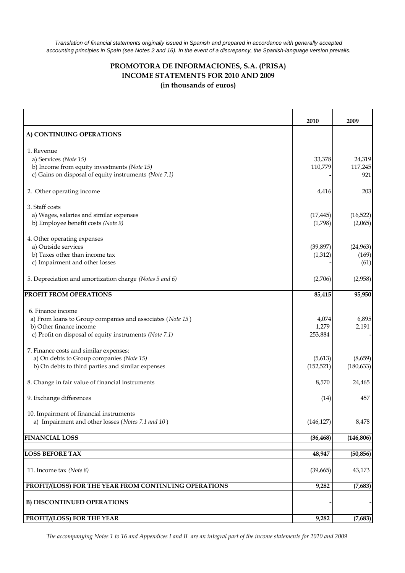*Translation of financial statements originally issued in Spanish and prepared in accordance with generally accepted accounting principles in Spain (see Notes 2 and 16). In the event of a discrepancy, the Spanish-language version prevails.*

#### **PROMOTORA DE INFORMACIONES, S.A. (PRISA) INCOME STATEMENTS FOR 2010 AND 2009 (in thousands of euros)**

|                                                           | 2010       | 2009       |
|-----------------------------------------------------------|------------|------------|
| A) CONTINUING OPERATIONS                                  |            |            |
| 1. Revenue                                                |            |            |
| a) Services (Note 15)                                     | 33,378     | 24,319     |
| b) Income from equity investments (Note 15)               | 110,779    | 117,245    |
| c) Gains on disposal of equity instruments (Note 7.1)     |            | 921        |
| 2. Other operating income                                 | 4,416      | 203        |
| 3. Staff costs                                            |            |            |
| a) Wages, salaries and similar expenses                   | (17, 445)  | (16, 522)  |
| b) Employee benefit costs (Note 9)                        | (1,798)    | (2,065)    |
| 4. Other operating expenses                               |            |            |
| a) Outside services                                       | (39, 897)  | (24, 963)  |
| b) Taxes other than income tax                            | (1, 312)   | (169)      |
| c) Impairment and other losses                            |            | (61)       |
| 5. Depreciation and amortization charge (Notes 5 and 6)   | (2,706)    | (2,958)    |
| PROFIT FROM OPERATIONS                                    | 85,415     | 95,950     |
|                                                           |            |            |
| 6. Finance income                                         |            |            |
| a) From loans to Group companies and associates (Note 15) | 4,074      | 6,895      |
| b) Other finance income                                   | 1,279      | 2,191      |
| c) Profit on disposal of equity instruments (Note 7.1)    | 253,884    |            |
| 7. Finance costs and similar expenses:                    |            |            |
| a) On debts to Group companies (Note 15)                  | (5,613)    | (8,659)    |
| b) On debts to third parties and similar expenses         | (152, 521) | (180, 633) |
| 8. Change in fair value of financial instruments          | 8,570      | 24,465     |
| 9. Exchange differences                                   | (14)       | 457        |
| 10. Impairment of financial instruments                   |            |            |
| a) Impairment and other losses (Notes 7.1 and 10)         | (146, 127) | 8,478      |
|                                                           |            |            |
| <b>FINANCIAL LOSS</b>                                     | (36, 468)  | (146, 806) |
| <b>LOSS BEFORE TAX</b>                                    | 48,947     | (50, 856)  |
|                                                           |            |            |
| 11. Income tax (Note 8)                                   | (39, 665)  | 43,173     |
| PROFIT/(LOSS) FOR THE YEAR FROM CONTINUING OPERATIONS     | 9,282      | (7,683)    |
| <b>B) DISCONTINUED OPERATIONS</b>                         |            |            |
| PROFIT/(LOSS) FOR THE YEAR                                | 9,282      | (7,683)    |

*The accompanying Notes 1 to 16 and Appendices I and II are an integral part of the income statements for 2010 and 2009*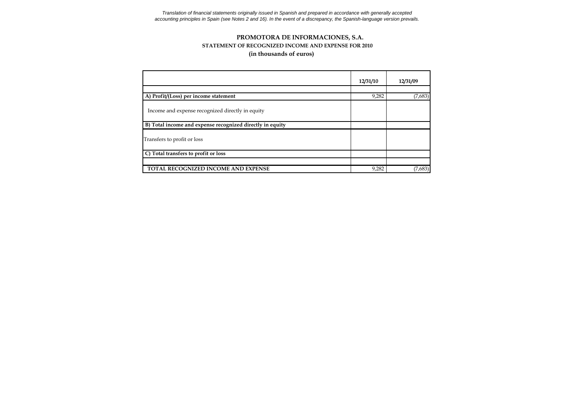*accounting principles in Spain (see Notes 2 and 16). In the event of a discrepancy, the Spanish-language version prevails. Translation of financial statements originally issued in Spanish and prepared in accordance with generally accepted*

#### **(in thousands of euros) PROMOTORA DE INFORMACIONES, S.A. STATEMENT OF RECOGNIZED INCOME AND EXPENSE FOR 2010**

|                                                           | 12/31/10 | 12/31/09 |
|-----------------------------------------------------------|----------|----------|
|                                                           |          |          |
| A) Profit/(Loss) per income statement                     | 9,282    | (7,683)  |
| Income and expense recognized directly in equity          |          |          |
| B) Total income and expense recognized directly in equity |          |          |
| Transfers to profit or loss                               |          |          |
| C) Total transfers to profit or loss                      |          |          |
|                                                           |          |          |
| TOTAL RECOGNIZED INCOME AND EXPENSE                       | 9,282    | (7,683)  |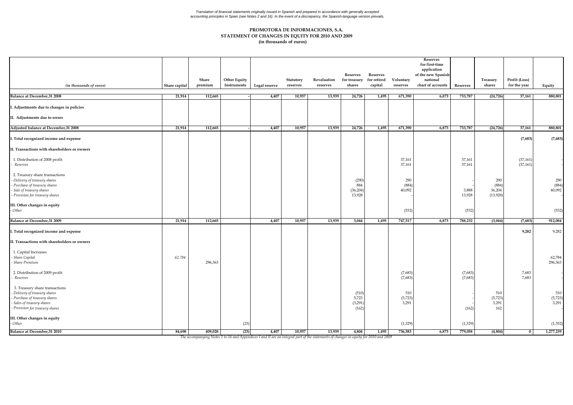#### Translation of financial statements originally issued in Spanish and prepared in accordance with generally accepted<br>accounting principles in Spain (see Notes 2 and 16). In the event of a discrepancy, the Spanish-language v

#### **(in thousands of euros) STATEMENT OF CHANGES IN EQUITY FOR 2010 AND 2009 PROMOTORA DE INFORMACIONES, S.A.**

| (in thousands of euros)                                                                                                                                   | Share capital | Share<br>premium | <b>Other Equity</b><br>Instruments | Legal reserve | Statutory<br>reserves | Revaluation<br>reserves | <b>Reserves</b><br>for treasury<br>shares | Reserves<br>for retired<br>capital | Voluntary<br>reserves   | <b>Reserves</b><br>for first-time<br>application<br>of the new Spanish<br>national<br>chart of accounts | Reserves           | Treasury<br>shares                 | Profit (Loss)<br>for the year | Equity                  |
|-----------------------------------------------------------------------------------------------------------------------------------------------------------|---------------|------------------|------------------------------------|---------------|-----------------------|-------------------------|-------------------------------------------|------------------------------------|-------------------------|---------------------------------------------------------------------------------------------------------|--------------------|------------------------------------|-------------------------------|-------------------------|
| <b>Balance at December, 31 2008</b>                                                                                                                       | 21,914        | 112,665          |                                    | 4,407         | 10,957                | 13,939                  | 24,726                                    | 1,495                              | 671,390                 | 6,873                                                                                                   | 733,787            | (24, 726)                          | 37,161                        | 880,801                 |
| . Adjustments due to changes in policies                                                                                                                  |               |                  |                                    |               |                       |                         |                                           |                                    |                         |                                                                                                         |                    |                                    |                               |                         |
| II. Adjustments due to errors                                                                                                                             |               |                  |                                    |               |                       |                         |                                           |                                    |                         |                                                                                                         |                    |                                    |                               |                         |
| Adjusted balance at December, 31 2008                                                                                                                     | 21,914        | 112,665          |                                    | 4,407         | 10,957                | 13,939                  | 24,726                                    | 1,495                              | 671,390                 | 6,873                                                                                                   | 733,787            | (24, 726)                          | 37,161                        | 880,801                 |
| . Total recognized income and expense                                                                                                                     |               |                  |                                    |               |                       |                         |                                           |                                    |                         |                                                                                                         |                    |                                    | (7,683)                       | (7,683)                 |
| II. Transactions with shareholders or owners                                                                                                              |               |                  |                                    |               |                       |                         |                                           |                                    |                         |                                                                                                         |                    |                                    |                               |                         |
| 1. Distribution of 2008 profit<br>Reserves                                                                                                                |               |                  |                                    |               |                       |                         |                                           |                                    | 37,161<br>37,161        |                                                                                                         | 37,161<br>37,161   |                                    | (37, 161)<br>(37, 161)        |                         |
| 2. Treasury share transactions<br>Delivery of treasury shares<br>Purchase of treasury shares<br>Sale of treasury shares<br>Provision for treasury shares  |               |                  |                                    |               |                       |                         | (290)<br>884<br>(36, 204)<br>13,928       |                                    | 290<br>(884)<br>40,092  |                                                                                                         | 3,888<br>13,928    | 290<br>(884)<br>36,204<br>(13,928) |                               | 290<br>(884)<br>40,092  |
| III. Other changes in equity<br>Other                                                                                                                     |               |                  |                                    |               |                       |                         |                                           |                                    | (532)                   |                                                                                                         | (532)              |                                    |                               | (532)                   |
| <b>Balance at December, 31 2009</b>                                                                                                                       | 21,914        | 112,665          |                                    | 4,407         | 10,957                | 13,939                  | 3,044                                     | 1,495                              | 747,517                 | 6,873                                                                                                   | 788,232            | (3,044)                            | (7,683)                       | 912,084                 |
| . Total recognized income and expense<br>II. Transactions with shareholders or owners                                                                     |               |                  |                                    |               |                       |                         |                                           |                                    |                         |                                                                                                         |                    |                                    | 9,282                         | 9,282                   |
| 1. Capital Increases<br>Share Capital<br>Share Premium                                                                                                    | 62,784        | 296,363          |                                    |               |                       |                         |                                           |                                    |                         |                                                                                                         |                    |                                    |                               | 62,784<br>296,363       |
| 2. Distribution of 2009 profit<br>Reserves                                                                                                                |               |                  |                                    |               |                       |                         |                                           |                                    | (7,683)<br>(7,683)      |                                                                                                         | (7,683)<br>(7,683) |                                    | 7,683<br>7,683                |                         |
| 3. Treasury share transactions<br>Delivery of treasury shares<br>Purchase of treasury shares<br>Sales of treasury shares<br>Provision for treasury shares |               |                  |                                    |               |                       |                         | (510)<br>5,723<br>(3, 291)<br>(162)       |                                    | 510<br>(5,723)<br>3,291 |                                                                                                         | (162)              | 510<br>(5,723)<br>3,291<br>162     |                               | 510<br>(5,723)<br>3,291 |
| II. Other changes in equity<br>Other                                                                                                                      |               |                  | (23)                               |               |                       |                         |                                           |                                    | (1,329)                 |                                                                                                         | (1, 329)           |                                    |                               | (1, 352)                |
| Balance at December, 31 2010                                                                                                                              | 84,698        | 409,028          | (23)                               | 4,407         | 10,957                | 13,939                  | 4,804                                     | 1,495                              | 736,583                 | 6,873                                                                                                   | 779,058            | (4,804)                            | $\bf{0}$                      | 1,277,239               |

The accompanying Notes 1 to 16 and Appendices I and II are an integral part of the statements of changes in equity for 2010 and 2009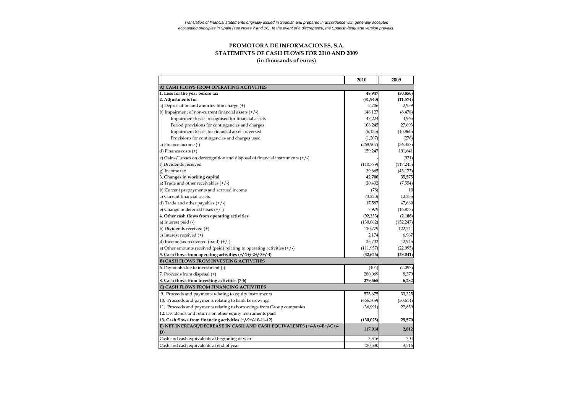#### **PROMOTORA DE INFORMACIONES, S.A. STATEMENTS OF CASH FLOWS FOR 2010 AND 2009 (in thousands of euros)**

|                                                                                | 2010       | 2009       |
|--------------------------------------------------------------------------------|------------|------------|
| A) CASH FLOWS FROM OPERATING ACTIVITIES                                        |            |            |
| 1. Loss for the year before tax                                                | 48,947     | (50, 856)  |
| 2. Adjustments for                                                             | (31, 940)  | (11, 574)  |
| a) Depreciation and amortization charge (+)                                    | 2,706      | 2,959      |
| b) Impairment of non-current financial assets $(+/-)$                          | 146,127    | (8, 478)   |
| Impairment losses recognised for financial assets                              | 47,224     | 4,965      |
| Period provisions for contingencies and charges                                | 106,245    | 27,693     |
| Impairment losses for financial assets reversed                                | (6, 135)   | (40, 860)  |
| Provisions for contingencies and charges used                                  | (1,207)    | (276)      |
| c) Finance income (-)                                                          | (268,907)  | (36, 357)  |
| d) Finance costs $(+)$                                                         | 159,247    | 191,641    |
| e) Gains/Losses on derecognition and disposal of financial instruments $(+/-)$ |            | (921)      |
| f) Dividends received                                                          | (110, 779) | (117, 245) |
| g) Income tax                                                                  | 39,665     | (43, 173)  |
| 3. Changes in working capital                                                  | 42,700     | 35,575     |
| a) Trade and other receivables $(+/-)$                                         | 20,432     | (7, 554)   |
| b) Current prepayments and acrrued income                                      | (78)       | 10         |
| c) Current financial assets                                                    | (3,220)    | 12,335     |
| d) Trade and other payables $(+/-)$                                            | 17,587     | 47,660     |
| e) Change in deferred taxes $(+/-)$                                            | 7,979      | (16, 877)  |
| 4. Other cash flows from operating activities                                  | (92, 333)  | (2, 186)   |
| a) Interest paid (-)                                                           | (130,062)  | (152, 247) |
| b) Dividends received (+)                                                      | 110,779    | 122,244    |
| c) Interest received (+)                                                       | 2,174      | 6,967      |
| d) Income tax recovered (paid) $(+/-)$                                         | 36,733     | 42,945     |
| e) Other amounts received (paid) relating to operating activities $(+/-)$      | (111, 957) | (22,095)   |
| 5. Cash flows from operating activities (+/-1+/-2+/-3+/-4)                     | (32, 626)  | (29, 041)  |
| <b>B) CASH FLOWS FROM INVESTING ACTIVITIES</b>                                 |            |            |
| 6. Payments due to investment (-)                                              | (404)      | (2,097)    |
| 7. Proceeds from disposal (+)                                                  | 280,069    | 8,379      |
| 8. Cash flows from investing activities (7-6)                                  | 279,665    | 6,282      |
| C) CASH FLOWS FROM FINANCING ACTIVITIES                                        |            |            |
| 9. Proceeds and payments relating to equity instruments                        | 573,675    | 33,325     |
| 10. Proceeds and payments relating to bank borrowings                          | (666, 709) | (30,614)   |
| 11. Proceeds and payments relating to borrowings from Group companies          | (36,991)   | 22,859     |
| 12. Dividends and returns on other equity instruments paid                     |            |            |
| 13. Cash flows from financing activities (+/-9+/-10-11-12)                     | (130, 025) | 25,570     |
| E) NET INCREASE/DECREASE IN CASH AND CASH EQUIVALENTS (+/-A+/-B+/-C+/-         |            |            |
| D)                                                                             | 117,014    | 2,812      |
| Cash and cash equivalents at beginning of year                                 | 3,516      | 704        |
| Cash and cash equivalents at end of year                                       | 120,530    | 3,516      |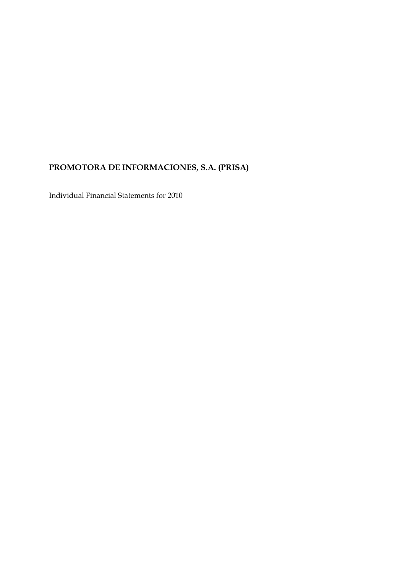# **PROMOTORA DE INFORMACIONES, S.A. (PRISA)**

Individual Financial Statements for 2010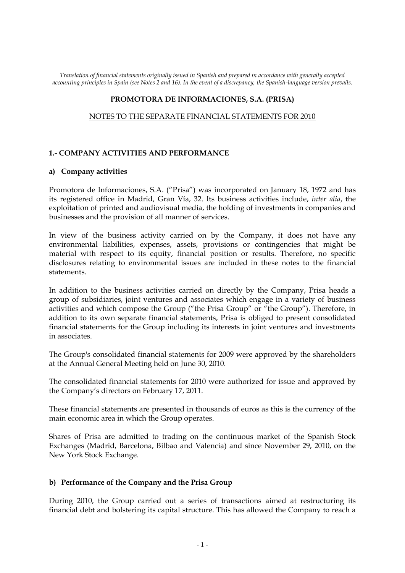*Translation of financial statements originally issued in Spanish and prepared in accordance with generally accepted accounting principles in Spain (see Notes 2 and 16). In the event of a discrepancy, the Spanish-language version prevails.*

#### **PROMOTORA DE INFORMACIONES, S.A. (PRISA)**

#### NOTES TO THE SEPARATE FINANCIAL STATEMENTS FOR 2010

#### **1.- COMPANY ACTIVITIES AND PERFORMANCE**

#### **a) Company activities**

Promotora de Informaciones, S.A. ("Prisa") was incorporated on January 18, 1972 and has its registered office in Madrid, Gran Vía, 32. Its business activities include, *inter alia*, the exploitation of printed and audiovisual media, the holding of investments in companies and businesses and the provision of all manner of services.

In view of the business activity carried on by the Company, it does not have any environmental liabilities, expenses, assets, provisions or contingencies that might be material with respect to its equity, financial position or results. Therefore, no specific disclosures relating to environmental issues are included in these notes to the financial statements.

In addition to the business activities carried on directly by the Company, Prisa heads a group of subsidiaries, joint ventures and associates which engage in a variety of business activities and which compose the Group ("the Prisa Group" or "the Group"). Therefore, in addition to its own separate financial statements, Prisa is obliged to present consolidated financial statements for the Group including its interests in joint ventures and investments in associates.

The Group's consolidated financial statements for 2009 were approved by the shareholders at the Annual General Meeting held on June 30, 2010.

The consolidated financial statements for 2010 were authorized for issue and approved by the Company's directors on February 17, 2011.

These financial statements are presented in thousands of euros as this is the currency of the main economic area in which the Group operates.

Shares of Prisa are admitted to trading on the continuous market of the Spanish Stock Exchanges (Madrid, Barcelona, Bilbao and Valencia) and since November 29, 2010, on the New York Stock Exchange.

#### **b) Performance of the Company and the Prisa Group**

During 2010, the Group carried out a series of transactions aimed at restructuring its financial debt and bolstering its capital structure. This has allowed the Company to reach a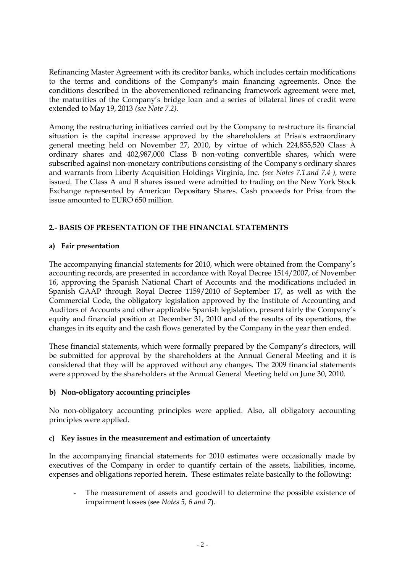Refinancing Master Agreement with its creditor banks, which includes certain modifications to the terms and conditions of the Company's main financing agreements. Once the conditions described in the abovementioned refinancing framework agreement were met, the maturities of the Company's bridge loan and a series of bilateral lines of credit were extended to May 19, 2013 *(see Note 7.2).*

Among the restructuring initiatives carried out by the Company to restructure its financial situation is the capital increase approved by the shareholders at Prisa's extraordinary general meeting held on November 27, 2010, by virtue of which 224,855,520 Class A ordinary shares and 402,987,000 Class B non-voting convertible shares, which were subscribed against non-monetary contributions consisting of the Company's ordinary shares and warrants from Liberty Acquisition Holdings Virginia, Inc. *(see Notes 7.1.and 7.4 ),* were issued*.* The Class A and B shares issued were admitted to trading on the New York Stock Exchange represented by American Depositary Shares. Cash proceeds for Prisa from the issue amounted to EURO 650 million.

### **2.- BASIS OF PRESENTATION OF THE FINANCIAL STATEMENTS**

#### **a) Fair presentation**

The accompanying financial statements for 2010, which were obtained from the Company's accounting records, are presented in accordance with Royal Decree 1514/2007, of November 16, approving the Spanish National Chart of Accounts and the modifications included in Spanish GAAP through Royal Decree 1159/2010 of September 17, as well as with the Commercial Code, the obligatory legislation approved by the Institute of Accounting and Auditors of Accounts and other applicable Spanish legislation, present fairly the Company's equity and financial position at December 31, 2010 and of the results of its operations, the changes in its equity and the cash flows generated by the Company in the year then ended.

These financial statements, which were formally prepared by the Company's directors, will be submitted for approval by the shareholders at the Annual General Meeting and it is considered that they will be approved without any changes. The 2009 financial statements were approved by the shareholders at the Annual General Meeting held on June 30, 2010.

### **b) Non-obligatory accounting principles**

No non-obligatory accounting principles were applied. Also, all obligatory accounting principles were applied.

### **c) Key issues in the measurement and estimation of uncertainty**

In the accompanying financial statements for 2010 estimates were occasionally made by executives of the Company in order to quantify certain of the assets, liabilities, income, expenses and obligations reported herein. These estimates relate basically to the following:

- The measurement of assets and goodwill to determine the possible existence of impairment losses (see *Notes 5, 6 and 7*).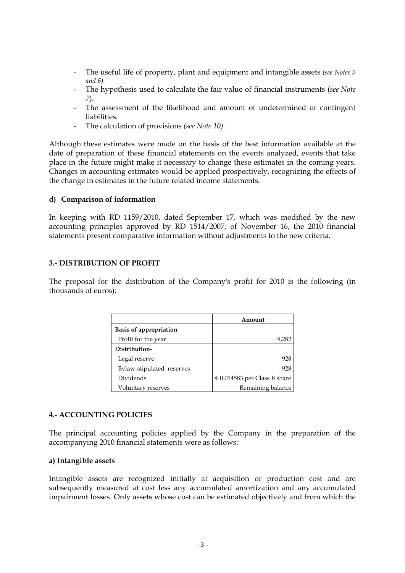- The useful life of property, plant and equipment and intangible assets *(see Notes 5 and 6).*
- The hypothesis used to calculate the fair value of financial instruments (*see Note 7*).
- The assessment of the likelihood and amount of undetermined or contingent liabilities.
- The calculation of provisions *(see Note 10)*.

Although these estimates were made on the basis of the best information available at the date of preparation of these financial statements on the events analyzed, events that take place in the future might make it necessary to change these estimates in the coming years. Changes in accounting estimates would be applied prospectively, recognizing the effects of the change in estimates in the future related income statements.

#### **d) Comparison of information**

In keeping with RD 1159/2010, dated September 17, which was modified by the new accounting principles approved by RD 1514/2007, of November 16, the 2010 financial statements present comparative information without adjustments to the new criteria.

#### **3.- DISTRIBUTION OF PROFIT**

The proposal for the distribution of the Company's profit for 2010 is the following (in thousands of euros):

|                               | Amount                           |
|-------------------------------|----------------------------------|
| <b>Basis of appropriation</b> |                                  |
| Profit for the year           | 9,282                            |
| Distribution-                 |                                  |
| Legal reserve                 | 928                              |
| Bylaw-stipulated reserves     | 928                              |
| Dividends                     | $\in$ 0.014583 per Class B share |
| Voluntary reserves            | Remaining balance                |

#### **4.- ACCOUNTING POLICIES**

The principal accounting policies applied by the Company in the preparation of the accompanying 2010 financial statements were as follows:

#### **a) Intangible assets**

Intangible assets are recognized initially at acquisition or production cost and are subsequently measured at cost less any accumulated amortization and any accumulated impairment losses. Only assets whose cost can be estimated objectively and from which the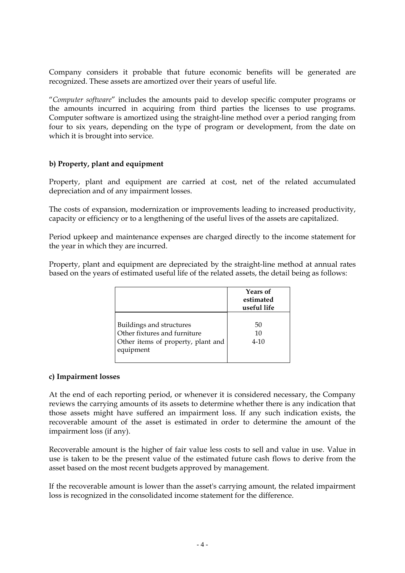Company considers it probable that future economic benefits will be generated are recognized. These assets are amortized over their years of useful life.

"*Computer software*" includes the amounts paid to develop specific computer programs or the amounts incurred in acquiring from third parties the licenses to use programs. Computer software is amortized using the straight-line method over a period ranging from four to six years, depending on the type of program or development, from the date on which it is brought into service.

#### **b) Property, plant and equipment**

Property, plant and equipment are carried at cost, net of the related accumulated depreciation and of any impairment losses.

The costs of expansion, modernization or improvements leading to increased productivity, capacity or efficiency or to a lengthening of the useful lives of the assets are capitalized.

Period upkeep and maintenance expenses are charged directly to the income statement for the year in which they are incurred.

Property, plant and equipment are depreciated by the straight-line method at annual rates based on the years of estimated useful life of the related assets, the detail being as follows:

|                                                                                                             | Years of<br>estimated<br>useful life |
|-------------------------------------------------------------------------------------------------------------|--------------------------------------|
| Buildings and structures<br>Other fixtures and furniture<br>Other items of property, plant and<br>equipment | 50<br>10<br>$4 - 10$                 |

#### **c) Impairment losses**

At the end of each reporting period, or whenever it is considered necessary, the Company reviews the carrying amounts of its assets to determine whether there is any indication that those assets might have suffered an impairment loss. If any such indication exists, the recoverable amount of the asset is estimated in order to determine the amount of the impairment loss (if any).

Recoverable amount is the higher of fair value less costs to sell and value in use. Value in use is taken to be the present value of the estimated future cash flows to derive from the asset based on the most recent budgets approved by management.

If the recoverable amount is lower than the asset's carrying amount, the related impairment loss is recognized in the consolidated income statement for the difference.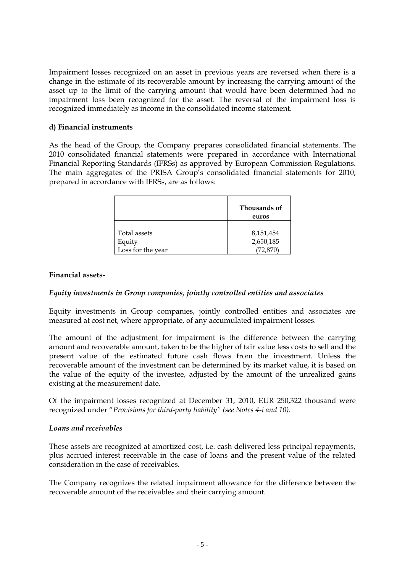Impairment losses recognized on an asset in previous years are reversed when there is a change in the estimate of its recoverable amount by increasing the carrying amount of the asset up to the limit of the carrying amount that would have been determined had no impairment loss been recognized for the asset. The reversal of the impairment loss is recognized immediately as income in the consolidated income statement.

#### **d) Financial instruments**

As the head of the Group, the Company prepares consolidated financial statements. The 2010 consolidated financial statements were prepared in accordance with International Financial Reporting Standards (IFRSs) as approved by European Commission Regulations. The main aggregates of the PRISA Group's consolidated financial statements for 2010, prepared in accordance with IFRSs, are as follows:

|                        | Thousands of<br>euros  |
|------------------------|------------------------|
| Total assets<br>Equity | 8,151,454<br>2,650,185 |
| Loss for the year      | (72, 870)              |

#### **Financial assets-**

#### *Equity investments in Group companies, jointly controlled entities and associates*

Equity investments in Group companies, jointly controlled entities and associates are measured at cost net, where appropriate, of any accumulated impairment losses.

The amount of the adjustment for impairment is the difference between the carrying amount and recoverable amount, taken to be the higher of fair value less costs to sell and the present value of the estimated future cash flows from the investment. Unless the recoverable amount of the investment can be determined by its market value, it is based on the value of the equity of the investee, adjusted by the amount of the unrealized gains existing at the measurement date.

Of the impairment losses recognized at December 31, 2010, EUR 250,322 thousand were recognized under "*Provisions for third-party liability" (see Notes 4-i and 10).*

#### *Loans and receivables*

These assets are recognized at amortized cost, i.e. cash delivered less principal repayments, plus accrued interest receivable in the case of loans and the present value of the related consideration in the case of receivables.

The Company recognizes the related impairment allowance for the difference between the recoverable amount of the receivables and their carrying amount.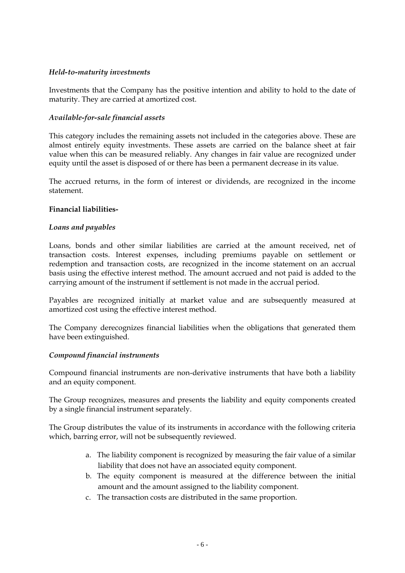#### *Held-to-maturity investments*

Investments that the Company has the positive intention and ability to hold to the date of maturity. They are carried at amortized cost.

#### *Available-for-sale financial assets*

This category includes the remaining assets not included in the categories above. These are almost entirely equity investments. These assets are carried on the balance sheet at fair value when this can be measured reliably. Any changes in fair value are recognized under equity until the asset is disposed of or there has been a permanent decrease in its value.

The accrued returns, in the form of interest or dividends, are recognized in the income statement.

#### **Financial liabilities-**

#### *Loans and payables*

Loans, bonds and other similar liabilities are carried at the amount received, net of transaction costs. Interest expenses, including premiums payable on settlement or redemption and transaction costs, are recognized in the income statement on an accrual basis using the effective interest method. The amount accrued and not paid is added to the carrying amount of the instrument if settlement is not made in the accrual period.

Payables are recognized initially at market value and are subsequently measured at amortized cost using the effective interest method.

The Company derecognizes financial liabilities when the obligations that generated them have been extinguished.

#### *Compound financial instruments*

Compound financial instruments are non-derivative instruments that have both a liability and an equity component.

The Group recognizes, measures and presents the liability and equity components created by a single financial instrument separately.

The Group distributes the value of its instruments in accordance with the following criteria which, barring error, will not be subsequently reviewed.

- a. The liability component is recognized by measuring the fair value of a similar liability that does not have an associated equity component.
- b. The equity component is measured at the difference between the initial amount and the amount assigned to the liability component.
- c. The transaction costs are distributed in the same proportion.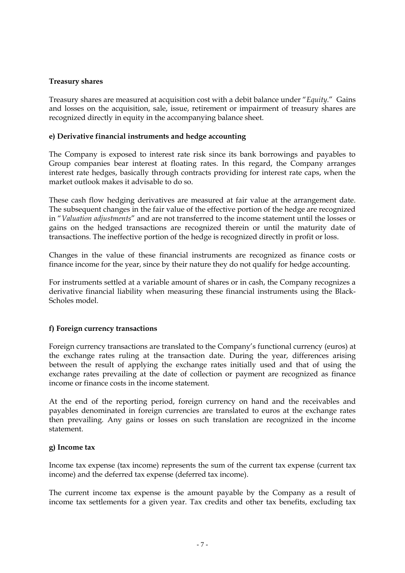#### **Treasury shares**

Treasury shares are measured at acquisition cost with a debit balance under "*Equity*." Gains and losses on the acquisition, sale, issue, retirement or impairment of treasury shares are recognized directly in equity in the accompanying balance sheet.

#### **e) Derivative financial instruments and hedge accounting**

The Company is exposed to interest rate risk since its bank borrowings and payables to Group companies bear interest at floating rates. In this regard, the Company arranges interest rate hedges, basically through contracts providing for interest rate caps, when the market outlook makes it advisable to do so.

These cash flow hedging derivatives are measured at fair value at the arrangement date. The subsequent changes in the fair value of the effective portion of the hedge are recognized in "*Valuation adjustments*" and are not transferred to the income statement until the losses or gains on the hedged transactions are recognized therein or until the maturity date of transactions. The ineffective portion of the hedge is recognized directly in profit or loss.

Changes in the value of these financial instruments are recognized as finance costs or finance income for the year, since by their nature they do not qualify for hedge accounting.

For instruments settled at a variable amount of shares or in cash, the Company recognizes a derivative financial liability when measuring these financial instruments using the Black-Scholes model.

#### **f) Foreign currency transactions**

Foreign currency transactions are translated to the Company's functional currency (euros) at the exchange rates ruling at the transaction date. During the year, differences arising between the result of applying the exchange rates initially used and that of using the exchange rates prevailing at the date of collection or payment are recognized as finance income or finance costs in the income statement.

At the end of the reporting period, foreign currency on hand and the receivables and payables denominated in foreign currencies are translated to euros at the exchange rates then prevailing. Any gains or losses on such translation are recognized in the income statement.

#### **g) Income tax**

Income tax expense (tax income) represents the sum of the current tax expense (current tax income) and the deferred tax expense (deferred tax income).

The current income tax expense is the amount payable by the Company as a result of income tax settlements for a given year. Tax credits and other tax benefits, excluding tax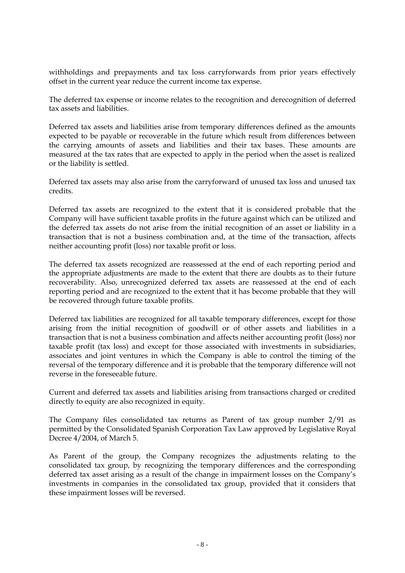withholdings and prepayments and tax loss carryforwards from prior years effectively offset in the current year reduce the current income tax expense.

The deferred tax expense or income relates to the recognition and derecognition of deferred tax assets and liabilities.

Deferred tax assets and liabilities arise from temporary differences defined as the amounts expected to be payable or recoverable in the future which result from differences between the carrying amounts of assets and liabilities and their tax bases. These amounts are measured at the tax rates that are expected to apply in the period when the asset is realized or the liability is settled.

Deferred tax assets may also arise from the carryforward of unused tax loss and unused tax credits.

Deferred tax assets are recognized to the extent that it is considered probable that the Company will have sufficient taxable profits in the future against which can be utilized and the deferred tax assets do not arise from the initial recognition of an asset or liability in a transaction that is not a business combination and, at the time of the transaction, affects neither accounting profit (loss) nor taxable profit or loss.

The deferred tax assets recognized are reassessed at the end of each reporting period and the appropriate adjustments are made to the extent that there are doubts as to their future recoverability. Also, unrecognized deferred tax assets are reassessed at the end of each reporting period and are recognized to the extent that it has become probable that they will be recovered through future taxable profits.

Deferred tax liabilities are recognized for all taxable temporary differences, except for those arising from the initial recognition of goodwill or of other assets and liabilities in a transaction that is not a business combination and affects neither accounting profit (loss) nor taxable profit (tax loss) and except for those associated with investments in subsidiaries, associates and joint ventures in which the Company is able to control the timing of the reversal of the temporary difference and it is probable that the temporary difference will not reverse in the foreseeable future.

Current and deferred tax assets and liabilities arising from transactions charged or credited directly to equity are also recognized in equity.

The Company files consolidated tax returns as Parent of tax group number 2/91 as permitted by the Consolidated Spanish Corporation Tax Law approved by Legislative Royal Decree 4/2004, of March 5.

As Parent of the group, the Company recognizes the adjustments relating to the consolidated tax group, by recognizing the temporary differences and the corresponding deferred tax asset arising as a result of the change in impairment losses on the Company's investments in companies in the consolidated tax group, provided that it considers that these impairment losses will be reversed.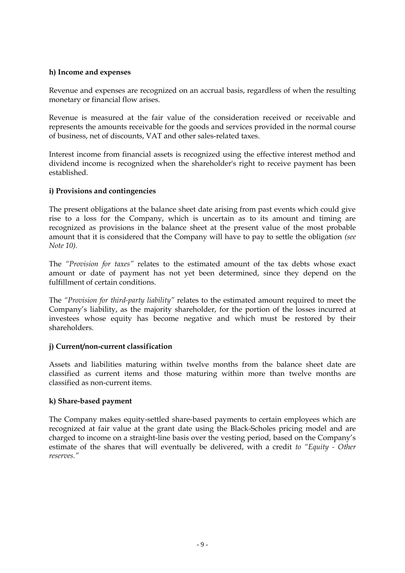#### **h) Income and expenses**

Revenue and expenses are recognized on an accrual basis, regardless of when the resulting monetary or financial flow arises.

Revenue is measured at the fair value of the consideration received or receivable and represents the amounts receivable for the goods and services provided in the normal course of business, net of discounts, VAT and other sales-related taxes.

Interest income from financial assets is recognized using the effective interest method and dividend income is recognized when the shareholder's right to receive payment has been established.

#### **i) Provisions and contingencies**

The present obligations at the balance sheet date arising from past events which could give rise to a loss for the Company, which is uncertain as to its amount and timing are recognized as provisions in the balance sheet at the present value of the most probable amount that it is considered that the Company will have to pay to settle the obligation *(see Note 10).* 

The "Provision for taxes" relates to the estimated amount of the tax debts whose exact amount or date of payment has not yet been determined, since they depend on the fulfillment of certain conditions.

The *"Provision for third-party liability"* relates to the estimated amount required to meet the Company's liability, as the majority shareholder, for the portion of the losses incurred at investees whose equity has become negative and which must be restored by their shareholders.

#### **j) Current/non-current classification**

Assets and liabilities maturing within twelve months from the balance sheet date are classified as current items and those maturing within more than twelve months are classified as non-current items.

#### **k) Share-based payment**

The Company makes equity-settled share-based payments to certain employees which are recognized at fair value at the grant date using the Black-Scholes pricing model and are charged to income on a straight-line basis over the vesting period, based on the Company's estimate of the shares that will eventually be delivered, with a credit *to "Equity - Other reserves."*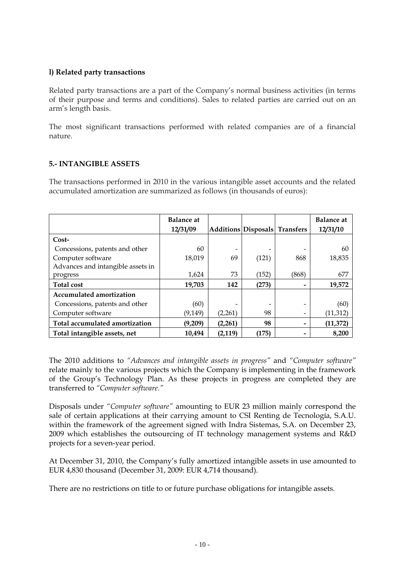#### **l) Related party transactions**

Related party transactions are a part of the Company's normal business activities (in terms of their purpose and terms and conditions). Sales to related parties are carried out on an arm's length basis.

The most significant transactions performed with related companies are of a financial nature.

#### **5.- INTANGIBLE ASSETS**

The transactions performed in 2010 in the various intangible asset accounts and the related accumulated amortization are summarized as follows (in thousands of euros):

|                                   | <b>Balance at</b> |                               |       |       | <b>Balance</b> at |
|-----------------------------------|-------------------|-------------------------------|-------|-------|-------------------|
|                                   | 12/31/09          | Additions Disposals Transfers |       |       | 12/31/10          |
| $Cost-$                           |                   |                               |       |       |                   |
| Concessions, patents and other    | 60                |                               |       |       | 60                |
| Computer software                 | 18,019            | 69                            | (121) | 868   | 18,835            |
| Advances and intangible assets in |                   |                               |       |       |                   |
| progress                          | 1,624             | 73                            | (152) | (868) | 677               |
| <b>Total cost</b>                 | 19,703            | 142                           | (273) |       | 19,572            |
| <b>Accumulated amortization</b>   |                   |                               |       |       |                   |
| Concessions, patents and other    | (60)              |                               |       |       | (60)              |
| Computer software                 | (9, 149)          | (2,261)                       | 98    |       | (11, 312)         |
| Total accumulated amortization    | (9,209)           | (2,261)                       | 98    |       | (11, 372)         |
| Total intangible assets, net      | 10,494            | (2, 119)                      | (175) |       | 8.200             |

The 2010 additions to *"Advances and intangible assets in progress"* and *"Computer software"* relate mainly to the various projects which the Company is implementing in the framework of the Group's Technology Plan. As these projects in progress are completed they are transferred to *"Computer software."*

Disposals under *"Computer software"* amounting to EUR 23 million mainly correspond the sale of certain applications at their carrying amount to CSI Renting de Tecnología, S.A.U. within the framework of the agreement signed with Indra Sistemas, S.A. on December 23, 2009 which establishes the outsourcing of IT technology management systems and R&D projects for a seven-year period.

At December 31, 2010, the Company's fully amortized intangible assets in use amounted to EUR 4,830 thousand (December 31, 2009: EUR 4,714 thousand).

There are no restrictions on title to or future purchase obligations for intangible assets.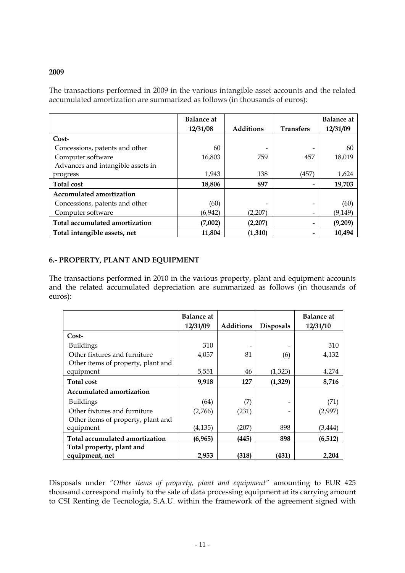#### **2009**

The transactions performed in 2009 in the various intangible asset accounts and the related accumulated amortization are summarized as follows (in thousands of euros):

|                                   | <b>Balance at</b> |                  |                  | <b>Balance</b> at |
|-----------------------------------|-------------------|------------------|------------------|-------------------|
|                                   | 12/31/08          | <b>Additions</b> | <b>Transfers</b> | 12/31/09          |
| $Cost-$                           |                   |                  |                  |                   |
| Concessions, patents and other    | 60                |                  |                  | 60                |
| Computer software                 | 16,803            | 759              | 457              | 18,019            |
| Advances and intangible assets in |                   |                  |                  |                   |
| progress                          | 1,943             | 138              | (457)            | 1,624             |
| <b>Total cost</b>                 | 18,806            | 897              |                  | 19,703            |
| <b>Accumulated amortization</b>   |                   |                  |                  |                   |
| Concessions, patents and other    | (60)              |                  | -                | (60)              |
| Computer software                 | (6,942)           | (2,207)          | -                | (9, 149)          |
| Total accumulated amortization    | (7,002)           | (2,207)          |                  | (9,209)           |
| Total intangible assets, net      | 11,804            | (1,310)          |                  | 10,494            |

#### **6.- PROPERTY, PLANT AND EQUIPMENT**

The transactions performed in 2010 in the various property, plant and equipment accounts and the related accumulated depreciation are summarized as follows (in thousands of euros):

|                                    | Balance at |                  |                  | <b>Balance at</b> |
|------------------------------------|------------|------------------|------------------|-------------------|
|                                    | 12/31/09   | <b>Additions</b> | <b>Disposals</b> | 12/31/10          |
| Cost-                              |            |                  |                  |                   |
| <b>Buildings</b>                   | 310        |                  |                  | 310               |
| Other fixtures and furniture       | 4,057      | 81               | (6)              | 4,132             |
| Other items of property, plant and |            |                  |                  |                   |
| equipment                          | 5,551      | 46               | (1, 323)         | 4,274             |
| <b>Total cost</b>                  | 9,918      | 127              | (1, 329)         | 8,716             |
| <b>Accumulated amortization</b>    |            |                  |                  |                   |
| <b>Buildings</b>                   | (64)       | (7)              | -                | (71)              |
| Other fixtures and furniture       | (2,766)    | (231)            |                  | (2,997)           |
| Other items of property, plant and |            |                  |                  |                   |
| equipment                          | (4, 135)   | (207)            | 898              | (3, 444)          |
| Total accumulated amortization     | (6,965)    | (445)            | 898              | (6, 512)          |
| Total property, plant and          |            |                  |                  |                   |
| equipment, net                     | 2,953      | (318)            | (431)            | 2,204             |

Disposals under *"Other items of property, plant and equipment"* amounting to EUR 425 thousand correspond mainly to the sale of data processing equipment at its carrying amount to CSI Renting de Tecnología, S.A.U. within the framework of the agreement signed with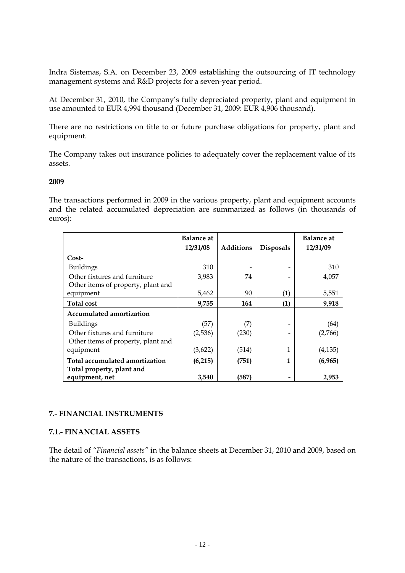Indra Sistemas, S.A. on December 23, 2009 establishing the outsourcing of IT technology management systems and R&D projects for a seven-year period.

At December 31, 2010, the Company's fully depreciated property, plant and equipment in use amounted to EUR 4,994 thousand (December 31, 2009: EUR 4,906 thousand).

There are no restrictions on title to or future purchase obligations for property, plant and equipment.

The Company takes out insurance policies to adequately cover the replacement value of its assets.

#### **2009**

The transactions performed in 2009 in the various property, plant and equipment accounts and the related accumulated depreciation are summarized as follows (in thousands of euros):

|                                    | <b>Balance at</b> |                  |                  | <b>Balance</b> at |
|------------------------------------|-------------------|------------------|------------------|-------------------|
|                                    | 12/31/08          | <b>Additions</b> | <b>Disposals</b> | 12/31/09          |
| Cost-                              |                   |                  |                  |                   |
| <b>Buildings</b>                   | 310               |                  |                  | 310               |
| Other fixtures and furniture       | 3,983             | 74               |                  | 4,057             |
| Other items of property, plant and |                   |                  |                  |                   |
| equipment                          | 5,462             | 90               | (1)              | 5,551             |
| <b>Total cost</b>                  | 9,755             | 164              | (1)              | 9,918             |
| <b>Accumulated amortization</b>    |                   |                  |                  |                   |
| <b>Buildings</b>                   | (57)              | (7)              |                  | (64)              |
| Other fixtures and furniture       | (2,536)           | (230)            |                  | (2,766)           |
| Other items of property, plant and |                   |                  |                  |                   |
| equipment                          | (3,622)           | (514)            | 1                | (4, 135)          |
| Total accumulated amortization     | (6,215)           | (751)            | 1                | (6,965)           |
| Total property, plant and          |                   |                  |                  |                   |
| equipment, net                     | 3,540             | (587)            |                  | 2,953             |

#### **7.- FINANCIAL INSTRUMENTS**

#### **7.1.- FINANCIAL ASSETS**

The detail of *"Financial assets"* in the balance sheets at December 31, 2010 and 2009, based on the nature of the transactions, is as follows: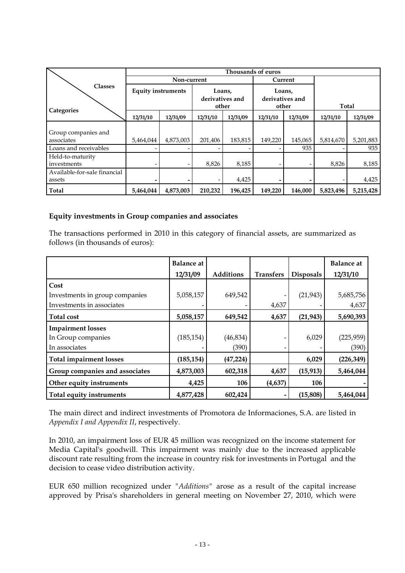|                                        |                           |             |                           | Thousands of euros |                           |          |           |           |
|----------------------------------------|---------------------------|-------------|---------------------------|--------------------|---------------------------|----------|-----------|-----------|
|                                        |                           | Non-current |                           |                    |                           | Current  |           |           |
| <b>Classes</b>                         | <b>Equity instruments</b> |             | Loans,<br>derivatives and |                    | Loans,<br>derivatives and |          |           |           |
| Categories                             |                           |             | other                     |                    | other                     |          | Total     |           |
|                                        | 12/31/10                  | 12/31/09    | 12/31/10                  | 12/31/09           | 12/31/10                  | 12/31/09 | 12/31/10  | 12/31/09  |
| Group companies and<br>associates      | 5,464,044                 | 4,873,003   | 201,406                   | 183,815            | 149,220                   | 145,065  | 5,814,670 | 5,201,883 |
| Loans and receivables                  |                           |             |                           |                    |                           | 935      |           | 935       |
| Held-to-maturity<br>investments        |                           |             | 8,826                     | 8,185              |                           |          | 8,826     | 8,185     |
| Available-for-sale financial<br>assets |                           |             |                           | 4,425              |                           |          |           | 4,425     |
| Total                                  | 5,464,044                 | 4,873,003   | 210,232                   | 196,425            | 149,220                   | 146,000  | 5,823,496 | 5,215,428 |

#### **Equity investments in Group companies and associates**

The transactions performed in 2010 in this category of financial assets, are summarized as follows (in thousands of euros):

|                                | <b>Balance</b> at |                  |                  |                  | <b>Balance</b> at |
|--------------------------------|-------------------|------------------|------------------|------------------|-------------------|
|                                | 12/31/09          | <b>Additions</b> | <b>Transfers</b> | <b>Disposals</b> | 12/31/10          |
| Cost                           |                   |                  |                  |                  |                   |
| Investments in group companies | 5,058,157         | 649,542          |                  | (21, 943)        | 5,685,756         |
| Investments in associates      |                   |                  | 4,637            |                  | 4,637             |
| <b>Total cost</b>              | 5,058,157         | 649,542          | 4,637            | (21, 943)        | 5,690,393         |
| <b>Impairment losses</b>       |                   |                  |                  |                  |                   |
| In Group companies             | (185, 154)        | (46, 834)        |                  | 6,029            | (225, 959)        |
| In associates                  |                   | (390)            |                  |                  | (390)             |
| <b>Total impairment losses</b> | (185, 154)        | (47, 224)        |                  | 6,029            | (226, 349)        |
| Group companies and associates | 4,873,003         | 602,318          | 4,637            | (15, 913)        | 5,464,044         |
| Other equity instruments       | 4,425             | 106              | (4,637)          | 106              |                   |
| Total equity instruments       | 4,877,428         | 602,424          |                  | (15,808)         | 5,464,044         |

The main direct and indirect investments of Promotora de Informaciones, S.A. are listed in *Appendix I and Appendix II*, respectively.

In 2010, an impairment loss of EUR 45 million was recognized on the income statement for Media Capital's goodwill. This impairment was mainly due to the increased applicable discount rate resulting from the increase in country risk for investments in Portugal and the decision to cease video distribution activity.

EUR 650 million recognized under *"Additions"* arose as a result of the capital increase approved by Prisa's shareholders in general meeting on November 27, 2010, which were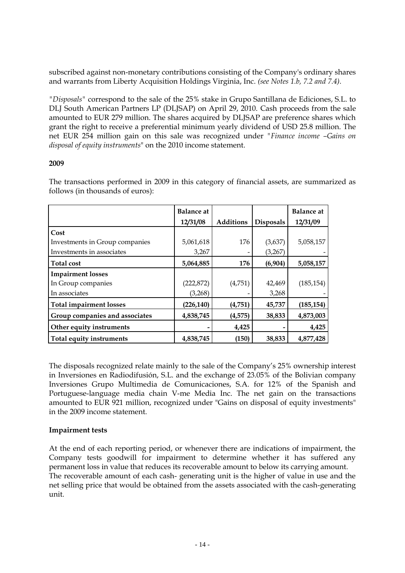subscribed against non-monetary contributions consisting of the Company's ordinary shares and warrants from Liberty Acquisition Holdings Virginia, Inc. *(see Notes 1.b, 7.2 and 7.4).* 

*"Disposals"* correspond to the sale of the 25% stake in Grupo Santillana de Ediciones, S.L. to DLJ South American Partners LP (DLJSAP) on April 29, 2010. Cash proceeds from the sale amounted to EUR 279 million. The shares acquired by DLJSAP are preference shares which grant the right to receive a preferential minimum yearly dividend of USD 25.8 million. The net EUR 254 million gain on this sale was recognized under *"Finance income –Gains on disposal of equity instruments*" on the 2010 income statement.

#### **2009**

|                                | <b>Balance at</b> |                  |                  | <b>Balance</b> at |
|--------------------------------|-------------------|------------------|------------------|-------------------|
|                                | 12/31/08          | <b>Additions</b> | <b>Disposals</b> | 12/31/09          |
| Cost                           |                   |                  |                  |                   |
| Investments in Group companies | 5,061,618         | 176              | (3,637)          | 5,058,157         |
| Investments in associates      | 3,267             |                  | (3,267)          |                   |
| <b>Total cost</b>              | 5,064,885         | 176              | (6,904)          | 5,058,157         |
| <b>Impairment losses</b>       |                   |                  |                  |                   |
| In Group companies             | (222, 872)        | (4,751)          | 42,469           | (185, 154)        |
| In associates                  | (3,268)           |                  | 3,268            |                   |
| <b>Total impairment losses</b> | (226,140)         | (4,751)          | 45,737           | (185, 154)        |
| Group companies and associates | 4,838,745         | (4, 575)         | 38,833           | 4,873,003         |
| Other equity instruments       |                   | 4,425            |                  | 4,425             |
| Total equity instruments       | 4,838,745         | (150)            | 38,833           | 4,877,428         |

The transactions performed in 2009 in this category of financial assets, are summarized as follows (in thousands of euros):

The disposals recognized relate mainly to the sale of the Company's 25% ownership interest in Inversiones en Radiodifusión, S.L. and the exchange of 23.05% of the Bolivian company Inversiones Grupo Multimedia de Comunicaciones, S.A. for 12% of the Spanish and Portuguese-language media chain V-me Media Inc. The net gain on the transactions amounted to EUR 921 million, recognized under "Gains on disposal of equity investments" in the 2009 income statement.

### **Impairment tests**

At the end of each reporting period, or whenever there are indications of impairment, the Company tests goodwill for impairment to determine whether it has suffered any permanent loss in value that reduces its recoverable amount to below its carrying amount. The recoverable amount of each cash- generating unit is the higher of value in use and the net selling price that would be obtained from the assets associated with the cash-generating unit.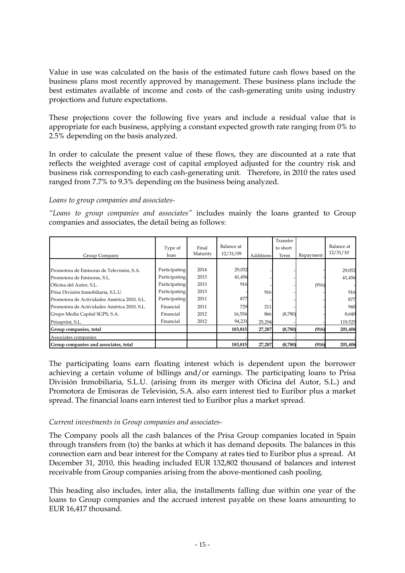Value in use was calculated on the basis of the estimated future cash flows based on the business plans most recently approved by management. These business plans include the best estimates available of income and costs of the cash-generating units using industry projections and future expectations.

These projections cover the following five years and include a residual value that is appropriate for each business, applying a constant expected growth rate ranging from 0% to 2.5% depending on the basis analyzed.

In order to calculate the present value of these flows, they are discounted at a rate that reflects the weighted average cost of capital employed adjusted for the country risk and business risk corresponding to each cash-generating unit. Therefore, in 2010 the rates used ranged from 7.7% to 9.3% depending on the business being analyzed.

*Loans to group companies and associates-*

*"Loans to group companies and associates"* includes mainly the loans granted to Group companies and associates, the detail being as follows:

| Group Company                               | Type of<br>loan | Final<br>Maturity | Balance at<br>12/31/09 | <b>Additions</b> | Transfer<br>to short<br>Term | Repayment | Balance at<br>12/31/10 |
|---------------------------------------------|-----------------|-------------------|------------------------|------------------|------------------------------|-----------|------------------------|
|                                             |                 |                   |                        |                  |                              |           |                        |
| Promotora de Emisoras de Televisión, S.A.   | Participating   | 2014              | 29,052                 |                  |                              |           | 29,052                 |
| Promotora de Emisoras, S.L.                 | Participating   | 2013              | 41,456                 |                  |                              |           | 41,456                 |
| Oficina del Autor, S.L.                     | Participating   | 2013              | 916                    |                  |                              | (916)     |                        |
| Prisa División Inmobiliaria, S.L.U.         | Participating   | 2013              |                        | 916              |                              |           | 916                    |
| Promotora de Actividades América 2010, S.L. | Participating   | 2011              | 877                    |                  |                              |           | 877                    |
| Promotora de Actividades América 2010, S.L. | Financial       | 2011              | 729                    | 211              |                              |           | 940                    |
| Grupo Media Capital SGPS, S.A.              | Financial       | 2012              | 16,554                 | 866              | (8,780)                      |           | 8,640                  |
| Prisaprint, S.L.                            | Financial       | 2012              | 94,231                 | 25,294           |                              |           | 119,525                |
| Group companies, total                      |                 |                   | 183,815                | 27,287           | (8,780)                      | (916)     | 201,406                |
| Associates companies                        |                 |                   |                        |                  |                              |           |                        |
| Group companies and associates, total       |                 |                   | 183,815                | 27,287           | (8,780)                      | (916)     | 201,406                |

The participating loans earn floating interest which is dependent upon the borrower achieving a certain volume of billings and/or earnings. The participating loans to Prisa División Inmobiliaria, S.L.U. (arising from its merger with Oficina del Autor, S.L.) and Promotora de Emisoras de Televisión, S.A. also earn interest tied to Euribor plus a market spread. The financial loans earn interest tied to Euribor plus a market spread.

#### *Current investments in Group companies and associates-*

The Company pools all the cash balances of the Prisa Group companies located in Spain through transfers from (to) the banks at which it has demand deposits. The balances in this connection earn and bear interest for the Company at rates tied to Euribor plus a spread. At December 31, 2010, this heading included EUR 132,802 thousand of balances and interest receivable from Group companies arising from the above-mentioned cash pooling.

This heading also includes, inter alia, the installments falling due within one year of the loans to Group companies and the accrued interest payable on these loans amounting to EUR 16,417 thousand.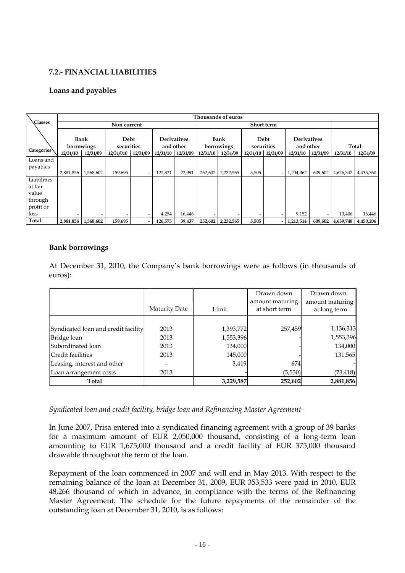### **7.2.- FINANCIAL LIABILITIES**

#### **Loans and payables**

|                | Thousands of euros |            |             |          |          |                    |          |                   |          |                          |                    |          |                   |           |
|----------------|--------------------|------------|-------------|----------|----------|--------------------|----------|-------------------|----------|--------------------------|--------------------|----------|-------------------|-----------|
| <b>Classes</b> |                    |            | Non current |          |          |                    |          |                   |          | <b>Short term</b>        |                    |          |                   |           |
|                |                    |            |             |          |          |                    |          |                   |          |                          |                    |          |                   |           |
|                |                    | Bank       | Debt        |          |          | <b>Derivatives</b> |          | <b>Bank</b>       |          | Debt                     | <b>Derivatives</b> |          |                   |           |
|                |                    | borrowings | securities  |          |          | and other          |          | borrowings        |          | securities               | and other          |          |                   | Total     |
| Categories     | 12/31/10           | 12/31/09   | 12/31/010   | 12/31/09 | 12/31/10 | 12/31/09           | 12/31/10 | 12/31/09          | 12/31/10 | 12/31/09                 | 12/31/10           | 12/31/09 | 12/31/10          | 12/31/09  |
| Loans and      |                    |            |             |          |          |                    |          |                   |          |                          |                    |          |                   |           |
| payables       |                    |            |             |          |          |                    |          |                   |          |                          |                    |          |                   |           |
|                | 2,881,856          | 1,568,602  | 159,695     |          | 122,321  | 22,991             | 252,602  | 2,232,565         | 5,505    | ۰.                       | 1,204,362          | 609,602  | 4,626,342         | 4,433,760 |
| Liabilities    |                    |            |             |          |          |                    |          |                   |          |                          |                    |          |                   |           |
| at fair        |                    |            |             |          |          |                    |          |                   |          |                          |                    |          |                   |           |
| value          |                    |            |             |          |          |                    |          |                   |          |                          |                    |          |                   |           |
| through        |                    |            |             |          |          |                    |          |                   |          |                          |                    |          |                   |           |
| profit or      |                    |            |             |          |          |                    |          |                   |          |                          |                    |          |                   |           |
| loss           |                    |            |             |          | 4,254    | 16,446             |          |                   |          | -                        | 9,152              |          | 13,406            | 16,446    |
| Total          | 2,881,856          | 1,568,602  | 159,695     |          | 126,575  | 39,437             |          | 252,602 2,232,565 | 5,505    | $\overline{\phantom{0}}$ | 1,213,514          |          | 609,602 4,639,748 | 4,450,206 |

#### **Bank borrowings**

At December 31, 2010, the Company's bank borrowings were as follows (in thousands of euros):

|                                     | <b>Maturity Date</b> | Limit     | Drawn down<br>amount maturing<br>at short term | Drawn down<br>amount maturing<br>at long term |
|-------------------------------------|----------------------|-----------|------------------------------------------------|-----------------------------------------------|
|                                     |                      |           |                                                |                                               |
| Syndicated loan and credit facility | 2013                 | 1,393,772 | 257,459                                        | 1,136,313                                     |
| Bridge loan                         | 2013                 | 1,553,396 |                                                | 1,553,396                                     |
| Subordinated loan                   | 2013                 | 134,000   |                                                | 134,000                                       |
| Credit facilities                   | 2013                 | 145,000   |                                                | 131,565                                       |
| Leasing, interest and other         | -                    | 3,419     | 674                                            |                                               |
| Loan arrangement costs              | 2013                 |           | (5,530)                                        | (73, 418)                                     |
| Total                               |                      | 3,229,587 | 252,602                                        | 2,881,856                                     |

*Syndicated loan and credit facility, bridge loan and Refinancing Master Agreement-*

In June 2007, Prisa entered into a syndicated financing agreement with a group of 39 banks for a maximum amount of EUR 2,050,000 thousand, consisting of a long-term loan amounting to EUR 1,675,000 thousand and a credit facility of EUR 375,000 thousand drawable throughout the term of the loan.

Repayment of the loan commenced in 2007 and will end in May 2013. With respect to the remaining balance of the loan at December 31, 2009, EUR 353,533 were paid in 2010, EUR 48,266 thousand of which in advance, in compliance with the terms of the Refinancing Master Agreement. The schedule for the future repayments of the remainder of the outstanding loan at December 31, 2010, is as follows: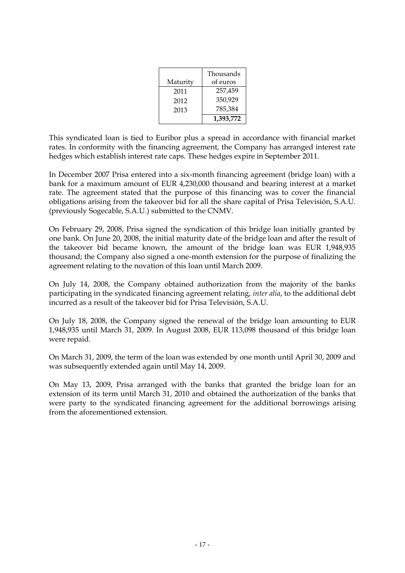|          | Thousands |
|----------|-----------|
| Maturity | of euros  |
| 2011     | 257,459   |
| 2012     | 350,929   |
| 2013     | 785,384   |
|          | 1,393,772 |

This syndicated loan is tied to Euribor plus a spread in accordance with financial market rates. In conformity with the financing agreement, the Company has arranged interest rate hedges which establish interest rate caps. These hedges expire in September 2011.

In December 2007 Prisa entered into a six-month financing agreement (bridge loan) with a bank for a maximum amount of EUR 4,230,000 thousand and bearing interest at a market rate. The agreement stated that the purpose of this financing was to cover the financial obligations arising from the takeover bid for all the share capital of Prisa Televisión, S.A.U. (previously Sogecable, S.A.U.) submitted to the CNMV.

On February 29, 2008, Prisa signed the syndication of this bridge loan initially granted by one bank. On June 20, 2008, the initial maturity date of the bridge loan and after the result of the takeover bid became known, the amount of the bridge loan was EUR 1,948,935 thousand; the Company also signed a one-month extension for the purpose of finalizing the agreement relating to the novation of this loan until March 2009.

On July 14, 2008, the Company obtained authorization from the majority of the banks participating in the syndicated financing agreement relating, *inter alia*, to the additional debt incurred as a result of the takeover bid for Prisa Televisión, S.A.U.

On July 18, 2008, the Company signed the renewal of the bridge loan amounting to EUR 1,948,935 until March 31, 2009. In August 2008, EUR 113,098 thousand of this bridge loan were repaid.

On March 31, 2009, the term of the loan was extended by one month until April 30, 2009 and was subsequently extended again until May 14, 2009.

On May 13, 2009, Prisa arranged with the banks that granted the bridge loan for an extension of its term until March 31, 2010 and obtained the authorization of the banks that were party to the syndicated financing agreement for the additional borrowings arising from the aforementioned extension.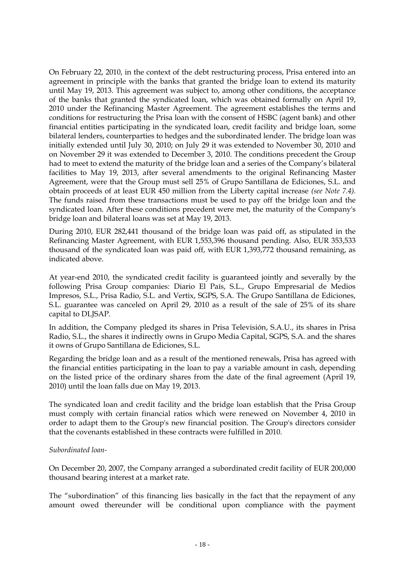On February 22, 2010, in the context of the debt restructuring process, Prisa entered into an agreement in principle with the banks that granted the bridge loan to extend its maturity until May 19, 2013. This agreement was subject to, among other conditions, the acceptance of the banks that granted the syndicated loan, which was obtained formally on April 19, 2010 under the Refinancing Master Agreement. The agreement establishes the terms and conditions for restructuring the Prisa loan with the consent of HSBC (agent bank) and other financial entities participating in the syndicated loan, credit facility and bridge loan, some bilateral lenders, counterparties to hedges and the subordinated lender. The bridge loan was initially extended until July 30, 2010; on July 29 it was extended to November 30, 2010 and on November 29 it was extended to December 3, 2010. The conditions precedent the Group had to meet to extend the maturity of the bridge loan and a series of the Company's bilateral facilities to May 19, 2013, after several amendments to the original Refinancing Master Agreement, were that the Group must sell 25% of Grupo Santillana de Ediciones, S.L. and obtain proceeds of at least EUR 450 million from the Liberty capital increase *(see Note 7.4).* The funds raised from these transactions must be used to pay off the bridge loan and the syndicated loan. After these conditions precedent were met, the maturity of the Company's bridge loan and bilateral loans was set at May 19, 2013.

During 2010, EUR 282,441 thousand of the bridge loan was paid off, as stipulated in the Refinancing Master Agreement, with EUR 1,553,396 thousand pending. Also, EUR 353,533 thousand of the syndicated loan was paid off, with EUR 1,393,772 thousand remaining, as indicated above.

At year-end 2010, the syndicated credit facility is guaranteed jointly and severally by the following Prisa Group companies: Diario El País, S.L., Grupo Empresarial de Medios Impresos, S.L., Prisa Radio, S.L. and Vertix, SGPS, S.A. The Grupo Santillana de Ediciones, S.L. guarantee was canceled on April 29, 2010 as a result of the sale of 25% of its share capital to DLJSAP.

In addition, the Company pledged its shares in Prisa Televisión, S.A.U., its shares in Prisa Radio, S.L., the shares it indirectly owns in Grupo Media Capital, SGPS, S.A. and the shares it owns of Grupo Santillana de Ediciones, S.L.

Regarding the bridge loan and as a result of the mentioned renewals, Prisa has agreed with the financial entities participating in the loan to pay a variable amount in cash, depending on the listed price of the ordinary shares from the date of the final agreement (April 19, 2010) until the loan falls due on May 19, 2013.

The syndicated loan and credit facility and the bridge loan establish that the Prisa Group must comply with certain financial ratios which were renewed on November 4, 2010 in order to adapt them to the Group's new financial position. The Group's directors consider that the covenants established in these contracts were fulfilled in 2010.

#### *Subordinated loan-*

On December 20, 2007, the Company arranged a subordinated credit facility of EUR 200,000 thousand bearing interest at a market rate.

The "subordination" of this financing lies basically in the fact that the repayment of any amount owed thereunder will be conditional upon compliance with the payment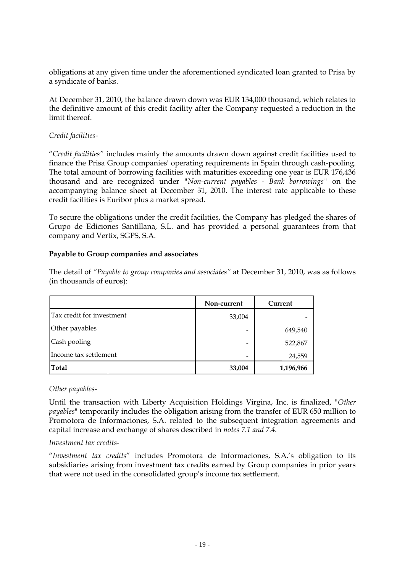obligations at any given time under the aforementioned syndicated loan granted to Prisa by a syndicate of banks.

At December 31, 2010, the balance drawn down was EUR 134,000 thousand, which relates to the definitive amount of this credit facility after the Company requested a reduction in the limit thereof.

#### *Credit facilities-*

"*Credit facilities"* includes mainly the amounts drawn down against credit facilities used to finance the Prisa Group companies' operating requirements in Spain through cash-pooling. The total amount of borrowing facilities with maturities exceeding one year is EUR 176,436 thousand and are recognized under *"Non-current payables - Bank borrowings"* on the accompanying balance sheet at December 31, 2010. The interest rate applicable to these credit facilities is Euribor plus a market spread.

To secure the obligations under the credit facilities, the Company has pledged the shares of Grupo de Ediciones Santillana, S.L. and has provided a personal guarantees from that company and Vertix, SGPS, S.A.

#### **Payable to Group companies and associates**

The detail of *"Payable to group companies and associates"* at December 31, 2010, was as follows (in thousands of euros):

|                           | Non-current     | Current   |
|---------------------------|-----------------|-----------|
| Tax credit for investment | 33,004          |           |
| Other payables            |                 | 649,540   |
| Cash pooling              |                 | 522,867   |
| Income tax settlement     | $\qquad \qquad$ | 24,559    |
| <b>Total</b>              | 33,004          | 1,196,966 |

#### *Other payables-*

Until the transaction with Liberty Acquisition Holdings Virgina, Inc. is finalized, "*Other payables*" temporarily includes the obligation arising from the transfer of EUR 650 million to Promotora de Informaciones, S.A. related to the subsequent integration agreements and capital increase and exchange of shares described in *notes 7.1 and 7.4.* 

#### *Investment tax credits-*

"*Investment tax credits*" includes Promotora de Informaciones, S.A.'s obligation to its subsidiaries arising from investment tax credits earned by Group companies in prior years that were not used in the consolidated group's income tax settlement.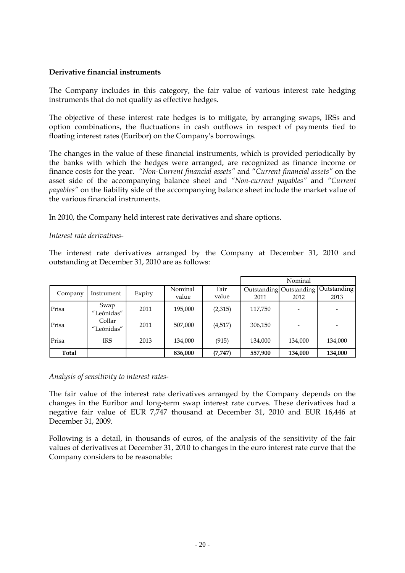#### **Derivative financial instruments**

The Company includes in this category, the fair value of various interest rate hedging instruments that do not qualify as effective hedges.

The objective of these interest rate hedges is to mitigate, by arranging swaps, IRSs and option combinations, the fluctuations in cash outflows in respect of payments tied to floating interest rates (Euribor) on the Company's borrowings.

The changes in the value of these financial instruments, which is provided periodically by the banks with which the hedges were arranged, are recognized as finance income or finance costs for the year. *"Non-Current financial assets"* and "*Current financial assets"* on the asset side of the accompanying balance sheet and *"Non-current payables"* and *"Current payables"* on the liability side of the accompanying balance sheet include the market value of the various financial instruments.

In 2010, the Company held interest rate derivatives and share options.

#### *Interest rate derivatives-*

The interest rate derivatives arranged by the Company at December 31, 2010 and outstanding at December 31, 2010 are as follows:

|         |                      |        |         |          | Nominal |                         |             |  |
|---------|----------------------|--------|---------|----------|---------|-------------------------|-------------|--|
| Company | Instrument           | Expiry | Nominal | Fair     |         | Outstanding Outstanding | Outstanding |  |
|         |                      |        | value   | value    | 2011    | 2012                    | 2013        |  |
| Prisa   | Swap<br>"Leónidas"   | 2011   | 195,000 | (2,315)  | 117,750 |                         |             |  |
| Prisa   | Collar<br>"Leónidas" | 2011   | 507,000 | (4,517)  | 306,150 |                         |             |  |
| Prisa   | <b>IRS</b>           | 2013   | 134,000 | (915)    | 134,000 | 134,000                 | 134,000     |  |
| Total   |                      |        | 836,000 | (7, 747) | 557,900 | 134,000                 | 134,000     |  |

#### *Analysis of sensitivity to interest rates-*

The fair value of the interest rate derivatives arranged by the Company depends on the changes in the Euribor and long-term swap interest rate curves. These derivatives had a negative fair value of EUR 7,747 thousand at December 31, 2010 and EUR 16,446 at December 31, 2009.

Following is a detail, in thousands of euros, of the analysis of the sensitivity of the fair values of derivatives at December 31, 2010 to changes in the euro interest rate curve that the Company considers to be reasonable: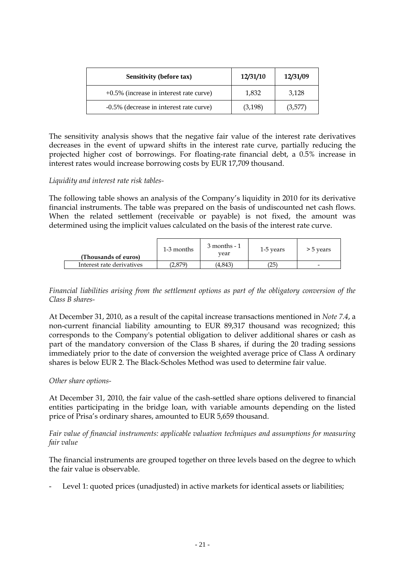| <b>Sensitivity (before tax)</b>            | 12/31/10 | 12/31/09 |
|--------------------------------------------|----------|----------|
| $+0.5\%$ (increase in interest rate curve) | 1,832    | 3,128    |
| -0.5% (decrease in interest rate curve)    | (3,198)  | (3,577)  |

The sensitivity analysis shows that the negative fair value of the interest rate derivatives decreases in the event of upward shifts in the interest rate curve, partially reducing the projected higher cost of borrowings. For floating-rate financial debt, a 0.5% increase in interest rates would increase borrowing costs by EUR 17,709 thousand.

#### *Liquidity and interest rate risk tables-*

The following table shows an analysis of the Company's liquidity in 2010 for its derivative financial instruments. The table was prepared on the basis of undiscounted net cash flows. When the related settlement (receivable or payable) is not fixed, the amount was determined using the implicit values calculated on the basis of the interest rate curve.

| (Thousands of euros)      | 1-3 months | $3$ months - $1$<br>vear | 1-5 years | > 5 years                |
|---------------------------|------------|--------------------------|-----------|--------------------------|
| Interest rate derivatives | 2.879)     | (4.843)                  | (25)      | $\overline{\phantom{0}}$ |

*Financial liabilities arising from the settlement options as part of the obligatory conversion of the Class B shares-*

At December 31, 2010, as a result of the capital increase transactions mentioned in *Note 7.4*, a non-current financial liability amounting to EUR 89,317 thousand was recognized; this corresponds to the Company's potential obligation to deliver additional shares or cash as part of the mandatory conversion of the Class B shares, if during the 20 trading sessions immediately prior to the date of conversion the weighted average price of Class A ordinary shares is below EUR 2. The Black-Scholes Method was used to determine fair value.

#### *Other share options-*

At December 31, 2010, the fair value of the cash-settled share options delivered to financial entities participating in the bridge loan, with variable amounts depending on the listed price of Prisa's ordinary shares, amounted to EUR 5,659 thousand.

#### *Fair value of financial instruments: applicable valuation techniques and assumptions for measuring fair value*

The financial instruments are grouped together on three levels based on the degree to which the fair value is observable.

Level 1: quoted prices (unadjusted) in active markets for identical assets or liabilities;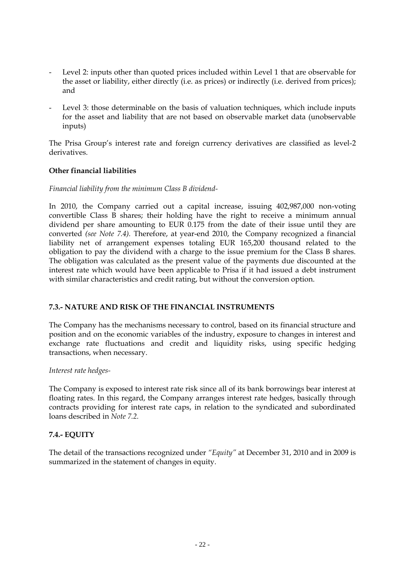- Level 2: inputs other than quoted prices included within Level 1 that are observable for the asset or liability, either directly (i.e. as prices) or indirectly (i.e. derived from prices); and
- Level 3: those determinable on the basis of valuation techniques, which include inputs for the asset and liability that are not based on observable market data (unobservable inputs)

The Prisa Group's interest rate and foreign currency derivatives are classified as level-2 derivatives.

### **Other financial liabilities**

#### *Financial liability from the minimum Class B dividend-*

In 2010, the Company carried out a capital increase, issuing 402,987,000 non-voting convertible Class B shares; their holding have the right to receive a minimum annual dividend per share amounting to EUR 0.175 from the date of their issue until they are converted *(see Note 7.4).* Therefore, at year-end 2010, the Company recognized a financial liability net of arrangement expenses totaling EUR 165,200 thousand related to the obligation to pay the dividend with a charge to the issue premium for the Class B shares. The obligation was calculated as the present value of the payments due discounted at the interest rate which would have been applicable to Prisa if it had issued a debt instrument with similar characteristics and credit rating, but without the conversion option.

#### **7.3.- NATURE AND RISK OF THE FINANCIAL INSTRUMENTS**

The Company has the mechanisms necessary to control, based on its financial structure and position and on the economic variables of the industry, exposure to changes in interest and exchange rate fluctuations and credit and liquidity risks, using specific hedging transactions, when necessary.

#### *Interest rate hedges-*

The Company is exposed to interest rate risk since all of its bank borrowings bear interest at floating rates. In this regard, the Company arranges interest rate hedges, basically through contracts providing for interest rate caps, in relation to the syndicated and subordinated loans described in *Note 7.2.*

#### **7.4.- EQUITY**

The detail of the transactions recognized under *"Equity"* at December 31, 2010 and in 2009 is summarized in the statement of changes in equity.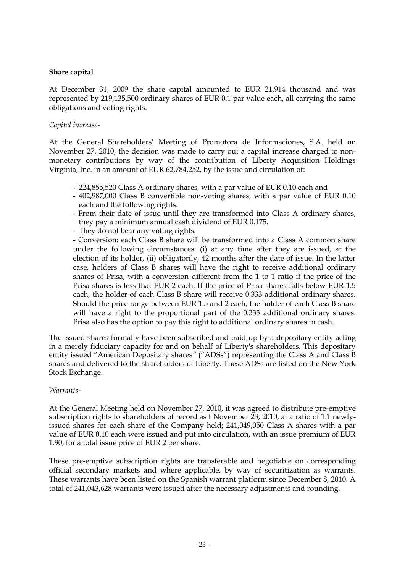#### **Share capital**

At December 31, 2009 the share capital amounted to EUR 21,914 thousand and was represented by 219,135,500 ordinary shares of EUR 0.1 par value each, all carrying the same obligations and voting rights.

#### *Capital increase-*

At the General Shareholders' Meeting of Promotora de Informaciones, S.A. held on November 27, 2010, the decision was made to carry out a capital increase charged to nonmonetary contributions by way of the contribution of Liberty Acquisition Holdings Virginia, Inc. in an amount of EUR 62,784,252, by the issue and circulation of:

- 224,855,520 Class A ordinary shares, with a par value of EUR 0.10 each and
- 402,987,000 Class B convertible non-voting shares, with a par value of EUR 0.10 each and the following rights:
- From their date of issue until they are transformed into Class A ordinary shares, they pay a minimum annual cash dividend of EUR 0.175.
- They do not bear any voting rights.

- Conversion: each Class B share will be transformed into a Class A common share under the following circumstances: (i) at any time after they are issued, at the election of its holder, (ii) obligatorily, 42 months after the date of issue. In the latter case, holders of Class B shares will have the right to receive additional ordinary shares of Prisa, with a conversion different from the 1 to 1 ratio if the price of the Prisa shares is less that EUR 2 each. If the price of Prisa shares falls below EUR 1.5 each, the holder of each Class B share will receive 0.333 additional ordinary shares. Should the price range between EUR 1.5 and 2 each, the holder of each Class B share will have a right to the proportional part of the 0.333 additional ordinary shares. Prisa also has the option to pay this right to additional ordinary shares in cash.

The issued shares formally have been subscribed and paid up by a depositary entity acting in a merely fiduciary capacity for and on behalf of Liberty's shareholders. This depositary entity issued "American Depositary shares*"* ("ADSs") representing the Class A and Class B shares and delivered to the shareholders of Liberty. These ADSs are listed on the New York Stock Exchange.

#### *Warrants-*

At the General Meeting held on November 27, 2010, it was agreed to distribute pre-emptive subscription rights to shareholders of record as t November 23, 2010, at a ratio of 1.1 newlyissued shares for each share of the Company held; 241,049,050 Class A shares with a par value of EUR 0.10 each were issued and put into circulation, with an issue premium of EUR 1.90, for a total issue price of EUR 2 per share.

These pre-emptive subscription rights are transferable and negotiable on corresponding official secondary markets and where applicable, by way of securitization as warrants. These warrants have been listed on the Spanish warrant platform since December 8, 2010. A total of 241,043,628 warrants were issued after the necessary adjustments and rounding.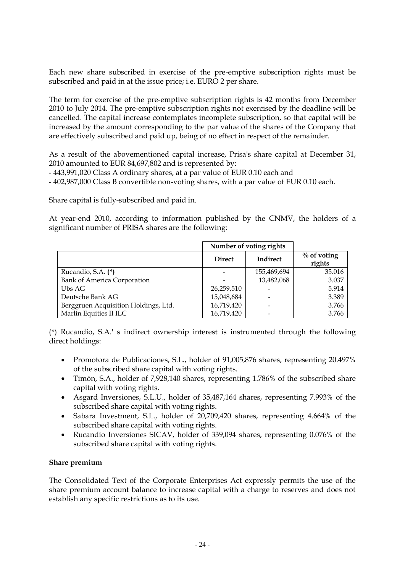Each new share subscribed in exercise of the pre-emptive subscription rights must be subscribed and paid in at the issue price; i.e. EURO 2 per share.

The term for exercise of the pre-emptive subscription rights is 42 months from December 2010 to July 2014. The pre-emptive subscription rights not exercised by the deadline will be cancelled. The capital increase contemplates incomplete subscription, so that capital will be increased by the amount corresponding to the par value of the shares of the Company that are effectively subscribed and paid up, being of no effect in respect of the remainder.

As a result of the abovementioned capital increase, Prisa's share capital at December 31, 2010 amounted to EUR 84,697,802 and is represented by:

- 443,991,020 Class A ordinary shares, at a par value of EUR 0.10 each and
- 402,987,000 Class B convertible non-voting shares, with a par value of EUR 0.10 each.

Share capital is fully-subscribed and paid in.

At year-end 2010, according to information published by the CNMV, the holders of a significant number of PRISA shares are the following:

|                                      | Number of voting rights |             |                          |
|--------------------------------------|-------------------------|-------------|--------------------------|
|                                      | <b>Direct</b>           | Indirect    | $\%$ of voting<br>rights |
| Rucandio, S.A. (*)                   |                         | 155,469,694 | 35.016                   |
| <b>Bank of America Corporation</b>   |                         | 13,482,068  | 3.037                    |
| Ubs AG                               | 26,259,510              |             | 5.914                    |
| Deutsche Bank AG                     | 15,048,684              |             | 3.389                    |
| Berggruen Acquisition Holdings, Ltd. | 16,719,420              |             | 3.766                    |
| Marlin Equities II ILC               | 16,719,420              |             | 3.766                    |

(\*) Rucandio, S.A.' s indirect ownership interest is instrumented through the following direct holdings:

- Promotora de Publicaciones, S.L., holder of 91,005,876 shares, representing 20.497% of the subscribed share capital with voting rights.
- Timón, S.A., holder of 7,928,140 shares, representing 1.786% of the subscribed share capital with voting rights.
- Asgard Inversiones, S.L.U., holder of 35,487,164 shares, representing 7.993% of the subscribed share capital with voting rights.
- Sabara Investment, S.L., holder of 20,709,420 shares, representing 4.664% of the subscribed share capital with voting rights.
- Rucandio Inversiones SICAV, holder of 339,094 shares, representing 0.076% of the subscribed share capital with voting rights.

#### **Share premium**

The Consolidated Text of the Corporate Enterprises Act expressly permits the use of the share premium account balance to increase capital with a charge to reserves and does not establish any specific restrictions as to its use.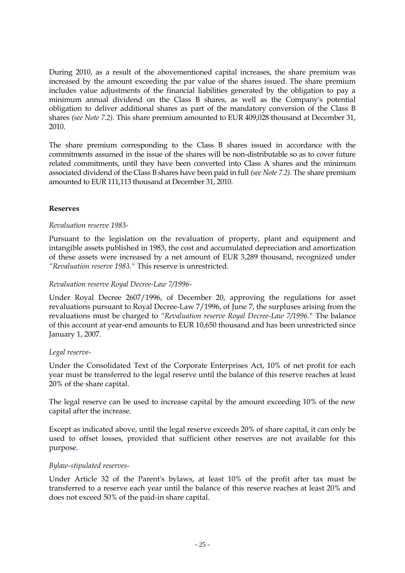During 2010, as a result of the abovementioned capital increases, the share premium was increased by the amount exceeding the par value of the shares issued. The share premium includes value adjustments of the financial liabilities generated by the obligation to pay a minimum annual dividend on the Class B shares, as well as the Company's potential obligation to deliver additional shares as part of the mandatory conversion of the Class B shares *(see Note 7.2).* This share premium amounted to EUR 409,028 thousand at December 31, 2010.

The share premium corresponding to the Class B shares issued in accordance with the commitments assumed in the issue of the shares will be non-distributable so as to cover future related commitments, until they have been converted into Class A shares and the minimum associated dividend of the Class B shares have been paid in full *(see Note 7.2).* The share premium amounted to EUR 111,113 thousand at December 31, 2010.

#### **Reserves**

#### *Revaluation reserve 1983-*

Pursuant to the legislation on the revaluation of property, plant and equipment and intangible assets published in 1983, the cost and accumulated depreciation and amortization of these assets were increased by a net amount of EUR 3,289 thousand, recognized under *"Revaluation reserve 1983."* This reserve is unrestricted.

#### *Revaluation reserve Royal Decree-Law 7/1996-*

Under Royal Decree 2607/1996, of December 20, approving the regulations for asset revaluations pursuant to Royal Decree-Law 7/1996, of June 7, the surpluses arising from the revaluations must be charged to *"Revaluation reserve Royal Decree-Law 7/1996."* The balance of this account at year-end amounts to EUR 10,650 thousand and has been unrestricted since January 1, 2007.

#### *Legal reserve-*

Under the Consolidated Text of the Corporate Enterprises Act, 10% of net profit for each year must be transferred to the legal reserve until the balance of this reserve reaches at least 20% of the share capital.

The legal reserve can be used to increase capital by the amount exceeding 10% of the new capital after the increase.

Except as indicated above, until the legal reserve exceeds 20% of share capital, it can only be used to offset losses, provided that sufficient other reserves are not available for this purpose.

#### *Bylaw-stipulated reserves-*

Under Article 32 of the Parent's bylaws, at least 10% of the profit after tax must be transferred to a reserve each year until the balance of this reserve reaches at least 20% and does not exceed 50% of the paid-in share capital.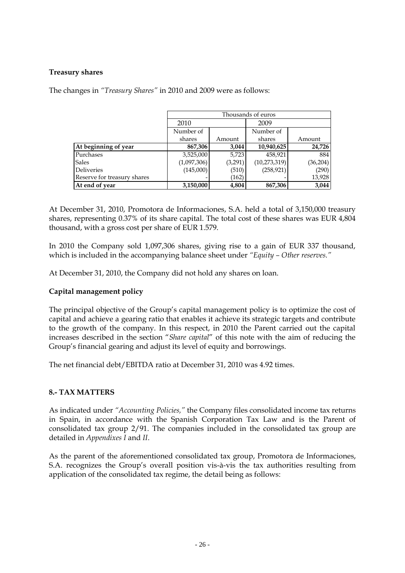#### **Treasury shares**

The changes in *"Treasury Shares"* in 2010 and 2009 were as follows:

|                             | Thousands of euros |         |                |          |  |
|-----------------------------|--------------------|---------|----------------|----------|--|
|                             | 2010               |         | 2009           |          |  |
|                             | Number of          |         | Number of      |          |  |
|                             | shares             | Amount  | shares         | Amount   |  |
| At beginning of year        | 867,306            | 3,044   | 10,940,625     | 24,726   |  |
| Purchases                   | 3,525,000          | 5,723   | 458,921        | 884      |  |
| <b>Sales</b>                | (1,097,306)        | (3,291) | (10, 273, 319) | (36,204) |  |
| <b>Deliveries</b>           | (145,000)          | (510)   | (258, 921)     | (290)    |  |
| Reserve for treasury shares |                    | (162)   |                | 13,928   |  |
| At end of year              | 3,150,000          | 4,804   | 867,306        | 3,044    |  |

At December 31, 2010, Promotora de Informaciones, S.A. held a total of 3,150,000 treasury shares, representing 0.37% of its share capital. The total cost of these shares was EUR 4,804 thousand, with a gross cost per share of EUR 1.579.

In 2010 the Company sold 1,097,306 shares, giving rise to a gain of EUR 337 thousand, which is included in the accompanying balance sheet under *"Equity – Other reserves."*

At December 31, 2010, the Company did not hold any shares on loan.

#### **Capital management policy**

The principal objective of the Group's capital management policy is to optimize the cost of capital and achieve a gearing ratio that enables it achieve its strategic targets and contribute to the growth of the company. In this respect, in 2010 the Parent carried out the capital increases described in the section "*Share capital*" of this note with the aim of reducing the Group's financial gearing and adjust its level of equity and borrowings.

The net financial debt/EBITDA ratio at December 31, 2010 was 4.92 times.

#### **8.- TAX MATTERS**

As indicated under *"Accounting Policies,"* the Company files consolidated income tax returns in Spain, in accordance with the Spanish Corporation Tax Law and is the Parent of consolidated tax group 2/91. The companies included in the consolidated tax group are detailed in *Appendixes I* and *II*.

As the parent of the aforementioned consolidated tax group, Promotora de Informaciones, S.A. recognizes the Group's overall position vis-à-vis the tax authorities resulting from application of the consolidated tax regime, the detail being as follows: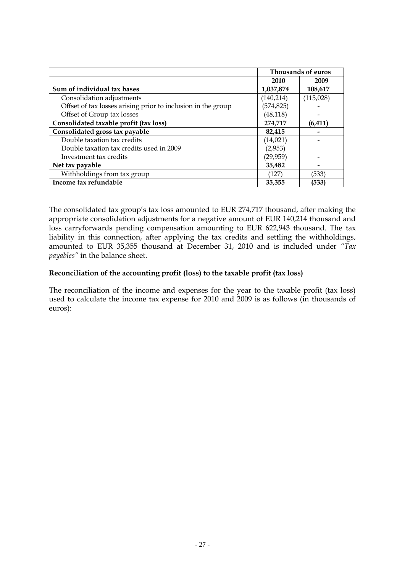|                                                              |            | Thousands of euros |
|--------------------------------------------------------------|------------|--------------------|
|                                                              | 2010       | 2009               |
| Sum of individual tax bases                                  | 1,037,874  | 108,617            |
| Consolidation adjustments                                    | (140, 214) | (115,028)          |
| Offset of tax losses arising prior to inclusion in the group | (574, 825) |                    |
| Offset of Group tax losses                                   | (48, 118)  |                    |
| Consolidated taxable profit (tax loss)                       | 274,717    | (6, 411)           |
| Consolidated gross tax payable                               | 82,415     |                    |
| Double taxation tax credits                                  | (14, 021)  |                    |
| Double taxation tax credits used in 2009                     | (2,953)    |                    |
| Investment tax credits                                       | (29,959)   |                    |
| Net tax payable                                              | 35,482     |                    |
| Withholdings from tax group                                  | (127)      | (533)              |
| Income tax refundable                                        | 35.355     | (533)              |

The consolidated tax group's tax loss amounted to EUR 274,717 thousand, after making the appropriate consolidation adjustments for a negative amount of EUR 140,214 thousand and loss carryforwards pending compensation amounting to EUR 622,943 thousand. The tax liability in this connection, after applying the tax credits and settling the withholdings, amounted to EUR 35,355 thousand at December 31, 2010 and is included under *"Tax payables"* in the balance sheet.

#### **Reconciliation of the accounting profit (loss) to the taxable profit (tax loss)**

The reconciliation of the income and expenses for the year to the taxable profit (tax loss) used to calculate the income tax expense for 2010 and 2009 is as follows (in thousands of euros):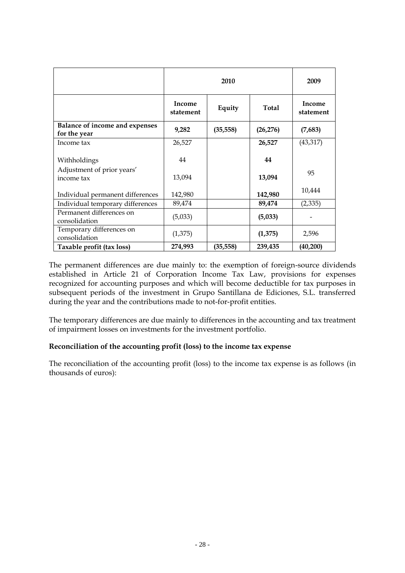|                                                |                     | 2009      |              |                     |
|------------------------------------------------|---------------------|-----------|--------------|---------------------|
|                                                | Income<br>statement | Equity    | <b>Total</b> | Income<br>statement |
| Balance of income and expenses<br>for the year | 9,282               | (35, 558) | (26, 276)    | (7,683)             |
| Income tax                                     | 26,527              |           | 26,527       | (43, 317)           |
| Withholdings                                   | 44                  |           | 44           |                     |
| Adjustment of prior years'<br>income tax       | 13,094              |           | 13,094       | 95                  |
| Individual permanent differences               | 142,980             |           | 142,980      | 10,444              |
| Individual temporary differences               | 89,474              |           | 89,474       | (2, 335)            |
| Permanent differences on<br>consolidation      | (5,033)             |           | (5,033)      |                     |
| Temporary differences on<br>consolidation      | (1,375)             |           | (1,375)      | 2,596               |
| Taxable profit (tax loss)                      | 274,993             | (35, 558) | 239,435      | (40, 200)           |

The permanent differences are due mainly to: the exemption of foreign-source dividends established in Article 21 of Corporation Income Tax Law, provisions for expenses recognized for accounting purposes and which will become deductible for tax purposes in subsequent periods of the investment in Grupo Santillana de Ediciones, S.L. transferred during the year and the contributions made to not-for-profit entities.

The temporary differences are due mainly to differences in the accounting and tax treatment of impairment losses on investments for the investment portfolio.

### **Reconciliation of the accounting profit (loss) to the income tax expense**

The reconciliation of the accounting profit (loss) to the income tax expense is as follows (in thousands of euros):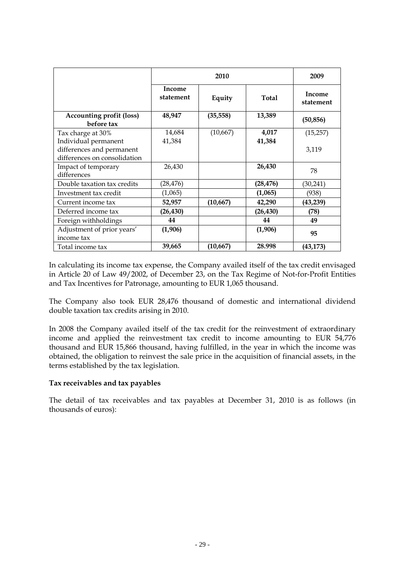|                                               |                     | 2010      |           |                     |  |
|-----------------------------------------------|---------------------|-----------|-----------|---------------------|--|
|                                               | Income<br>statement | Equity    | Total     | Income<br>statement |  |
| <b>Accounting profit (loss)</b><br>before tax | 48,947              | (35, 558) | 13,389    | (50, 856)           |  |
| Tax charge at 30%                             | 14,684              | (10,667)  | 4,017     | (15,257)            |  |
| Individual permanent                          | 41,384              |           | 41,384    |                     |  |
| differences and permanent                     |                     |           |           | 3,119               |  |
| differences on consolidation                  |                     |           |           |                     |  |
| Impact of temporary                           | 26,430              |           | 26,430    | 78                  |  |
| differences                                   |                     |           |           |                     |  |
| Double taxation tax credits                   | (28, 476)           |           | (28, 476) | (30, 241)           |  |
| Investment tax credit                         | (1,065)             |           | (1,065)   | (938)               |  |
| Current income tax                            | 52,957              | (10, 667) | 42,290    | (43, 239)           |  |
| Deferred income tax                           | (26, 430)           |           | (26, 430) | (78)                |  |
| Foreign withholdings                          | 44                  |           | 44        | 49                  |  |
| Adjustment of prior years'                    | (1,906)             |           | (1,906)   | 95                  |  |
| income tax                                    |                     |           |           |                     |  |
| Total income tax                              | 39,665              | (10, 667) | 28.998    | (43, 173)           |  |

In calculating its income tax expense, the Company availed itself of the tax credit envisaged in Article 20 of Law 49/2002, of December 23, on the Tax Regime of Not-for-Profit Entities and Tax Incentives for Patronage, amounting to EUR 1,065 thousand.

The Company also took EUR 28,476 thousand of domestic and international dividend double taxation tax credits arising in 2010.

In 2008 the Company availed itself of the tax credit for the reinvestment of extraordinary income and applied the reinvestment tax credit to income amounting to EUR 54,776 thousand and EUR 15,866 thousand, having fulfilled, in the year in which the income was obtained, the obligation to reinvest the sale price in the acquisition of financial assets, in the terms established by the tax legislation.

#### **Tax receivables and tax payables**

The detail of tax receivables and tax payables at December 31, 2010 is as follows (in thousands of euros):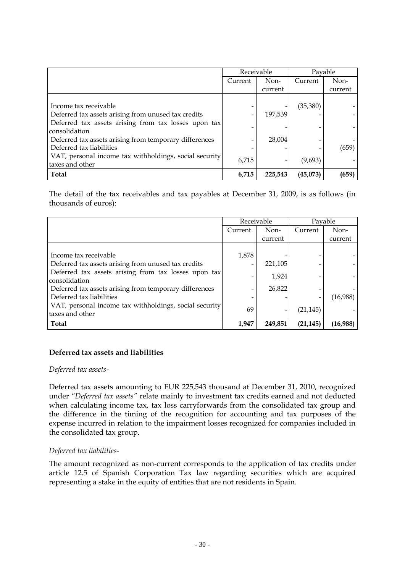|                                                                           | Receivable               |         | Payable   |         |
|---------------------------------------------------------------------------|--------------------------|---------|-----------|---------|
|                                                                           | Current                  | Non-    | Current   | Non-    |
|                                                                           |                          | current |           | current |
|                                                                           |                          |         |           |         |
| Income tax receivable                                                     |                          |         | (35, 380) |         |
| Deferred tax assets arising from unused tax credits                       | $\overline{\phantom{0}}$ | 197.539 |           |         |
| Deferred tax assets arising from tax losses upon tax<br>consolidation     |                          |         |           |         |
| Deferred tax assets arising from temporary differences                    |                          | 28,004  |           |         |
| Deferred tax liabilities                                                  |                          |         |           | (659)   |
| VAT, personal income tax withholdings, social security<br>taxes and other | 6,715                    |         | (9,693)   |         |
| Total                                                                     | 6,715                    | 225,543 | (45,073)  | (659)   |

The detail of the tax receivables and tax payables at December 31, 2009, is as follows (in thousands of euros):

|                                                                           | Receivable |         | Pavable   |          |
|---------------------------------------------------------------------------|------------|---------|-----------|----------|
|                                                                           | Current    | Non-    | Current   | Non-     |
|                                                                           |            | current |           | current  |
|                                                                           |            |         |           |          |
| Income tax receivable                                                     | 1,878      |         |           |          |
| Deferred tax assets arising from unused tax credits                       | -          | 221,105 |           |          |
| Deferred tax assets arising from tax losses upon tax<br>consolidation     |            | 1,924   |           |          |
| Deferred tax assets arising from temporary differences                    | -          | 26,822  |           |          |
| Deferred tax liabilities                                                  |            |         |           | (16,988) |
| VAT, personal income tax withholdings, social security<br>taxes and other | 69         |         | (21, 145) |          |
| Total                                                                     | 1,947      | 249,851 | (21, 145) | (16,988) |

#### **Deferred tax assets and liabilities**

#### *Deferred tax assets-*

Deferred tax assets amounting to EUR 225,543 thousand at December 31, 2010, recognized under *"Deferred tax assets"* relate mainly to investment tax credits earned and not deducted when calculating income tax, tax loss carryforwards from the consolidated tax group and the difference in the timing of the recognition for accounting and tax purposes of the expense incurred in relation to the impairment losses recognized for companies included in the consolidated tax group.

#### *Deferred tax liabilities-*

The amount recognized as non-current corresponds to the application of tax credits under article 12.5 of Spanish Corporation Tax law regarding securities which are acquired representing a stake in the equity of entities that are not residents in Spain.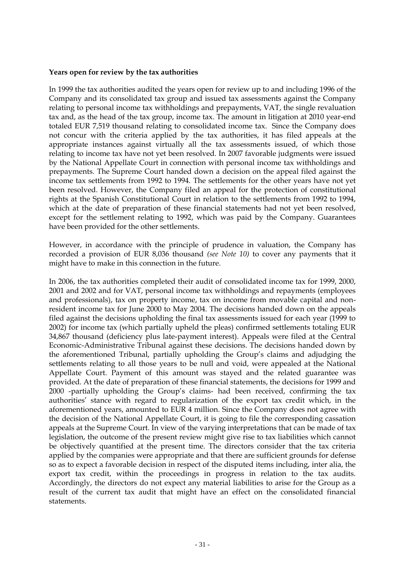#### **Years open for review by the tax authorities**

In 1999 the tax authorities audited the years open for review up to and including 1996 of the Company and its consolidated tax group and issued tax assessments against the Company relating to personal income tax withholdings and prepayments, VAT, the single revaluation tax and, as the head of the tax group, income tax. The amount in litigation at 2010 year-end totaled EUR 7,519 thousand relating to consolidated income tax. Since the Company does not concur with the criteria applied by the tax authorities, it has filed appeals at the appropriate instances against virtually all the tax assessments issued, of which those relating to income tax have not yet been resolved. In 2007 favorable judgments were issued by the National Appellate Court in connection with personal income tax withholdings and prepayments. The Supreme Court handed down a decision on the appeal filed against the income tax settlements from 1992 to 1994. The settlements for the other years have not yet been resolved. However, the Company filed an appeal for the protection of constitutional rights at the Spanish Constitutional Court in relation to the settlements from 1992 to 1994, which at the date of preparation of these financial statements had not yet been resolved, except for the settlement relating to 1992, which was paid by the Company. Guarantees have been provided for the other settlements.

However, in accordance with the principle of prudence in valuation, the Company has recorded a provision of EUR 8,036 thousand *(see Note 10)* to cover any payments that it might have to make in this connection in the future.

In 2006, the tax authorities completed their audit of consolidated income tax for 1999, 2000, 2001 and 2002 and for VAT, personal income tax withholdings and repayments (employees and professionals), tax on property income, tax on income from movable capital and nonresident income tax for June 2000 to May 2004. The decisions handed down on the appeals filed against the decisions upholding the final tax assessments issued for each year (1999 to 2002) for income tax (which partially upheld the pleas) confirmed settlements totaling EUR 34,867 thousand (deficiency plus late-payment interest). Appeals were filed at the Central Economic-Administrative Tribunal against these decisions. The decisions handed down by the aforementioned Tribunal, partially upholding the Group's claims and adjudging the settlements relating to all those years to be null and void, were appealed at the National Appellate Court. Payment of this amount was stayed and the related guarantee was provided. At the date of preparation of these financial statements, the decisions for 1999 and 2000 -partially upholding the Group's claims- had been received, confirming the tax authorities' stance with regard to regularization of the export tax credit which, in the aforementioned years, amounted to EUR 4 million. Since the Company does not agree with the decision of the National Appellate Court, it is going to file the corresponding cassation appeals at the Supreme Court. In view of the varying interpretations that can be made of tax legislation, the outcome of the present review might give rise to tax liabilities which cannot be objectively quantified at the present time. The directors consider that the tax criteria applied by the companies were appropriate and that there are sufficient grounds for defense so as to expect a favorable decision in respect of the disputed items including, inter alia, the export tax credit, within the proceedings in progress in relation to the tax audits. Accordingly, the directors do not expect any material liabilities to arise for the Group as a result of the current tax audit that might have an effect on the consolidated financial statements.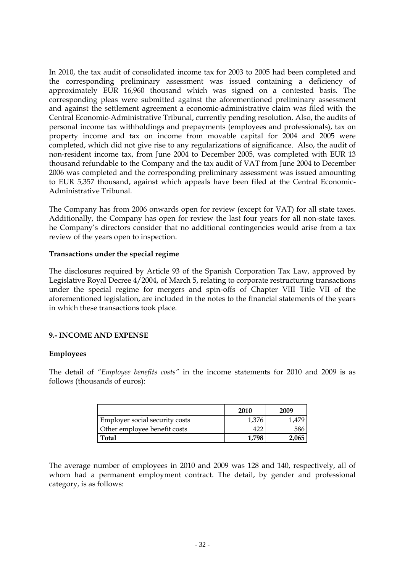In 2010, the tax audit of consolidated income tax for 2003 to 2005 had been completed and the corresponding preliminary assessment was issued containing a deficiency of approximately EUR 16,960 thousand which was signed on a contested basis. The corresponding pleas were submitted against the aforementioned preliminary assessment and against the settlement agreement a economic-administrative claim was filed with the Central Economic-Administrative Tribunal, currently pending resolution. Also, the audits of personal income tax withholdings and prepayments (employees and professionals), tax on property income and tax on income from movable capital for 2004 and 2005 were completed, which did not give rise to any regularizations of significance. Also, the audit of non-resident income tax, from June 2004 to December 2005, was completed with EUR 13 thousand refundable to the Company and the tax audit of VAT from June 2004 to December 2006 was completed and the corresponding preliminary assessment was issued amounting to EUR 5,357 thousand, against which appeals have been filed at the Central Economic-Administrative Tribunal.

The Company has from 2006 onwards open for review (except for VAT) for all state taxes. Additionally, the Company has open for review the last four years for all non-state taxes. he Company's directors consider that no additional contingencies would arise from a tax review of the years open to inspection.

#### **Transactions under the special regime**

The disclosures required by Article 93 of the Spanish Corporation Tax Law, approved by Legislative Royal Decree 4/2004, of March 5, relating to corporate restructuring transactions under the special regime for mergers and spin-offs of Chapter VIII Title VII of the aforementioned legislation, are included in the notes to the financial statements of the years in which these transactions took place.

### **9.- INCOME AND EXPENSE**

#### **Employees**

The detail of *"Employee benefits costs"* in the income statements for 2010 and 2009 is as follows (thousands of euros):

|                                | 2010  | 2009 |
|--------------------------------|-------|------|
| Employer social security costs | 1,376 |      |
| Other employee benefit costs   |       | 586  |
| <b>Total</b>                   |       |      |

The average number of employees in 2010 and 2009 was 128 and 140, respectively, all of whom had a permanent employment contract. The detail, by gender and professional category, is as follows: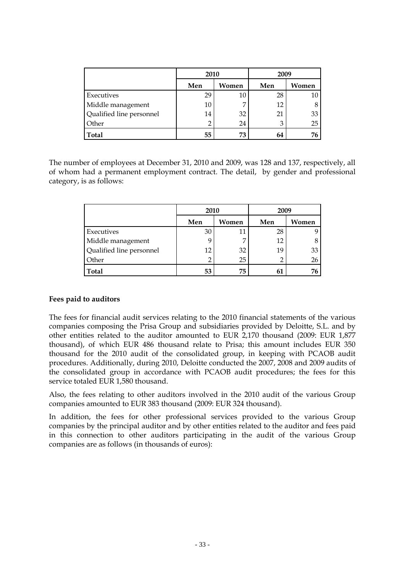|                          | 2010 |       | 2009 |       |  |
|--------------------------|------|-------|------|-------|--|
|                          | Men  | Women | Men  | Women |  |
| Executives               | 29   | 10    | 28   | 10    |  |
| Middle management        | 10   | 7     | 12   |       |  |
| Qualified line personnel | 14   | 32    | 21   | 33    |  |
| Other                    |      | 24    | 3    | 25    |  |
| <b>Total</b>             | 55   | 73    | 64   | 76    |  |

The number of employees at December 31, 2010 and 2009, was 128 and 137, respectively, all of whom had a permanent employment contract. The detail, by gender and professional category, is as follows:

|                          | 2010 |       | 2009           |       |  |
|--------------------------|------|-------|----------------|-------|--|
|                          | Men  | Women | Men            | Women |  |
| Executives               | 30   | 11    | 28             |       |  |
| Middle management        |      | 7     | 12             |       |  |
| Qualified line personnel | 12   | 32    | 19             | 33    |  |
| Other                    |      | 25    | $\overline{2}$ | 26    |  |
| Total                    | 53   | 75    | 61             | 76    |  |

#### **Fees paid to auditors**

The fees for financial audit services relating to the 2010 financial statements of the various companies composing the Prisa Group and subsidiaries provided by Deloitte, S.L. and by other entities related to the auditor amounted to EUR 2,170 thousand (2009: EUR 1,877 thousand), of which EUR 486 thousand relate to Prisa; this amount includes EUR 350 thousand for the 2010 audit of the consolidated group, in keeping with PCAOB audit procedures. Additionally, during 2010, Deloitte conducted the 2007, 2008 and 2009 audits of the consolidated group in accordance with PCAOB audit procedures; the fees for this service totaled EUR 1,580 thousand.

Also, the fees relating to other auditors involved in the 2010 audit of the various Group companies amounted to EUR 383 thousand (2009: EUR 324 thousand).

In addition, the fees for other professional services provided to the various Group companies by the principal auditor and by other entities related to the auditor and fees paid in this connection to other auditors participating in the audit of the various Group companies are as follows (in thousands of euros):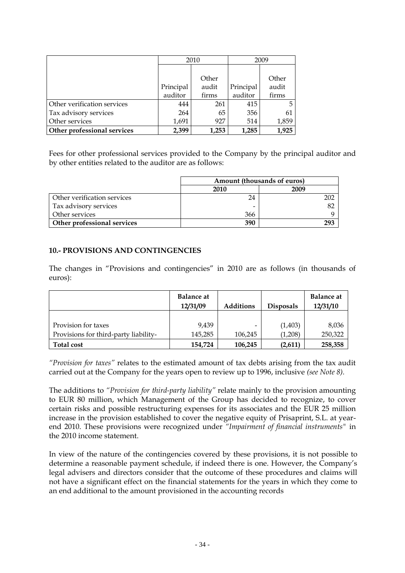|                             |           | 2010  |           | 2009  |
|-----------------------------|-----------|-------|-----------|-------|
|                             |           |       |           |       |
|                             |           | Other |           | Other |
|                             | Principal | audit | Principal | audit |
|                             | auditor   | firms | auditor   | firms |
| Other verification services | 444       | 261   | 415       | 5     |
| Tax advisory services       | 264       | 65    | 356       | 61    |
| Other services              | 1,691     | 927   | 514       | 1,859 |
| Other professional services | 2,399     | 1,253 | 1,285     | 1,925 |

Fees for other professional services provided to the Company by the principal auditor and by other entities related to the auditor are as follows:

|                             | Amount (thousands of euros) |      |  |  |
|-----------------------------|-----------------------------|------|--|--|
|                             | 2010                        | 2009 |  |  |
| Other verification services | 24                          | 202  |  |  |
| Tax advisory services       |                             | 82   |  |  |
| Other services              | 366                         |      |  |  |
| Other professional services | 390                         | 293  |  |  |

#### **10.- PROVISIONS AND CONTINGENCIES**

The changes in "Provisions and contingencies" in 2010 are as follows (in thousands of euros):

|                                       | <b>Balance at</b><br>12/31/09 | <b>Additions</b> | <b>Disposals</b> | <b>Balance at</b><br>12/31/10 |
|---------------------------------------|-------------------------------|------------------|------------------|-------------------------------|
|                                       |                               |                  |                  |                               |
| Provision for taxes                   | 9.439                         |                  | (1,403)          | 8,036                         |
| Provisions for third-party liability- | 145,285                       | 106,245          | (1.208)          | 250,322                       |
| <b>Total cost</b>                     | 154,724                       | 106,245          | (2,611)          | 258,358                       |

*"Provision for taxes"* relates to the estimated amount of tax debts arising from the tax audit carried out at the Company for the years open to review up to 1996, inclusive *(see Note 8).*

The additions to *"Provision for third-party liability"* relate mainly to the provision amounting to EUR 80 million, which Management of the Group has decided to recognize, to cover certain risks and possible restructuring expenses for its associates and the EUR 25 million increase in the provision established to cover the negative equity of Prisaprint, S.L. at yearend 2010. These provisions were recognized under *"Impairment of financial instruments"* in the 2010 income statement.

In view of the nature of the contingencies covered by these provisions, it is not possible to determine a reasonable payment schedule, if indeed there is one. However, the Company's legal advisers and directors consider that the outcome of these procedures and claims will not have a significant effect on the financial statements for the years in which they come to an end additional to the amount provisioned in the accounting records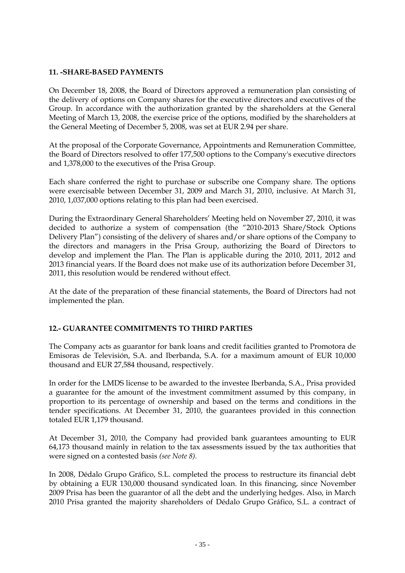#### **11. -SHARE-BASED PAYMENTS**

On December 18, 2008, the Board of Directors approved a remuneration plan consisting of the delivery of options on Company shares for the executive directors and executives of the Group. In accordance with the authorization granted by the shareholders at the General Meeting of March 13, 2008, the exercise price of the options, modified by the shareholders at the General Meeting of December 5, 2008, was set at EUR 2.94 per share.

At the proposal of the Corporate Governance, Appointments and Remuneration Committee, the Board of Directors resolved to offer 177,500 options to the Company's executive directors and 1,378,000 to the executives of the Prisa Group.

Each share conferred the right to purchase or subscribe one Company share. The options were exercisable between December 31, 2009 and March 31, 2010, inclusive. At March 31, 2010, 1,037,000 options relating to this plan had been exercised.

During the Extraordinary General Shareholders' Meeting held on November 27, 2010, it was decided to authorize a system of compensation (the "2010-2013 Share/Stock Options Delivery Plan") consisting of the delivery of shares and/or share options of the Company to the directors and managers in the Prisa Group, authorizing the Board of Directors to develop and implement the Plan. The Plan is applicable during the 2010, 2011, 2012 and 2013 financial years. If the Board does not make use of its authorization before December 31, 2011, this resolution would be rendered without effect.

At the date of the preparation of these financial statements, the Board of Directors had not implemented the plan.

### **12.- GUARANTEE COMMITMENTS TO THIRD PARTIES**

The Company acts as guarantor for bank loans and credit facilities granted to Promotora de Emisoras de Televisión, S.A. and Iberbanda, S.A. for a maximum amount of EUR 10,000 thousand and EUR 27,584 thousand, respectively.

In order for the LMDS license to be awarded to the investee Iberbanda, S.A., Prisa provided a guarantee for the amount of the investment commitment assumed by this company, in proportion to its percentage of ownership and based on the terms and conditions in the tender specifications. At December 31, 2010, the guarantees provided in this connection totaled EUR 1,179 thousand.

At December 31, 2010, the Company had provided bank guarantees amounting to EUR 64,173 thousand mainly in relation to the tax assessments issued by the tax authorities that were signed on a contested basis *(see Note 8).*

In 2008, Dédalo Grupo Gráfico, S.L. completed the process to restructure its financial debt by obtaining a EUR 130,000 thousand syndicated loan. In this financing, since November 2009 Prisa has been the guarantor of all the debt and the underlying hedges. Also, in March 2010 Prisa granted the majority shareholders of Dédalo Grupo Gráfico, S.L. a contract of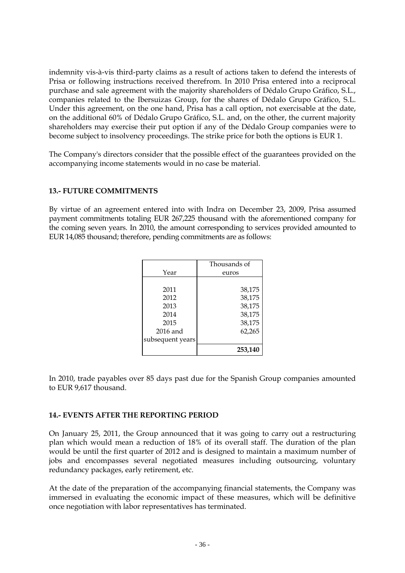indemnity vis-à-vis third-party claims as a result of actions taken to defend the interests of Prisa or following instructions received therefrom. In 2010 Prisa entered into a reciprocal purchase and sale agreement with the majority shareholders of Dédalo Grupo Gráfico, S.L., companies related to the Ibersuizas Group, for the shares of Dédalo Grupo Gráfico, S.L. Under this agreement, on the one hand, Prisa has a call option, not exercisable at the date, on the additional 60% of Dédalo Grupo Gráfico, S.L. and, on the other, the current majority shareholders may exercise their put option if any of the Dédalo Group companies were to become subject to insolvency proceedings. The strike price for both the options is EUR 1.

The Company's directors consider that the possible effect of the guarantees provided on the accompanying income statements would in no case be material.

#### **13.- FUTURE COMMITMENTS**

By virtue of an agreement entered into with Indra on December 23, 2009, Prisa assumed payment commitments totaling EUR 267,225 thousand with the aforementioned company for the coming seven years. In 2010, the amount corresponding to services provided amounted to EUR 14,085 thousand; therefore, pending commitments are as follows:

|                  | Thousands of |
|------------------|--------------|
| Year             | euros        |
|                  |              |
| 2011             | 38,175       |
| 2012             | 38,175       |
| 2013             | 38,175       |
| 2014             | 38,175       |
| 2015             | 38,175       |
| 2016 and         | 62,265       |
| subsequent years |              |
|                  | 253,140      |

In 2010, trade payables over 85 days past due for the Spanish Group companies amounted to EUR 9,617 thousand.

#### **14.- EVENTS AFTER THE REPORTING PERIOD**

On January 25, 2011, the Group announced that it was going to carry out a restructuring plan which would mean a reduction of 18% of its overall staff. The duration of the plan would be until the first quarter of 2012 and is designed to maintain a maximum number of jobs and encompasses several negotiated measures including outsourcing, voluntary redundancy packages, early retirement, etc.

At the date of the preparation of the accompanying financial statements, the Company was immersed in evaluating the economic impact of these measures, which will be definitive once negotiation with labor representatives has terminated.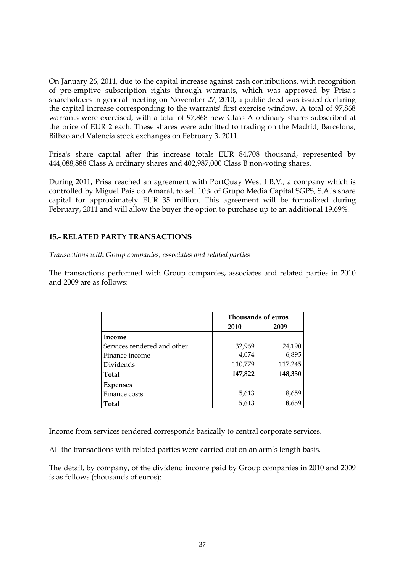On January 26, 2011, due to the capital increase against cash contributions, with recognition of pre-emptive subscription rights through warrants, which was approved by Prisa's shareholders in general meeting on November 27, 2010, a public deed was issued declaring the capital increase corresponding to the warrants' first exercise window. A total of 97,868 warrants were exercised, with a total of 97,868 new Class A ordinary shares subscribed at the price of EUR 2 each. These shares were admitted to trading on the Madrid, Barcelona, Bilbao and Valencia stock exchanges on February 3, 2011.

Prisa's share capital after this increase totals EUR 84,708 thousand, represented by 444,088,888 Class A ordinary shares and 402,987,000 Class B non-voting shares.

During 2011, Prisa reached an agreement with PortQuay West I B.V., a company which is controlled by Miguel Pais do Amaral, to sell 10% of Grupo Media Capital SGPS, S.A.'s share capital for approximately EUR 35 million. This agreement will be formalized during February, 2011 and will allow the buyer the option to purchase up to an additional 19.69%.

#### **15.- RELATED PARTY TRANSACTIONS**

*Transactions with Group companies, associates and related parties*

The transactions performed with Group companies, associates and related parties in 2010 and 2009 are as follows:

|                             |         | Thousands of euros |
|-----------------------------|---------|--------------------|
|                             | 2010    | 2009               |
| Income                      |         |                    |
| Services rendered and other | 32,969  | 24,190             |
| Finance income              | 4,074   | 6,895              |
| Dividends                   | 110,779 | 117,245            |
| <b>Total</b>                | 147,822 | 148,330            |
| <b>Expenses</b>             |         |                    |
| Finance costs               | 5,613   | 8,659              |
| <b>Total</b>                | 5,613   | 8,659              |

Income from services rendered corresponds basically to central corporate services.

All the transactions with related parties were carried out on an arm's length basis.

The detail, by company, of the dividend income paid by Group companies in 2010 and 2009 is as follows (thousands of euros):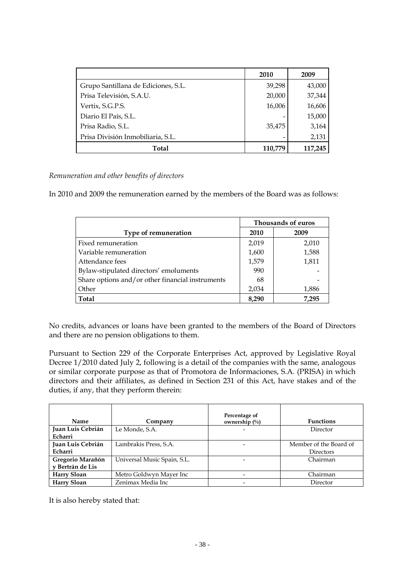|                                     | 2010    | 2009    |
|-------------------------------------|---------|---------|
| Grupo Santillana de Ediciones, S.L. | 39,298  | 43,000  |
| Prisa Televisión, S.A.U.            | 20,000  | 37,344  |
| Vertix, S.G.P.S.                    | 16,006  | 16,606  |
| Diario El País, S.L.                |         | 15,000  |
| Prisa Radio, S.L.                   | 35,475  | 3,164   |
| Prisa División Inmobiliaria, S.L.   |         | 2,131   |
| Total                               | 110,779 | 117,245 |

*Remuneration and other benefits of directors*

In 2010 and 2009 the remuneration earned by the members of the Board was as follows:

|                                                  | Thousands of euros |       |  |  |  |
|--------------------------------------------------|--------------------|-------|--|--|--|
| Type of remuneration                             | 2010               | 2009  |  |  |  |
| Fixed remuneration                               | 2,019              | 2,010 |  |  |  |
| Variable remuneration                            | 1,600              | 1,588 |  |  |  |
| Attendance fees                                  | 1,579              | 1,811 |  |  |  |
| Bylaw-stipulated directors' emoluments           | 990                |       |  |  |  |
| Share options and/or other financial instruments | 68                 |       |  |  |  |
| Other                                            | 2,034              | 1,886 |  |  |  |
| <b>Total</b>                                     | 8.290              | 7,295 |  |  |  |

No credits, advances or loans have been granted to the members of the Board of Directors and there are no pension obligations to them.

Pursuant to Section 229 of the Corporate Enterprises Act, approved by Legislative Royal Decree 1/2010 dated July 2, following is a detail of the companies with the same, analogous or similar corporate purpose as that of Promotora de Informaciones, S.A. (PRISA) in which directors and their affiliates, as defined in Section 231 of this Act, have stakes and of the duties, if any, that they perform therein:

| <b>Name</b>                          | Company                     | Percentage of<br>ownership $\left(\frac{0}{0}\right)$ | <b>Functions</b>                           |
|--------------------------------------|-----------------------------|-------------------------------------------------------|--------------------------------------------|
| Juan Luis Cebrián<br>Echarri         | Le Monde, S.A.              | $\overline{\phantom{a}}$                              | Director                                   |
| Juan Luis Cebrián<br>Echarri         | Lambrakis Press, S.A.       |                                                       | Member of the Board of<br><b>Directors</b> |
| Gregorio Marañón<br>v Bertrán de Lis | Universal Music Spain, S.L. | -                                                     | Chairman                                   |
| <b>Harry Sloan</b>                   | Metro Goldwyn Mayer Inc     | $\overline{\phantom{0}}$                              | Chairman                                   |
| Harry Sloan                          | Zenimax Media Inc           | $\overline{\phantom{0}}$                              | Director                                   |

It is also hereby stated that: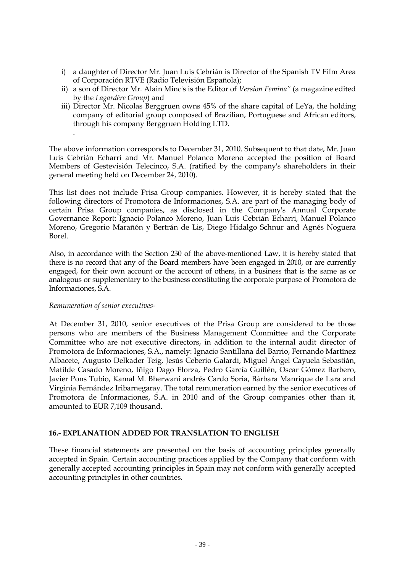- i) a daughter of Director Mr. Juan Luis Cebrián is Director of the Spanish TV Film Area of Corporación RTVE (Radio Televisión Española);
- ii) a son of Director Mr. Alain Minc's is the Editor of *Version Femina"* (a magazine edited by the *Lagardère Group*) and
- iii) Director Mr. Nicolas Berggruen owns 45% of the share capital of LeYa, the holding company of editorial group composed of Brazilian, Portuguese and African editors, through his company Berggruen Holding LTD.

The above information corresponds to December 31, 2010. Subsequent to that date, Mr. Juan Luis Cebrián Echarri and Mr. Manuel Polanco Moreno accepted the position of Board Members of Gestevisión Telecinco, S.A. (ratified by the company's shareholders in their general meeting held on December 24, 2010).

This list does not include Prisa Group companies. However, it is hereby stated that the following directors of Promotora de Informaciones, S.A. are part of the managing body of certain Prisa Group companies, as disclosed in the Company's Annual Corporate Governance Report: Ignacio Polanco Moreno, Juan Luis Cebrián Echarri, Manuel Polanco Moreno, Gregorio Marañón y Bertrán de Lis, Diego Hidalgo Schnur and Agnés Noguera Borel.

Also, in accordance with the Section 230 of the above-mentioned Law, it is hereby stated that there is no record that any of the Board members have been engaged in 2010, or are currently engaged, for their own account or the account of others, in a business that is the same as or analogous or supplementary to the business constituting the corporate purpose of Promotora de Informaciones, S.A.

#### *Remuneration of senior executives-*

.

At December 31, 2010, senior executives of the Prisa Group are considered to be those persons who are members of the Business Management Committee and the Corporate Committee who are not executive directors, in addition to the internal audit director of Promotora de Informaciones, S.A., namely: Ignacio Santillana del Barrio, Fernando Martínez Albacete, Augusto Delkader Teig, Jesús Ceberio Galardi, Miguel Ángel Cayuela Sebastián, Matilde Casado Moreno, Iñigo Dago Elorza, Pedro García Guillén, Oscar Gómez Barbero, Javier Pons Tubio, Kamal M. Bherwani andrés Cardo Soria, Bárbara Manrique de Lara and Virginia Fernández Iribarnegaray. The total remuneration earned by the senior executives of Promotora de Informaciones, S.A. in 2010 and of the Group companies other than it, amounted to EUR 7,109 thousand.

#### **16.- EXPLANATION ADDED FOR TRANSLATION TO ENGLISH**

These financial statements are presented on the basis of accounting principles generally accepted in Spain. Certain accounting practices applied by the Company that conform with generally accepted accounting principles in Spain may not conform with generally accepted accounting principles in other countries.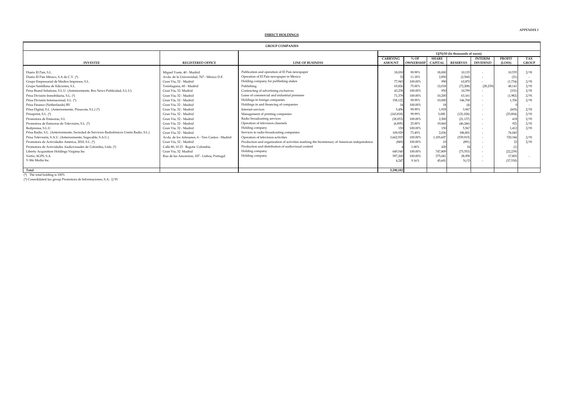| <b>GROUP COMPANIES</b>                                                                  |                                                  |                                                                                            |                                  |                             |                                |                 |                                   |                         |                     |
|-----------------------------------------------------------------------------------------|--------------------------------------------------|--------------------------------------------------------------------------------------------|----------------------------------|-----------------------------|--------------------------------|-----------------|-----------------------------------|-------------------------|---------------------|
|                                                                                         |                                                  |                                                                                            | 12/31/10 (In thousands of euros) |                             |                                |                 |                                   |                         |                     |
| <b>INVESTEE</b>                                                                         | <b>REGISTERED OFFICE</b>                         | <b>LINE OF BUSINESS</b>                                                                    | <b>CARRYING</b><br><b>AMOUNT</b> | $\%$ OF<br><b>OWNERSHIP</b> | <b>SHARE</b><br><b>CAPITAL</b> | <b>RESERVES</b> | <b>INTERIM</b><br><b>DIVIDEND</b> | <b>PROFIT</b><br>(LOSS) | TAX<br><b>GROUP</b> |
| Diario El País, S.L.                                                                    | Miguel Yuste, 40 - Madrid                        | Publication and operation of El País newspaper                                             | 18,030                           | 99.99%                      | 18,000                         | 10,135          |                                   | 10,555                  | 2/91                |
| Diario El País México, S.A de C.V. (*)                                                  | Avda, de la Universidad, 767 - México D.F.       | Operation of El País newspaper in Mexico                                                   |                                  | 11.18%                      | 2,850                          | (2,560)         |                                   | (21)                    |                     |
| Grupo Empresarial de Medios Impresos, S.L.                                              | Gran Vía, 32 - Madrid                            | Holding company for publishing stakes                                                      | 77,943                           | 100.00%                     | 990                            | 62,870          |                                   | (1,734)                 | 2/91                |
| Grupo Santillana de Ediciones, S.L.                                                     | Torrelaguna, 60 - Madrid                         | Publishing                                                                                 | 65,826                           | 75.00%                      | 12,018                         | (72, 208)       | (28.239)                          | 48,141                  | 2/91                |
| Prisa Brand Solutions, S.L.U. (Anteriormente, Box News Publicidad, S.L.U)               | Gran Vía, 32. Madrid                             | Contracting of advertising exclusives                                                      | 43,238                           | 100.00%                     | 950                            | 10,799          |                                   | (331)                   | 2/91                |
| Prisa División Inmobiliaria, S.L. (*)                                                   | Gran Vía, 32 - Madrid                            | Lease of commercial and industrial premises                                                | 71,378                           | 100.00%                     | 10,200                         | 63,161          |                                   | (1,982)                 | 2/91                |
| Prisa División Internacional, S.L. (*)                                                  | Gran Vía, 32 - Madrid                            | Holdings in foreign companies                                                              | 158,122                          | 99.99%                      | 10,000                         | 146,768         |                                   | 1.356                   | 2/91                |
| Prisa Finance (Netherlands) BV                                                          | Gran Vía, 32 - Madrid                            | Holdings in and financing of companies                                                     |                                  | 100.00%                     |                                |                 |                                   |                         |                     |
| Prisa Digital, S.L. (Anteriormente, Prisacom, S.L.) (*)                                 | Gran Vía, 32 - Madrid                            | Internet services                                                                          | 5,456                            | 99.99%                      | 1.918                          | 3.96            |                                   | (603)                   | 2/91                |
| Prisaprint, S.L. (*)                                                                    | Gran Vía, 32 - Madrid                            | Management of printing companies                                                           | (143, 818)                       | 99.99%                      | 3,000                          | (121, 026)      | $\overline{\phantom{a}}$          | (25, 804)               | 2/91                |
| Promotora de Emisoras, S.L.                                                             | Gran Vía, 32 - Madrid                            | Radio broadcasting services                                                                | (18,053)                         | 100.00%                     | 2,500                          | (21, 137)       |                                   |                         | 2/91                |
| Promotora de Emisoras de Televisión, S.L. (*)                                           | Gran Vía, 32 - Madrid                            | Operation of television channels                                                           | (6,895)                          | 25.00%                      | 19,060                         | (46, 246)       |                                   | 921                     | 2/91                |
| Redprensa, S.L.U.                                                                       | Gran Vía, 32 - Madrid                            | Holding company                                                                            | 150                              | 100.00%                     | 150                            | 5.56            |                                   | 1,41                    | 2/91                |
| Prisa Radio, S.L. (Anteriormente, Sociedad de Servicios Radiofónicos Unión Radio, S.L.) | Gran Vía, 32 - Madrid                            | Services to radio broadcasting companies                                                   | 109,929                          | 73 49%                      | 2.036                          | 186.80          |                                   | 76.045                  |                     |
| Prisa Televisión, S.A.U. (Anteriormente, Sogecable, S.A.U.)                             | Avda, de los Artesanos, 6 - Tres Cantos - Madrid | Operation of television activities                                                         | 3,662,935                        | 100.00%                     | 1,105,607                      | (539, 915)      | $\overline{a}$                    | 720,344                 | 2/91                |
| Promotora de Actividades América, 2010, S.L. (*)                                        | Gran Vía, 32 - Madrid                            | Production and organization of activities marking the bicentenary of American independence | (849                             | 100.00%                     |                                | (891            |                                   |                         | 2/91                |
| Promotora de Actividades Audiovisuales de Colombia, Ltda. (*)                           | Calle 80, 10 23 . Bogotá. Colombia               | Production and distribution of audiovisual content                                         |                                  | 1.00%                       | 420                            |                 |                                   |                         |                     |
| Liberty Acquisition Holdings Virginia Inc                                               | Gran Vía, 32. Madrid                             | Holding company                                                                            | 649,540                          | 100.00%                     | 747.809                        | (75, 553)       | $\overline{a}$                    | (22, 239)               |                     |
| Vertix, SGPS, S.A.                                                                      | Rua de las Amoreiras, 107 - Lisboa, Portugal     | Holding company                                                                            | 597,20                           | 100.00%                     | 375,041                        | 28,958          |                                   | 17,80                   |                     |
| V-Me Media Inc.                                                                         |                                                  |                                                                                            | 4.247                            | 9.16%                       | 45.601                         | N/L             |                                   | (37, 530)               |                     |
| Total                                                                                   |                                                  |                                                                                            | 5,290,182                        |                             |                                |                 |                                   |                         |                     |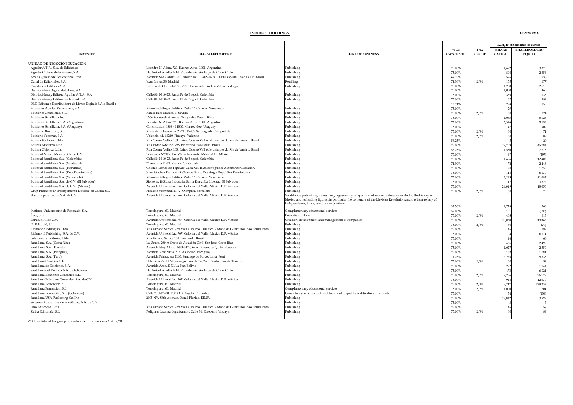|                                                                          |                                                                                                                                                      |                                                                                                              |                  |              |                | 12/31/10 (thousands of euros) |
|--------------------------------------------------------------------------|------------------------------------------------------------------------------------------------------------------------------------------------------|--------------------------------------------------------------------------------------------------------------|------------------|--------------|----------------|-------------------------------|
|                                                                          |                                                                                                                                                      |                                                                                                              | $%$ OF           | TAX          | <b>SHARE</b>   | <b>SHAREHOLDERS</b>           |
| <b>INVESTEE</b>                                                          | <b>REGISTERED OFFICE</b>                                                                                                                             | <b>LINE OF BUSINESS</b>                                                                                      | <b>OWNERSHIP</b> | <b>GROUP</b> | <b>CAPITAL</b> | <b>EQUITY</b>                 |
| JNIDAD DE NEGOCIO EDUCACIÓN                                              |                                                                                                                                                      |                                                                                                              |                  |              |                |                               |
|                                                                          |                                                                                                                                                      |                                                                                                              |                  |              |                |                               |
| Aguilar A.T.A., S.A. de Ediciones                                        | Leandro N. Alem. 720. Buenos Aires. 1001. Argentina                                                                                                  | Publishing<br>Publishing                                                                                     | 75.00%           |              | 1,692          | 3,378                         |
| Aguilar Chilena de Ediciones, S.A.<br>Avalia Qualidade Educacional Ltda. | Dr. Aníbal Ariztía 1444. Providencia. Santiago de Chile. Chile<br>Avenida São Gabriel. 201 Andar 14 Cj. 1408-1409. CEP 01435-0001. Sao Paulo. Brasil |                                                                                                              | 75.00%           |              | 898            | 2,356<br>730                  |
| Canal de Editoriales, S.A.                                               | Juan Bravo, 38, Madrid                                                                                                                               | Publishing                                                                                                   | 68.25%           |              | 596<br>155     |                               |
| Constancia Editores, S.A.                                                | Estrada da Outorela 118, 2795. Carnaxide Linda a Velha. Portugal                                                                                     | Retailing                                                                                                    | 74.36%<br>75.00% | 2/91         | 1,250          | 177<br>2,510                  |
| Distribuidora Digital de Libros, S.A.                                    |                                                                                                                                                      | Publishing                                                                                                   | 20.00%           |              | 1,000          | 465                           |
| Distribuidora y Editora Aguilar A.T.A, S.A.                              | Calle 80, N 10-23. Santa Fé de Bogotá. Colombia                                                                                                      | Publishing                                                                                                   | 75.00%           |              | 359            | 1,135                         |
| Distribuidora y Editora Richmond, S.A.                                   | Calle 80, N 10-23. Santa Fé de Bogotá. Colombia                                                                                                      | Publishing                                                                                                   | 75.00%           |              | 6              | 394                           |
| DLD Editora e Distribuidora de Livros Digitais S.A. (Brasil)             |                                                                                                                                                      |                                                                                                              | 12.51%           |              | 294            | 155                           |
| Ediciones Aguilar Venezolana, S.A.                                       | Rómulo Gallegos. Edificio Zulia 1º. Caracas. Venezuela                                                                                               | Publishing                                                                                                   | 75.00%           |              | $\overline{2}$ |                               |
| Ediciones Grazalema, S.L.                                                | Rafael Beca Mateos, 3. Sevilla                                                                                                                       | Publishing                                                                                                   | 75.00%           | 2/91         |                | 124                           |
| Ediciones Santillana Inc.                                                | 1506 Roosevelt Avenue. Guaynabo. Puerto Rico                                                                                                         | Publishing                                                                                                   | 75.00%           |              | 1,065          | 5,028                         |
| Ediciones Santillana, S.A. (Argentina)                                   | Leandro N. Alem. 720. Buenos Aires. 1001. Argentina                                                                                                  | Publishing                                                                                                   | 75.00%           |              | 5,316          | 5,156                         |
| Ediciones Santillana, S.A. (Uruguay)                                     | Constitución, 1889 - 11800. Montevideo. Uruguay                                                                                                      | Publishing                                                                                                   | 75.00%           |              | 147            | 902                           |
| Edicions Obradoiro, S.L.                                                 | Ruela de Entrecercos. 2 2º B. 15705. Santiago de Compostela                                                                                          | Publishing                                                                                                   | 75.00%           | 2/91         | 61             | $71\,$                        |
| Edicions Voramar, S.A.                                                   | Valencia, 44. 46210. Pincaya. Valencia                                                                                                               | Publishing                                                                                                   | 75.00%           | 2/91         |                | $87\,$                        |
| Editora Fontanar, Ltda.                                                  | Rua Cosme Velho, 103. Bairro Cosme Velho. Municipio do Rio de Janeiro. Brasil                                                                        | Publishing                                                                                                   | 56.25%           |              |                | 20                            |
| Editora Moderna Ltda.                                                    | Rua Padre Adelino, 758. Belezinho. Sao Paulo. Brasil                                                                                                 | Publishing                                                                                                   | 75.00%           |              | 29,703         | 45,781                        |
| Editora Objetiva Ltda.                                                   | Rua Cosme Velho, 103. Bairro Cosme Velho. Municipio do Rio de Janeiro. Brasil                                                                        | Publishing                                                                                                   | 56.25%           |              | 1,550          | 7,675                         |
| Editorial Nuevo México, S.A. de C.V.                                     | Tenayuca Nº 107. Col Vértiz Narvarte. México D.F. México                                                                                             | Publishing                                                                                                   | 75.00%           |              | Q              | (297)                         |
| Editorial Santillana, S.A. (Colombia)                                    | Calle 80, N 10-23. Santa Fé de Bogotá. Colombia                                                                                                      | Publishing                                                                                                   | 75.00%           |              | 1,676          | 12,402                        |
| Editorial Santillana, S.A. (Guatemala)                                   | 7ª Avenida 11-11. Zona 9. Guatemala                                                                                                                  | Publishing                                                                                                   | 74.99%           |              | $7^{\circ}$    | 2,448                         |
| Editorial Santillana, S.A. (Honduras)                                    | Colonia Lomas de Tepeyac. Casa No. 1626, contiguo al Autobanco Cuscatlan.                                                                            | Publishing                                                                                                   | 75.00%           |              | $\mathfrak{D}$ | 1,257                         |
| Editorial Santillana, S.A. (Rep. Dominicana)                             | Juan Sánchez Ramírez, 9. Gazcue. Santo Domingo. República Dominicana                                                                                 | Publishing                                                                                                   | 75.00%           |              | 118            | 6,130                         |
| Editorial Santillana, S.A. (Venezuela)                                   | Rómulo Gallegos. Edificio Zulia 1º. Caracas. Venezuela                                                                                               | Publishing                                                                                                   | 75.00%           |              | 3,295          | 11,087                        |
| Editorial Santillana, S.A. de C.V. (El Salvador)                         | Siemens, 48 Zona Industrial Santa Elena. La Libertad. El Salvador                                                                                    | Publishing                                                                                                   | 75.00%           |              |                | 3,522                         |
| Editorial Santillana, S.A. de C.V. (México)                              | Avenida Universidad 767. Colonia del Valle. México D.F. México                                                                                       | Publishing                                                                                                   | 75.00%           |              | 24,019         | 18,050                        |
| Grup Promotor D'Ensenyement i Difussió en Catalá, S.L.                   | Frederic Mompou, 11. V. Olímpica. Barcelona                                                                                                          | Publishing                                                                                                   | 75.00%           | 2/91         |                | 75                            |
| Historia para Todos, S.A. de C.V.                                        | Avenida Universidad 767. Colonia del Valle. México D.F. México                                                                                       | Worldwide publishing, in any language (mainly in Spanish), of works preferably related to the history of     |                  |              |                |                               |
|                                                                          |                                                                                                                                                      | Mexico and its leading figures, in particular the centenary of the Mexican Revolution and the bicentenary of |                  |              |                |                               |
|                                                                          |                                                                                                                                                      | Independence, in any medium or platform.                                                                     |                  |              |                |                               |
|                                                                          |                                                                                                                                                      |                                                                                                              | 37.50%           |              | 1,728          | 566                           |
| Instituto Universitario de Posgrado, S.A.<br>Ítaca, S.L.                 | Torrelaguna, 60. Madrid<br>Torrelaguna, 60. Madrid                                                                                                   | Complementary educational services<br>Book distribution                                                      | 39.00%           |              | 151<br>408     | (886)<br>613                  |
| Lanza, S.A. de C.V.                                                      | Avenida Universidad 767. Colonia del Valle. México D.F. México                                                                                       | Creation, development and management of companies                                                            | 75.00%           | 2/91         |                | 19,363                        |
| N. Editorial, S.L.                                                       | Torrelaguna, 60. Madrid                                                                                                                              | Publishing                                                                                                   | 75.00%           | 2/91         | 13,038         | (70)                          |
| Richmond Educação, Ltda                                                  | Rua Urbano Santos. 755. Sala 4. Bairro Cumbica. Cidade de Guarulhos. Sao Paulo. Brasil                                                               | Publishing                                                                                                   | 75.00%<br>75.00% |              |                | 182                           |
| Richmond Publishing, S.A. de C.V.                                        | Avenida Universidad 767. Colonia del Valle. México D.F. México                                                                                       | Publishing                                                                                                   | 75.00%           |              |                | 6,114                         |
| Salamandra Editorial, Ltda.                                              | Rua Urbano Santos 160. Sao Paulo. Brasil                                                                                                             | Publishing                                                                                                   | 75.00%           |              |                | 60                            |
| Santillana, S.A. (Costa Rica)                                            | La Uruca. 200 m Oeste de Aviación Civil. San José. Costa Rica                                                                                        | Publishing                                                                                                   | 75.00%           |              | 46             | 2,497                         |
| Santillana, S.A. (Ecuador)                                               | Avenida Eloy Alfaro. N33-347 y 6 de Diciembre. Quito. Ecuador                                                                                        | Publishing                                                                                                   | 75.00%           |              | 1,027          | 2,550                         |
| Santillana, S.A. (Paraguay)                                              | Avenida Venezuela. 276. Asunción. Paraguay                                                                                                           | Publishing                                                                                                   | 75.00%           |              | 162            | 1,084                         |
| Santillana, S.A. (Perú)                                                  | Avenida Primavera 2160. Santiago de Surco. Lima. Perú                                                                                                | Publishing                                                                                                   | 71.25%           |              | 3,275          | 5,335                         |
| Santillana Canarias, S.L.                                                | Urbanización El Mayorazgo. Parcela 14, 2-7B. Santa Cruz de Tenerife                                                                                  | Publishing                                                                                                   | 75.00%           | 2/91         | 6              | 58                            |
| Santillana de Ediciones, S.A.                                            | Avenida Arce. 2333. La Paz. Bolivia                                                                                                                  | Publishing                                                                                                   | 75.00%           |              | 272            | 1,041                         |
| Santillana del Pacífico, S.A. de Ediciones.                              | Dr. Aníbal Ariztía 1444. Providencia. Santiago de Chile. Chile                                                                                       | Publishing                                                                                                   | 75.00%           |              | 473            | 6,024                         |
| Santillana Ediciones Generales, S.L.                                     | Torrelaguna, 60. Madrid                                                                                                                              | Publishing                                                                                                   | 75.00%           | 2/91         | 2,276          | 26,179                        |
| Santillana Ediciones Generales, S.A. de C.V.                             | Avenida Universidad 767. Colonia del Valle. México D.F. México                                                                                       | Publishing                                                                                                   | 75.00%           |              | 948            | 12,039                        |
| Santillana Educación, S.L.                                               | Torrelaguna, 60. Madrid                                                                                                                              | Publishing                                                                                                   | 75.00%           | 2/91         | 7,747          | 128,239                       |
| Santillana Formación, S.L.                                               | Torrelaguna, 60. Madrid                                                                                                                              | Complementary educational services                                                                           | 75.00%           | 2/91         | 1,000          | 1,204                         |
| Santillana Formación, S.L. (Colombia)                                    | Calle 73. Nº 7-31. P8 TO B. Bogotá. Colombia                                                                                                         | Consultancy services for the obtainment of quality certification by schools                                  | 75.00%           |              |                | (139)                         |
| Santillana USA Publishing Co. Inc.                                       | 2105 NW 86th Avenue. Doral. Florida. EE.UU                                                                                                           | Publishing                                                                                                   | 75.00%           |              | 52,812         | 3,999                         |
| Sistemas Educativos de Enseñanza, S.A. de C.V.                           |                                                                                                                                                      | Publishing                                                                                                   | 75.00%           |              |                |                               |
| Uno Educação, Ltda                                                       | Rua Urbano Santos. 755. Sala 4. Bairro Cumbica. Cidade de Guarulhos. Sao Paulo. Brasil                                                               | Publishing                                                                                                   | 75.00%           |              |                | 58                            |
| Zubia Editoriala, S.L.                                                   | Polígono Lezama Leguizamon. Calle 31. Etxebarri. Vizcaya                                                                                             | Publishing                                                                                                   | 75.00%           | 2/91         |                |                               |
|                                                                          |                                                                                                                                                      |                                                                                                              |                  |              |                |                               |

(\*) Consolidated tax group Promotora de Informaciones, S.A.: 2/91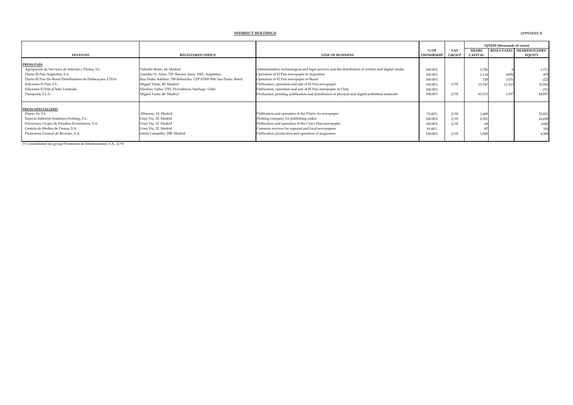#### **% OF TAX SHARE RESULTADO SHAREHOLDERS'INVESTEE REGISTERED OFFICE LINE OF BUSINESS OWNERSHIP GROUP CAPITAL EQUITY PRESS-PAÍS**Agrupación de Servicios de Internet y Prensa, S.L. Agrupación de Servicios de Internet y Prensa, S.L. Valentín Beato, 44. Madrid Valentín Beato, 44. Madrid Valentín Beato, 44. Madrid Administrative, technological and legal services and the distribution of written and digit Diario El País Argentina, S.A. (699) 1,114 (699) 1,114 (699) 1,114 (699) 1,114 (699) 1,114 (699) 1,114 (699) 1,114 (699) 1,114 (699) 1,114 (699) 1,114 (699) 1,114 (699) 1,114 (699) 1,114 (699) 1,114 (699) 1,114 (699) 1,114 Diario El País Distribuidora de Publicaçoes, LTDA. Rua Padre Adelino. 758 Belezinho. CEP 03303-904. Sao Paulo. Brasil Operation of El País newspaper in Brazil 100.00% 728 (115) (22) 11.315 (22) 11.315 (22) 11.315 (22) 11. Ediciones El País, S.L. Miguel Yuste, 40. Madrid Publication, operation and sale of El País newspaper 100.00% 200000 20000 201 11,315 35,943 11,315 11,315 35,954 11,315 35,954 11,315 35,954 11,315 35,954 11,315 35,954 11,3 Ediciones El País (Chile) Limitada. Chile Publication Publication, operation and sale of El País newspaper in Chile 100.00% (31) 100.00% (31) 1.197 (31,857 (31) 1.197 (31,857 (31) 1.197 (31,857 (31) 1.197 (4,857 (31) 1.197 Production, printing, publication and distribution of physical and digital published materials **PRESS-SPECIALIZED** Diario As, S.L. Albasanz, 14. Madrid Publication and operation of the Diario As newspaper 75.00% 2/91 1,400 32,831 Espacio Editorial Andaluza Holding, S.L. Cran Vía, 32. Madrid Cran Vía, 32. Madrid Holding company for publishing stakes 100.00% 2/91 8,501 16,698<br>Estructura, Grupo de Estudios Económicos, S.A. Gran Vía, 32. Madrid Cran Ví Estructura, Grupo de Estudios Económicos, S.A. Cran Vía, 32. Madrid Cran Vía, 32. Madrid Publication and operation of the Cinco Días newspaper 100.00% 2/91 60 (168) 60 (168) 60 (168) 60 (168) 60 (168) 60 (168) 60 (168) 60 Gestión de Medios de Prensa, S.A. Cran Vía, 32. Madrid Common services for regional and local newspapers 54.44% 54.44% 5791 1.500 1.500 1.500 1.500 1.500 1.500 1.500 1.500 1.500 1.500 1.500 1.500 1.500 1.500 1.500 1.500 1. Publication, production and operation of magazines 100.00% 2/91 1,500 1,500 1,500 4,308 **12/31/10 (thousands of euros)**

(\*) Consolidated tax group Promotora de Informaciones, S.A.: 2/91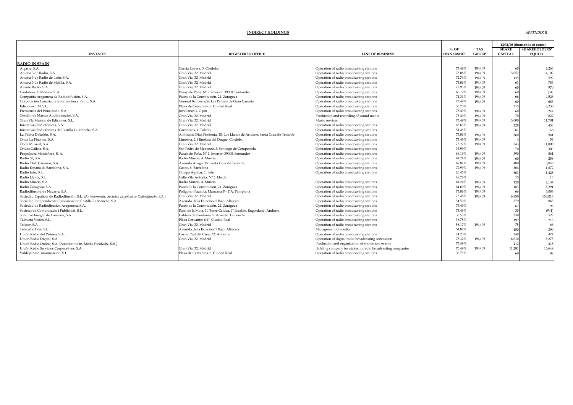|                                                                                                    |                                                                            |                                                            |                  |              |                | 12/31/10 (thousands of euros) |
|----------------------------------------------------------------------------------------------------|----------------------------------------------------------------------------|------------------------------------------------------------|------------------|--------------|----------------|-------------------------------|
|                                                                                                    |                                                                            |                                                            | $\%$ OF          | <b>TAX</b>   | <b>SHARE</b>   | <b>SHAREHOLDERS'</b>          |
| <b>INVESTEE</b>                                                                                    | <b>REGISTERED OFFICE</b>                                                   | <b>LINE OF BUSINESS</b>                                    | <b>OWNERSHII</b> | <b>GROUP</b> | <b>CAPITAL</b> | <b>EQUITY</b>                 |
|                                                                                                    |                                                                            |                                                            |                  |              |                |                               |
| <b>RADIO IN SPAIN</b>                                                                              |                                                                            |                                                            |                  |              |                |                               |
| Algarra, S.A.                                                                                      | García Lovera, 3. Córdoba                                                  | Operation of radio broadcasting stations                   | 73.49%           | 194/09       |                | 2,263                         |
| Antena 3 de Radio, S.A.                                                                            | Gran Vía, 32. Madrid                                                       | Operation of radio broadcasting stations                   | 73.069           | 194/09       | 5.052          | 14,102                        |
| Antena 3 de Radio de León, S.A.                                                                    | Gran Vía, 32. Madrid                                                       | Operation of radio broadcasting stations                   | 72.74%           | 194/09       | 135            | 592                           |
| Antena 3 de Radio de Melilla, S.A.                                                                 | Gran Vía, 32. Madrid                                                       | Operation of radio broadcasting stations                   | 73.06%           | 194/09       |                | 783                           |
| Avante Radio, S.A.                                                                                 | Gran Vía, 32. Madrid                                                       | Operation of radio broadcasting stations                   | 72.95%           | 194/09       |                | 970                           |
| Cantabria de Medios. S. A.                                                                         | Pasaie de Peña. Nº 2. Interior. 39008. Santander                           | Operation of radio broadcasting stations                   | 66.19%           | 194/09       |                | (34)                          |
| Compañía Aragonesa de Radiodifusión, S.A.                                                          | Paseo de la Constitución, 21. Zaragoza                                     | Operation of radio broadcasting stations                   | 71.319           | 194/09       |                | 4,526                         |
| Corporación Canaria de Información y Radio, S.A.                                                   | General Balmes s/n. Las Palmas de Gran Canaria                             | Operation of radio broadcasting stations                   | 73.49%           | 194/09       |                | 683                           |
| Ediciones LM, S.L.                                                                                 | Plaza de Cervantes, 6. Ciudad Real                                         | Operation of radio broadcasting stations                   | 36.75%           |              | 21             | 3,230                         |
| Frecuencia del Principado, S.A.                                                                    | Jovellanos 1, Gijón                                                        | Operation of radio broadcasting stations                   | 73.499           | 194/09       |                | 247                           |
| Gestión de Marcas Audiovisuales, S.A.                                                              | Gran Vía, 32. Madrid                                                       | Production and recording of sound media                    | 73.499           | 194/09       |                | 822                           |
| Gran Vía Musical de Ediciones, S.L.                                                                | Gran Vía, 32. Madrid                                                       | Music services                                             | 73.49%           | 194/09       | 3,000          | 11,701                        |
| Iniciativas Radiofónicas, S.A.                                                                     | Gran Vía, 32. Madrid                                                       | Operation of radio broadcasting stations                   | 68.65%           | 194/09       | 228            | 453                           |
| Iniciativas Radiofónicas de Castilla La Mancha, S.A.                                               | Carreteros, 1. Toledo                                                      | Operation of radio broadcasting stations                   | 51.45%           |              |                | 146                           |
| La Palma Difusión, S.A.                                                                            | Almirante Díaz Pimienta, 10. Los Llanos de Aridane, Santa Cruz de Tenerife | Operation of radio broadcasting stations                   | 73.069           | 194/09       | 36             | 561                           |
| Onda La Finojosa, S.A.                                                                             | Limosna, 2. Hinojosa del Duque. Córdoba                                    | Operation of radio broadcasting stations                   | 73.49%           | 194/09       |                | 54                            |
| Onda Musical, S.A.                                                                                 | Gran Vía, 32. Madrid                                                       | Operation of radio broadcasting stations                   | 73.27%           | 194/09       | 343            | 1,800                         |
| Ondas Galicia, S.A.                                                                                | San Pedro de Mezonzo, 3. Santiago de Compostela                            | Operation of radio broadcasting stations                   | 33.999           |              |                | 303                           |
| Propulsora Montañesa, S. A.                                                                        | Pasaje de Peña. Nº 2. Interior. 39008. Santander                           | Operation of radio broadcasting stations                   | 66.199           | 194/09       | 390            | 861                           |
| Radio 30, S.A.                                                                                     | Radio Murcia, 4. Murcia                                                    | Operation of radio broadcasting stations                   | 61.24%           | 194/09       |                | 258                           |
| Radio Club Canarias, S.A.                                                                          | Avenida Anaga, 35. Santa Cruz de Tenerife                                  | Operation of radio broadcasting stations                   | 69.81%           | 194/09       | 480            | 3,040                         |
| Radio España de Barcelona, S.A.                                                                    | Caspe, 6. Barcelona                                                        | Operation of radio broadcasting stations                   | 72.99%           | 194/09       | 36             | 1,872                         |
| Radio Jaén, S.L.                                                                                   | Obispo Aguilar, 1. Jaén                                                    | Operation of radio broadcasting stations                   | 26.459           |              | 56             | 1,428                         |
| Radio Lleida, S.L.                                                                                 | Calle Vila Antonia. Nº 5. Lleida                                           |                                                            | 48.76%           |              |                | 13                            |
| Radio Murcia, S.A.                                                                                 | Radio Murcia, 4. Murcia                                                    | Operation of radio broadcasting stations                   | 61.24%           | 194/09       |                | 2,134                         |
| Radio Zaragoza, S.A.                                                                               | Paseo de la Constitución, 21. Zaragoza                                     | Operation of radio broadcasting stations                   | 64.699           | 194/09       |                | 3,291                         |
| Radiodifusora de Navarra, S.A.                                                                     | Polígono Plazaola. Manzana F - 2ºA. Pamplona                               | Operation of radio broadcasting stations                   | 73.069           | 194/09       |                | 3.086                         |
| Sociedad Española de Radiodifusión, S.L. (Anteriormente, Sociedad Española de Radiodifusión, S.A.) | Gran Vía, 32. Madrid                                                       | Operation of radio broadcasting stations                   | 73.48%           | 194/09       | 6,95           | 150,013                       |
| Sociedad Independiente Comunicación Castilla La Mancha, S.A.                                       | Avenida de la Estación, 5 Bajo. Albacete                                   | Operation of radio broadcasting stations                   | 54.50%           |              | 379            | 865                           |
| Sociedad de Radiodifusión Aragonesa, S.A.                                                          | Paseo de la Constitución, 21. Zaragoza                                     | Operation of radio broadcasting stations                   | 73.49%           |              |                | 96                            |
| Societat de Comunicacio i Publicidat, S.L.                                                         | Parc. de la Mola, 10 Torre Caldea, 6º Escalde. Engordany .Andorra          | Operation of radio broadcasting stations                   | 73.499           |              |                | (941)                         |
| Sonido e Imagen de Canarias, S.A.                                                                  | Caldera de Bandama, 5. Arrecife. Lanzarote                                 | Operation of radio broadcasting stations                   | 36.53%           |              | 230            | 528                           |
| Talavera Visión, S.L.                                                                              | Plaza Cervantes 64°. Ciudad Real                                           | Operation of radio broadcasting stations                   | 36.75%           |              |                | 218                           |
| Teleser, S.A.                                                                                      | Gran Vía, 32. Madrid                                                       | Operation of radio broadcasting stations                   | 58.17%           | 194/09       |                | 66                            |
| Teleradio Pres. S.L.                                                                               | Avenida de la Estación, 5 Bajo. Albacete                                   | Management of media                                        | 54.879           |              |                | 390                           |
| Unión Radio del Pirineu, S.A.                                                                      | Carrer Prat del Creu, 32. Andorra                                          | Operation of radio broadcasting stations                   | 24.25%           |              | 249            | 474                           |
| Unión Radio Digital, S.A.                                                                          | Gran Vía, 32. Madrid                                                       | Operation of digital radio broadcasting concession         | 73.32%           |              |                |                               |
| Unión Radio Online, S.A. (Anteriormente, Media Festivals, S.A.)                                    |                                                                            | Production and organization of shows and events            | 73.49%           | 194/09       | 6,01<br>41     | 5,273<br>418                  |
| Unión Radio Servicios Corporativos, S.A.                                                           | Gran Vía, 32. Madrid                                                       | Holding company for stakes in radio broadcasting companies | 73.49            |              |                |                               |
|                                                                                                    | Plaza de Cervantes, 6. Ciudad Real                                         | Operation of radio broadcasting stations                   | 36.75%           | 194/09       | 11,28          | 15,649<br>88                  |
| Valdepeñas Comunicación, S.L.                                                                      |                                                                            |                                                            |                  |              |                |                               |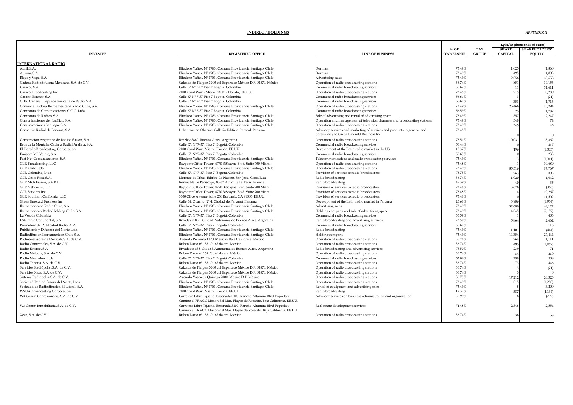|                                                   |                                                                             |                                                                           | $\%$ OF          | <b>TAX</b>   | <b>SHARE</b>   | 12/31/10 (thousands of euros)<br><b>SHAREHOLDERS'</b> |
|---------------------------------------------------|-----------------------------------------------------------------------------|---------------------------------------------------------------------------|------------------|--------------|----------------|-------------------------------------------------------|
| <b>INVESTEE</b>                                   | <b>REGISTERED OFFICE</b>                                                    | <b>LINE OF BUSINESS</b>                                                   | <b>OWNERSHIP</b> | <b>GROUP</b> | <b>CAPITAL</b> | <b>EQUITY</b>                                         |
| <b>INTERNATIONAL RADIO</b>                        |                                                                             |                                                                           |                  |              |                |                                                       |
| Abril, S.A.                                       | Eliodoro Yañex. Nº 1783. Comuna Providencia Santiago. Chile                 | Dormant                                                                   | 73.49%           |              | 1,025          | 1.860                                                 |
| Aurora, S.A.                                      | Eliodoro Yañex. Nº 1783. Comuna Providencia Santiago. Chile                 | Dormant                                                                   | 73.49%           |              | 495            | 1,803                                                 |
| Blaya y Vega, S.A.                                | Eliodoro Yañex. Nº 1783. Comuna Providencia Santiago. Chile                 | Advertising sales                                                         | 73.49%           |              | 2,356          | 18,658                                                |
| Cadena Radiodifusora Mexicana, S.A. de C.V        | Calzada de Tlalpan 3000 col Espartaco México D.F. 04870. México             | Operation of radio broadcasting stations                                  | 36.74%           |              | 851            | 14,156                                                |
| Caracol, S.A.                                     | Calle 67 Nº 7-37 Piso 7 Bogotá. Colombia                                    | Commercial radio broadcasting services                                    | 56.62%           |              | $\mathbf{1}$   | 51,611                                                |
| Caracol Broadcasting Inc.                         | 2100 Coral Way - Miami 33145 - Florida, EE.UU.                              | Operation of radio broadcasting stations                                  | 73.48%           |              | 215            | 3,280                                                 |
| Caracol Estéreo, S.A.                             | Calle 67 Nº 7-37 Piso 7 Bogotá. Colombia                                    | Commercial radio broadcasting services                                    | 56.61%           |              |                | (21)                                                  |
| CHR, Cadena Hispanoamericana de Radio, S.A.       | Calle 67 Nº 7-37 Piso 7 Bogotá. Colombia                                    | Commercial radio broadcasting services                                    | 56.61%           |              | 353            | 1,716                                                 |
| Comercializadora Iberoamericana Radio Chile, S.A. | Eliodoro Yañex. Nº 1783. Comuna Providencia Santiago. Chile                 | Operation of radio broadcasting stations                                  | 73.49%           |              | 25,466         | 15,294                                                |
| Compañía de Comunicaciones C.C.C. Ltda.           | Calle 67 Nº 7-37 Piso 7 Bogotá. Colombia                                    | Commercial radio broadcasting services                                    | 56.59%           |              | 2 <sup>1</sup> | 1,787                                                 |
| Compañía de Radios, S.A.                          | Eliodoro Yañex. Nº 1783. Comuna Providencia Santiago. Chile                 | Sale of advertising and rental of advertising space                       | 73.49%           |              | 357            | 2,247                                                 |
| Comunicaciones del Pacífico, S.A.                 | Eliodoro Yañex. Nº 1783. Comuna Providencia Santiago. Chile                 | Operation and management of television channels and broadcasting stations | 73.49%           |              | 548            | 74                                                    |
| Comunicaciones Santiago, S.A.                     | Eliodoro Yañex. Nº 1783. Comuna Providencia Santiago. Chile                 | Operation of radio broadcasting stations                                  | 73.49%           |              | 545            | 45                                                    |
| Consorcio Radial de Panamá, S.A                   | Urbanización Obarrio, Calle 54 Edificio Caracol. Panamá                     | Advisory services and marketing of services and products in general and   | 73.48%           |              |                |                                                       |
|                                                   |                                                                             | particularly to Green Emerald Business Inc.                               |                  |              |                | $\sqrt{2}$                                            |
| Corporación Argentina de Radiodifusión, S.A.      | Beazley 3860. Buenos Aires. Argentina                                       | Operation of radio broadcasting stations                                  | 73.51%           |              | 10,03          | 5,362                                                 |
| Ecos de la Montaña Cadena Radial Andina, S.A.     | Calle 67. Nº 7-37. Piso 7. Bogotá. Colombia                                 | Commercial radio broadcasting services                                    | 56.44%           |              |                | 417                                                   |
| El Dorado Broadcasting Corporation                | 2100 Coral Way. Miami. Florida. EE.UU.                                      | Development of the Latin radio market in the US                           | 18.37%           |              | 196            | (1, 303)                                              |
| Emisora Mil Veinte, S.A.                          | Calle 67. Nº 7-37. Piso 7. Bogotá. Colombia                                 | Commercial radio broadcasting services                                    | 55.65%           |              |                | 233                                                   |
| Fast Net Comunicaciones, S.A.                     | Eliodoro Yañex. Nº 1783. Comuna Providencia Santiago. Chile                 | Telecommunications and radio broadcasting services                        | 73.49%           |              |                | (1, 341)                                              |
| GLR Broadcasting, LLC                             | Baypoint Office Tower, 4770 BiScayne Blvd. Suite 700 Miami.                 | Operation of radio broadcasting stations                                  | 73.48%           |              |                | 10,689                                                |
| GLR Chile Ltda                                    | Eliodoro Yañex. Nº 1783. Comuna Providencia Santiago. Chile                 | Operation of radio broadcasting stations                                  | 73.49%           |              | 85,51          | 87,767                                                |
| GLR Colombia, Ltda.                               | Calle 67. Nº 7-37. Piso 7. Bogotá. Colombia                                 | Provision of services to radio broadcasters                               | 73.75%           |              | 263            | 303                                                   |
| GLR Costa Rica, S.A.                              | Llorente de Tibás. Edifico La Nación. San José. Costa Rica                  | Radio broadcasting                                                        | 36.74%           |              | 1,020          | 1,042                                                 |
| GLR Midi France, S.A.R.L.                         | Immeuble Le Periscope, 83-87 Av. d'Italie. Paris. Francia                   | Radio broadcasting                                                        | 49.39%           |              | $\overline{A}$ | 35                                                    |
| GLR Networks, LLC                                 | Baypoint Office Tower, 4770 BiScayne Blvd. Suite 700 Miami.                 | Provision of services to radio broadcasters                               | 73.48%           |              | 3,676          | (366)                                                 |
| GLR Services Inc.                                 | Baypoint Office Tower, 4770 BiScayne Blvd. Suite 700 Miami.                 | Provision of services to radio broadcasters                               | 73.48%           |              |                | 19,267                                                |
| GLR Southern California, LLC                      | 500 Olive Avenue Suite 250 Burbank, CA 91505. EE.UU.                        | Provision of services to radio broadcasters                               | 73.48%           |              |                | 11,502                                                |
| Green Emerald Business Inc.                       | Calle 54. Obarrio Nº 4. Ciudad de Panamá. Panamá                            | Development of the Latin radio market in Panama                           | 25.68%           |              | 3.986          | (1,954)                                               |
| Iberoamericana Radio Chile, S.A.                  | Eliodoro Yañex. Nº 1783. Comuna Providencia Santiago. Chile                 | Advertising sales                                                         | 73.49%           |              | 32,680         | 44,122                                                |
| Iberoamerican Radio Holding Chile, S.A.           | Eliodoro Yañex. Nº 1783. Comuna Providencia Santiago. Chile                 | Holding company and sale of advertising space                             | 73.49%           |              | 4,345          | (5, 187)                                              |
| La Voz de Colombia                                | Calle 67. Nº 7-37. Piso 7. Bogotá. Colombia                                 | Commercial radio broadcasting services                                    | 55.59%           |              |                | 403                                                   |
| LS4 Radio Continental, S.A.                       | Rivadavia 835. Ciudad Autónoma de Buenos Aires. Argentina                   | Radio broadcasting and advertising services                               | 73.50%           |              | 5,864          | 2,662                                                 |
| Promotora de Publicidad Radial, S.A.              | Calle 67. Nº 7-37. Piso 7. Bogotá. Colombia                                 | Commercial radio broadcasting services                                    | 56.61%           |              |                | 116                                                   |
| Publicitaria y Difusora del Norte Ltda.           | Eliodoro Yañex. Nº 1783. Comuna Providencia Santiago. Chile                 | Radio broadcasting                                                        | 73.49%           |              | 1,10           | (444)                                                 |
| Radiodifusion Iberoamerican Chile S.A.            | Eliodoro Yañex. Nº 1783. Comuna Providencia Santiago. Chile                 | Holding company                                                           | 73.49%           |              | 14,354         | 27.444                                                |
| Radiotelevisora de Mexicali. S.A. de C.V.         | Avenida Reforma 1270. Mexicali Baja California. México                      | Operation of radio broadcasting stations                                  | 36.74%           |              | 264            | 1.111                                                 |
| Radio Comerciales, S.A. de C.V.                   | Rubén Darío nº 158. Guadalajara. México                                     | Operation of radio broadcasting stations                                  | 36.74%           |              | 495            | (1,067)                                               |
| Radio Estéreo, S.A                                | Rivadavia 835. Ciudad Autónoma de Buenos Aires. Argentina                   | Radio broadcasting and advertising services                               | 73.50%           |              | 239            | 71                                                    |
| Radio Melodía, S.A. de C.V.                       | Rubén Darío nº 158. Guadalajara. México                                     | Operation of radio broadcasting stations                                  | 36.74%           |              | $\mathbf{R}$   | 210                                                   |
| Radio Mercadeo, Ltda.                             | Calle 67. Nº 7-37. Piso 7. Bogotá. Colombia                                 | Commercial radio broadcasting services                                    | 53.06%           |              | 298            | 508                                                   |
| Radio Tapatía, S.A. de C.V.                       | Rubén Darío nº 158. Guadalajara. México                                     | Operation of radio broadcasting stations                                  | 36.74%           |              | $\overline{7}$ | 446                                                   |
| Servicios Radiópolis, S.A. de C.V.                | Calzada de Tlalpan 3000 col Espartaco México D.F. 04870. México             | Operation of radio broadcasting stations                                  | 36.74%           |              |                | (71)                                                  |
| Servicios Xezz, S.A. de C.V.                      | Calzada de Tlalpan 3000 col Espartaco México D.F. 04870. México             | Operation of radio broadcasting stations                                  | 36.74%           |              |                |                                                       |
| Sistema Radiópolis, S.A. de C.V                   | Avenida Vasco de Quiroga 2000. México D.F. México                           | Operation of radio broadcasting stations                                  | 36.75%           |              | 17,212         | 20,323                                                |
| Sociedad Radiodifusora del Norte, Ltda.           | Eliodoro Yañex. Nº 1783. Comuna Providencia Santiago. Chile                 | Operation of radio broadcasting stations                                  | 73.49%           |              | 315            | (1,280)                                               |
| Sociedad de Radiodifusión El Litoral, S.A.        | Eliodoro Yañex. Nº 1783. Comuna Providencia Santiago. Chile                 | Rental of equipment and advertising sales                                 | 73.49%           |              |                | 3,200                                                 |
| <b>WSUA Broadcasting Corporation</b>              | 2100 Coral Way. Miami. Florida. EE.UU.                                      | Radio broadcasting                                                        | 18.37%           |              | 587            | (4, 134)                                              |
| W3 Comm Concesionaria, S.A. de C.V.               | Carretera Libre Tijuana. Ensenada 3100. Rancho Altamira Blvd Popotla y      | Advisory services on business administration and organization             | 35.99%           |              |                | (799)                                                 |
|                                                   | Camino al FRACC Misión del Mar. Playas de Rosarito. Baja California. EE.UU. |                                                                           |                  |              |                |                                                       |
| W3 Comm Inmobiliaria, S.A. de C.V.                | Carretera Libre Tijuana. Ensenada 3100. Rancho Altamira Blvd Popotla y      | Real estate development services                                          | 74.48%           |              | 2.348          | 2,554                                                 |
|                                                   | Camino al FRACC Misión del Mar. Playas de Rosarito. Baja California. EE.UU. |                                                                           |                  |              |                |                                                       |
| Xezz, S.A. de C.V.                                | Rubén Darío nº 158. Guadalajara. México                                     | Operation of radio broadcasting stations                                  | 36.74%           |              | $\mathbf{a}$   | 58                                                    |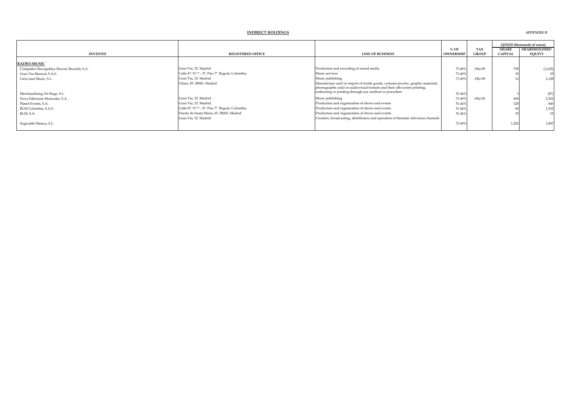|                                            |                                                 |                                                                                    |                  |              |                | 12/31/10 (thousands of euros) |
|--------------------------------------------|-------------------------------------------------|------------------------------------------------------------------------------------|------------------|--------------|----------------|-------------------------------|
|                                            |                                                 |                                                                                    | $%$ OF           | <b>TAX</b>   | <b>SHARE</b>   | <b>SHAREHOLDERS'</b>          |
| <b>INVESTEE</b>                            | <b>REGISTERED OFFICE</b>                        | <b>LINE OF BUSINESS</b>                                                            | <b>OWNERSHIP</b> | <b>GROUP</b> | <b>CAPITAL</b> | <b>EQUITY</b>                 |
| <b>RADIO-MUSIC</b>                         |                                                 |                                                                                    |                  |              |                |                               |
| Compañía Discográfica Muxxic Records, S.A. | Gran Vía, 32. Madrid                            | Production and recording of sound media                                            | 73.49%           | 194/09       | 750            | (1,622)                       |
| Gran Vía Musical, S.A.S.                   | Calle 67. Nº 7 - 37. Piso 7º. Bogotá. Colombia. | Music services                                                                     | 73.49%           |              |                |                               |
| Lirics and Music, S.L.                     | Gran Vía, 32. Madrid                            | Music publishing                                                                   | 73.49%           | 194/09       |                | 1,128                         |
|                                            | Ulises, 49. 28043. Madrid                       | Manufacture and/or import of textile goods, costume jewelry, graphic materials,    |                  |              |                |                               |
|                                            |                                                 | phonographic and/or audiovisual formats and their silk-screen printing,            |                  |              |                |                               |
| Merchandising On Stage, S.L.               |                                                 | embossing or printing through any method or procedure                              | 51.44%           |              |                | (87)                          |
| Nova Ediciones Musicales, S.A.             | Gran Vía, 32. Madrid                            | Music publishing                                                                   | 73.49%           | 194/09       |                | 2,362                         |
| Planet Events, S.A.                        | Gran Vía, 32. Madrid                            | Production and organization of shows and events                                    | 51.44%           |              |                | 646                           |
| RLM Colombia, S.A.S.                       | Calle 67. Nº 7 - 37. Piso 7º. Bogotá. Colombia. | Production and organization of shows and events                                    | 51.44%           |              |                | 1,532                         |
| RLM, S.A.                                  | Puerto de Santa María, 65, 28043. Madrid        | Production and organization of shows and events                                    | 51.44%           |              |                |                               |
|                                            | Gran Vía, 32. Madrid                            | Creation, broadcasting, distribution and operation of thematic television channels |                  |              |                |                               |
| Sogecable Música, S.L.                     |                                                 |                                                                                    | 73.49%           |              | 1,202          | 1,897                         |
|                                            |                                                 |                                                                                    |                  |              |                |                               |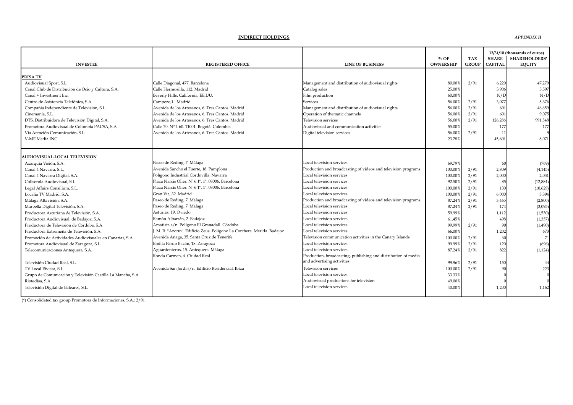*APPENDIX II*

| <b>INVESTEE</b>                                             | <b>REGISTERED OFFICE</b>                                               | <b>LINE OF BUSINESS</b>                                        | $%$ OF<br><b>OWNERSHIP</b> | <b>TAX</b><br><b>GROUP</b> | <b>SHARE</b><br><b>CAPITAI</b> | 12/31/10 (thousands of euros)<br><b>SHAREHOLDERS'</b><br><b>EOUITY</b> |
|-------------------------------------------------------------|------------------------------------------------------------------------|----------------------------------------------------------------|----------------------------|----------------------------|--------------------------------|------------------------------------------------------------------------|
| PRISA TV                                                    |                                                                        |                                                                |                            |                            |                                |                                                                        |
| Audiovisual Sport, S.L                                      | Calle Diagonal, 477. Barcelona                                         | Management and distribution of audiovisual rights              | 80.00                      | 2/91                       | 6,220                          | 47,279                                                                 |
| Canal Club de Distribución de Ocio y Cultura, S.A.          | Calle Hermosilla, 112. Madrid                                          | Catalog sales                                                  | 25.00%                     |                            | 3,906                          | 5.597                                                                  |
| Canal + Investment Inc.                                     | Beverly Hills. California. EE.UU.                                      | Film production                                                | 60.00%                     |                            | N/D                            | N/D                                                                    |
| Centro de Asistencia Telefónica, S.A.                       | Campezo,1. Madrid                                                      | Services                                                       | 56.00%                     | 2/91                       | 3,077                          | 5,676                                                                  |
| Compañía Independiente de Televisión, S.L.                  | Avenida de los Artesanos, 6. Tres Cantos. Madrid                       | Management and distribution of audiovisual rights              | 56.00%                     | 2/91                       | 601                            | 46,659                                                                 |
| Cinemanía, S.L.                                             | Avenida de los Artesanos, 6. Tres Cantos, Madrid                       | Operation of thematic channels                                 | 56.00                      | 2/91                       | 601                            | 9,075                                                                  |
| DTS, Distribuidora de Televisión Digital, S.A.              | Avenida de los Artesanos, 6. Tres Cantos, Madrid                       | <b>Television services</b>                                     | 56.00%                     | 2/91                       | 126,286                        | 991,548                                                                |
| Promotora Audiovisual de Colombia PACSA, S.A                | Calle 70. Nº 4-60. 11001. Bogotá. Colombia                             | Audiovisual and communication activities                       | 55.00%                     |                            | 177                            | 177                                                                    |
| Vía Atención Comunicación, S.L.                             | Avenida de los Artesanos, 6. Tres Cantos. Madrid                       | Digital television services                                    | 56.00%                     | 2/91                       | 11                             |                                                                        |
| V-ME Media INC                                              |                                                                        |                                                                | 23.78%                     |                            | 45,601                         | 8.071                                                                  |
|                                                             |                                                                        |                                                                |                            |                            |                                |                                                                        |
| <b>AUDIOVISUAL-LOCAL TELEVISION</b>                         |                                                                        |                                                                |                            |                            |                                |                                                                        |
| Axarquía Visión, S.A.                                       | Paseo de Reding, 7. Málaga                                             | Local television services                                      | 69.79%                     |                            | 60                             | (769)                                                                  |
| Canal 4 Navarra, S.L.                                       | Avenida Sancho el Fuerte, 18. Pamplona                                 | Production and broadcasting of videos and television programs  | 100.00%                    | 2/91                       | 2,809                          | (4, 145)                                                               |
| Canal 4 Navarra Digital, S.A.                               | Polígono Industrial Cordovilla. Navarra                                | Local television services                                      | 100.00%                    | 2/91                       | 2,000                          | 2,031                                                                  |
| Collserola Audiovisual, S.L.                                | Plaza Narcis Oller. Nº 61º.1ª. 08006. Barcelona                        | Local television services                                      | 92.50%                     | 2/91                       | 85                             | (12,884)                                                               |
| Legal Affairs Consilium, S.L.                               | Plaza Narcis Oller. Nº 6 1º. 1ª. 08006. Barcelona                      | Local television services                                      | 100.00%                    | 2/91                       | 130                            | (10,629)                                                               |
| Localia TV Madrid, S.A.                                     | Gran Vía, 32. Madrid                                                   | Local television services                                      | 100.009                    | 2/91                       | 6,000                          | 3.394                                                                  |
| Málaga Altavisión, S.A.                                     | Paseo de Reding, 7. Málaga                                             | Production and broadcasting of videos and television programs  | 87.24%                     | 2/91                       | 3,465                          | (2,800)                                                                |
| Marbella Digital Televisión, S.A.                           | Paseo de Reding, 7. Málaga                                             | Local television services                                      | 87.24%                     | 2/91                       | 174                            | (3,095)                                                                |
| Productora Asturiana de Televisión, S.A.                    | Asturias, 19. Oviedo                                                   | Local television services                                      | 59.99%                     |                            | 1,112                          | (1,530)                                                                |
| Productora Audiovisual de Badajoz, S.A.                     | Ramón Albarrán, 2. Badajoz                                             | Local television services                                      | 61.45%                     |                            | 498                            | (1, 337)                                                               |
| Productora de Televisión de Córdoba, S.A.                   | Amatista s/n. Polígono El Granadall. Córdoba                           | Local television services                                      | 99.99%                     | 2/91                       | 90                             | (1,490)                                                                |
| Productora Extremeña de Televisión, S.A.                    | . M. R. "Azorín". Edificio Zeus. Polígono La Corchera. Mérida. Badajoz | Local television services                                      | 66.00                      |                            | 1,202                          | 673                                                                    |
| Promoción de Actividades Audiovisuales en Canarias, S.A.    | Avenida Anaga, 35. Santa Cruz de Tenerife                              | Television communication activities in the Canary Islands      | 100.009                    | 2/91                       | 60                             | 71                                                                     |
| Promotora Audiovisual de Zaragoza, S.L.                     | Emilia Pardo Bazán, 18. Zaragoza                                       | Local television services                                      | 99.99 <sup>9</sup>         | 2/91                       | 120                            | (696)                                                                  |
| Telecomunicaciones Antequera, S.A.                          | Aguardenteros, 15. Antequera. Málaga                                   | Local television services                                      | 87.24%                     | 2/91                       | 822                            | (1, 124)                                                               |
|                                                             | Ronda Carmen, 4. Ciudad Real                                           | Production, broadcasting, publishing and distribution of media |                            |                            |                                |                                                                        |
| Televisión Ciudad Real, S.L.                                |                                                                        | and advertising activities                                     | 99.96%                     | 2/91                       | 150                            | 44                                                                     |
| TV Local Eivissa, S.L.                                      | Avenida San Jordi s/n. Edificio Residencial. Ibiza                     | Television services                                            | 100.00%                    | 2/91                       | 90                             | 223                                                                    |
| Grupo de Comunicación y Televisión Castilla La Mancha, S.A. |                                                                        | Local television services                                      | 33.33%                     |                            |                                |                                                                        |
| Riotedisa, S.A.                                             |                                                                        | Audiovisual productions for television                         | 49.00%                     |                            |                                |                                                                        |
| Televisión Digital de Baleares, S.L.                        |                                                                        | ocal television services                                       | 40.00%                     |                            | 1,200                          | 1,162                                                                  |
|                                                             |                                                                        |                                                                |                            |                            |                                |                                                                        |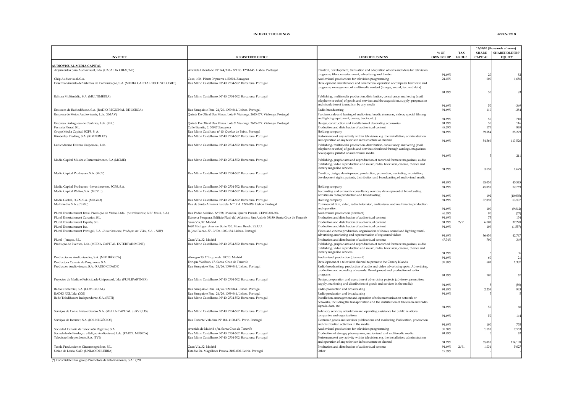|                                                                                                                  |                                                                                                                                     |                                                                                                                                                                  |                  |              |                | 12/31/10 (thousands of euros) |
|------------------------------------------------------------------------------------------------------------------|-------------------------------------------------------------------------------------------------------------------------------------|------------------------------------------------------------------------------------------------------------------------------------------------------------------|------------------|--------------|----------------|-------------------------------|
|                                                                                                                  |                                                                                                                                     |                                                                                                                                                                  | $%$ OF           | TAX          | <b>SHARE</b>   | <b>SHAREHOLDERS'</b>          |
| <b>INVESTEE</b>                                                                                                  | <b>REGISTERED OFFICE</b>                                                                                                            | <b>LINE OF BUSINESS</b>                                                                                                                                          | <b>OWNERSHIP</b> | <b>GROUP</b> | <b>CAPITAL</b> | <b>EQUITY</b>                 |
| <b>AUDIOVISUAL-MEDIA CAPITAL</b>                                                                                 |                                                                                                                                     |                                                                                                                                                                  |                  |              |                |                               |
| Argumentos para Audiovisual, Lda. (CASA DA CRIAÇAO)                                                              | Avenida Liberdade. Nº 144/156 - 6º Dto. 1250-146. Lisboa. Portugal                                                                  | Creation, development, translation and adaptation of texts and ideas for television                                                                              |                  |              |                |                               |
|                                                                                                                  |                                                                                                                                     | programs, films, entertainment, advertising and theater                                                                                                          | 94.69%           |              | 20             |                               |
| Chip Audiovisual, S.A.<br>Desenvolvimento de Sistemas de Comunicação, S.A. (MEDIA CAPITAL TECHNOLOGIES)          | Coso, 100. Planta 3ª puerta 4-50001. Zaragoza<br>Rua Mário Castelhano. Nº 40. 2734-502. Barcarena. Portugal                         | Audiovisual productions for television programming<br>Development, maintenance and commercial operation of computer hardware and                                 | 24.15%           |              | 600            | 1,656                         |
|                                                                                                                  |                                                                                                                                     | programs; management of multimedia content (images, sound, text and data)                                                                                        |                  |              |                |                               |
|                                                                                                                  |                                                                                                                                     |                                                                                                                                                                  | 94.69%           |              | 50             | $8^{\circ}$                   |
| Editora Multimédia, S.A. (MULTIMÉDIA)                                                                            | Rua Mário Castelhano. Nº 40. 2734-502. Barcarena. Portugal                                                                          | Publishing, multimedia production, distribution, consultancy, marketing (mail,                                                                                   |                  |              |                |                               |
|                                                                                                                  |                                                                                                                                     | telephone or other) of goods and services and the acquisition, supply, preparation                                                                               |                  |              |                |                               |
|                                                                                                                  |                                                                                                                                     | and circulation of journalism by any media                                                                                                                       | 94.69%           |              | 50             | $-369$                        |
| Emissoes de Radiodifusao, S.A. (RADIO REGIONAL DE LISBOA)<br>Empresa de Meios Audiovisuais, Lda. (EMAV)          | Rua Sampaio e Pina. 24/26. 1099-044. Lisboa. Portugal<br>Quinta Do Olival Das Minas. Lote 9. Vialonga. 2625-577. Vialonga. Portugal | Radio broadcasting<br>Purchase, sale and leasing of audiovisual media (cameras, videos, special filming                                                          | 94.69%           |              | 110            | $-284$                        |
|                                                                                                                  |                                                                                                                                     | and lighting equipment, cranes, tracks, etc.)                                                                                                                    | 94.69%           |              | 50             | 710                           |
| Empresa Portuguesa de Cenários, Lda. (EPC)                                                                       | Quinta Do Olival Das Minas. Lote 9. Vialonga. 2625-577. Vialonga. Portugal                                                          | Design, construction and installation of decorating accessories                                                                                                  | 94.69%           |              | 50             | 116                           |
| Factoría Plural, S.L.                                                                                            | Calle Biarritz, 2. 50017 Zaragoza                                                                                                   | Production and distribution of audiovisual content                                                                                                               | 48.29%           |              | 175            | 865                           |
| Grupo Media Capital, SGPS, S. A.                                                                                 | Rua Mário Castlhano nº 40. Queluz de Baixo. Portugal                                                                                | Holding company                                                                                                                                                  | 94.69%           |              | 89,584         | 85,279                        |
| Kimberley Trading, S.A. (KIMBERLEY)                                                                              | Rua Mário Castelhano. Nº 40. 2734-502. Barcarena. Portugal                                                                          | Performance of any activity within television, e.g. the installation, administration<br>and operation of any televison infrastructure or channel                 | 94.69%           |              | 54,560         | 113,526                       |
| Lúdicodrome Editora Unipessoal, Lda.                                                                             | Rua Mário Castelhano. Nº 40. 2734-502. Barcarena. Portugal                                                                          | Publishing, multimedia production, distribution, consultancy, marketing (mail,                                                                                   |                  |              |                |                               |
|                                                                                                                  |                                                                                                                                     | telephone or other) of goods and services circulated through catalogs, magazines,                                                                                |                  |              |                |                               |
|                                                                                                                  |                                                                                                                                     | newspapers, printed or audiovisual media                                                                                                                         | 94.69%           |              |                | 211                           |
| Media Capital Música e Entretenimento, S.A (MCME)                                                                | Rua Mário Castelhano. Nº 40. 2734-502. Barcarena. Portugal                                                                          | Publishing, graphic arts and reproduction of recorded formats: magazines, audio                                                                                  |                  |              |                |                               |
|                                                                                                                  |                                                                                                                                     | publishing, video reproduction and music, radio, television, cinema, theater and                                                                                 |                  |              |                |                               |
|                                                                                                                  |                                                                                                                                     | literary magazine services                                                                                                                                       | 94.69%           |              | 3,050          | 1,679                         |
| Media Capital Produções, S.A. (MCP)                                                                              | Rua Mário Castelhano. Nº 40. 2734-502. Barcarena. Portugal                                                                          | Creation, design, development, production, promotion, marketing, acquisition,<br>development rights, patents, distribution and broadcasting of audiovisual media |                  |              |                |                               |
|                                                                                                                  |                                                                                                                                     |                                                                                                                                                                  | 94.69%           |              | 45.050         | 45,545                        |
| Media Capital Produçoes - Investimentos, SGPS, S.A.                                                              | Rua Mário Castelhano. Nº 40. 2734-502. Barcarena. Portugal                                                                          | Holding company                                                                                                                                                  | 94.69%           |              | 45,050         | 52,759                        |
| Media Capital Rádios, S.A (MCR II)                                                                               | Rua Mário Castelhano. Nº 40. 2734-502. Barcarena. Portugal                                                                          | Accounting and economic consultancy services; development of broadcasting                                                                                        |                  |              |                |                               |
|                                                                                                                  |                                                                                                                                     | activities in radio production and broadcasting                                                                                                                  | 94.69%           |              | 192            | (10,095)                      |
| Media Global, SGPS, S.A. (MEGLO)<br>Multimedia, S.A. (CLMC)                                                      | Rua Mário Castelhano. Nº 40. 2734-502. Barcarena. Portugal<br>Rua de Santo Amaro à Estrela. Nº 17 A. 1249-028. Lisboa. Portugal     | Holding company<br>Commercial film, video, radio, television, audiovisual and multimedia production                                                              | 94.69%           |              | 37,098         | 63,507                        |
|                                                                                                                  |                                                                                                                                     | and operation                                                                                                                                                    | 94.69%           |              | 100            | (9, 812)                      |
| Plural Entertainment Brasil Produçao de Vídeo, Ltda. (Anteriormente, NBP Brasil, S.A.)                           | Rua Padre Adelino. Nº 758, 3º andar, Quarta Parada. CEP 03303-904.                                                                  | Audiovisual production (dormant)                                                                                                                                 | 46.39%           |              | 90             | (27)                          |
| Plural Entertainment Canarias, S.L.                                                                              | Dársena Pesquera. Edificio Plató del Atlántico. San Andrés 38180. Santa Cruz de Tenerife                                            | Production and distribution of audiovisual content                                                                                                               | 94.69%           |              | $75\,$         | 154                           |
| Plural Entertainment España, S.L.                                                                                | Gran Vía, 32. Madrid                                                                                                                | Production and distribution of audiovisual content                                                                                                               | 94.69%           | 2/91         | 6,000          | 37,278                        |
| Plural Entertainment Inc.<br>Plural Entertainment Portugal, S.A. (Anteriormente, Produçao em Vídeo, S.A. - NBP)  | 1680 Michigan Avenue. Suite 730. Miami Beach. EE.UU.<br>R. José Falcao. 57 - 3º Dt. 1000-184. Lisboa. Portugal                      | Production and distribution of audiovisual content<br>Video and cinema production, organization of shows, sound and lighting rental,                             | 94.69%           |              | 109            | (1, 557)                      |
|                                                                                                                  |                                                                                                                                     | advertising, marketing and representation of registered videos                                                                                                   | 94.69%           |              | 36,650         | 42,747                        |
| Plural - Jempsa, S.L.                                                                                            | Gran Vía, 32. Madrid                                                                                                                | Production and distribution of audiovisual content                                                                                                               | 47.34%           |              | 700            | 34                            |
| Produçao de Eventos, Lda. (MEDIA CAPITAL ENTERTAINMENT)                                                          | Rua Mário Castelhano. Nº 40. 2734-502. Barcarena. Portugal                                                                          | Publishing, graphic arts and reproduction of recorded formats: magazines, audio                                                                                  |                  |              |                |                               |
|                                                                                                                  |                                                                                                                                     | publishing, video reproduction and music, radio, television, cinema, theater and<br>literary magazine services                                                   | 94.69%           |              |                |                               |
| Producciones Audiovisuales, S.A. (NBP IBÉRICA)                                                                   | Almagro 13. 1º Izquierda. 28010. Madrid                                                                                             | Audiovisual production (dormant)                                                                                                                                 | 94.69%           |              | 60             | $\overline{2}$                |
| Productora Canaria de Programas, S.A.                                                                            | Enrique Wolfson, 17. Santa Cruz de Tenerife                                                                                         | Development of a television channel to promote the Canary Islands                                                                                                | 37.88%           |              | 601            | 1,307                         |
| Produções Audiovisuais, S.A. (RADIO CIDADE)                                                                      | Rua Sampaio e Pina. 24/26. 1099-044. Lisboa. Portugal                                                                               | Radio broadcasting, production of audio and video advertising spots. Advertising,                                                                                |                  |              |                |                               |
|                                                                                                                  |                                                                                                                                     | production and recording of records. Development and production of radio                                                                                         |                  |              |                |                               |
| Projectos de Media e Publicidade Unipessoal, Lda. (PUPLIPARTNER)                                                 |                                                                                                                                     | programs                                                                                                                                                         | 94.69%           |              | 100            | 67                            |
|                                                                                                                  | Rua Mário Castelhano. Nº 40. 2734-502. Barcarena. Portugal                                                                          | Design, preparation and execution of advertising projects (advisory, promotion,<br>supply, marketing and distribution of goods and services in the media)        | 94.69%           |              |                | (50)                          |
| Radio Comercial, S.A. (COMERCIAL)                                                                                | Rua Sampaio e Pina. 24/26. 1099-044. Lisboa. Portugal                                                                               | Radio production and broadcasting                                                                                                                                | 94.69%           |              | 2,255          | 943                           |
| RADIO XXI, Lda. (XXI)                                                                                            | Rua Sampaio e Pina. 24/26. 1099-044. Lisboa. Portugal                                                                               | Radio production and broadcasting                                                                                                                                | 94.69%           |              |                |                               |
| Rede Teledifusora Independente, S.A. (RETI)                                                                      | Rua Mário Castelhano. Nº 40. 2734-502. Barcarena. Portugal                                                                          | Installation, management and operation of telecommunication network or                                                                                           |                  |              |                |                               |
|                                                                                                                  |                                                                                                                                     | networks, including the transportation and the distribution of television and radio<br>signals, data, etc.                                                       |                  |              |                |                               |
| Serviços de Consultoria e Gestao, S.A. (MEDIA CAPITAL SERVIÇOS)                                                  | Rua Mário Castelhano. Nº 40. 2734-502. Barcarena. Portugal                                                                          | Advisory services, orientation and operating assistance for public relations                                                                                     | 94.69%           |              |                |                               |
|                                                                                                                  |                                                                                                                                     | ompanies and organizations                                                                                                                                       | 94.69%           |              | 50             | 144                           |
| Serviços de Internet, S.A. (IOL NEGÓCIOS)                                                                        | Rua Tenente Valadim. Nº 181. 4100-479. Porto. Portugal                                                                              | Electronic goods and services publications and marketing. Publication, production                                                                                |                  |              |                |                               |
|                                                                                                                  |                                                                                                                                     | and distribution activities in the media                                                                                                                         | 94.69%           |              | 100            | 755                           |
| Sociedad Canaria de Televisión Regional, S.A.<br>Sociedade de Produçao e Ediçao Audiovisual, Lda. (FAROL MÚSICA) | Avenida de Madrid s/n. Santa Cruz de Tenerife<br>Rua Mário Castelhano. Nº 40. 2734-502. Barcarena. Portugal                         | Audiovisual productions for television programming<br>Production of storage, phonograms, audiovisual and multimedia media                                        | 37.88%<br>94.69% |              | 1,510          | 2,553                         |
| Televisao Independente, S.A. (TVI)                                                                               | Rua Mário Castelhano. Nº 40. 2734-502. Barcarena. Portugal                                                                          | Performance of any activity within television, e.g. the installation, administration                                                                             |                  |              |                |                               |
|                                                                                                                  |                                                                                                                                     | and operation of any televison infrastructure or channel                                                                                                         | 94.69%           |              | 65,810         | 114,198                       |
| Tesela Producciones Cinematográficas, S.L.                                                                       | Gran Vía, 32. Madrid                                                                                                                | Production and distribution of audiovisual content                                                                                                               | 94.69%           | 2/91         | 1,034          | 5,027                         |
| Uniao de Leiria, SAD. (UNIAO DE LEIRIA)                                                                          | Estádio Dr. Magalhaes Pessoa. 2400-000. Leiria. Portugal                                                                            | Other                                                                                                                                                            | 19.09%           |              |                |                               |
|                                                                                                                  |                                                                                                                                     |                                                                                                                                                                  |                  |              |                |                               |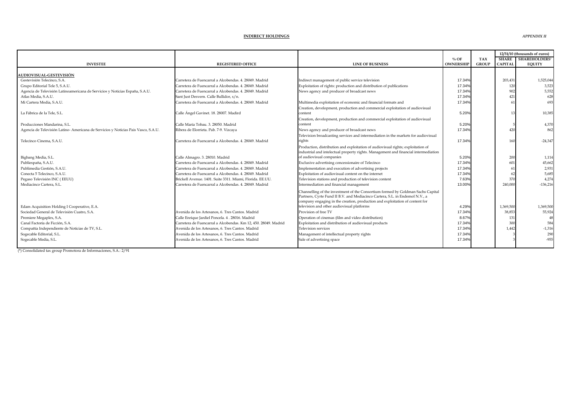*APPENDIX II*

|                                                                                   |                                                                 |                                                                                     |                  | 12/31/10 (thousands of euros) |                |                      |
|-----------------------------------------------------------------------------------|-----------------------------------------------------------------|-------------------------------------------------------------------------------------|------------------|-------------------------------|----------------|----------------------|
|                                                                                   |                                                                 |                                                                                     | $%$ OF           | <b>TAX</b>                    | <b>SHARE</b>   | <b>SHAREHOLDERS'</b> |
| <b>INVESTEE</b>                                                                   | <b>REGISTERED OFFICE</b>                                        | <b>LINE OF BUSINESS</b>                                                             | <b>OWNERSHIP</b> | <b>GROUP</b>                  | <b>CAPITAI</b> | <b>EQUITY</b>        |
| <b>AUDIOVISUAL-GESTEVISIÓN</b>                                                    |                                                                 |                                                                                     |                  |                               |                |                      |
| Gestevisión Telecinco, S.A.                                                       | Carretera de Fuencarral a Alcobendas, 4, 28049, Madrid          | Indirect management of public service television                                    | 17.34%           |                               | 203,431        | 1,525,044            |
| Grupo Editorial Tele 5, S.A.U.                                                    | Carretera de Fuencarral a Alcobendas, 4, 28049, Madrid          | Exploitation of rights: production and distribution of publications                 | 17.34%           |                               | 120            | 3.523                |
| Agencia de Televisión Latinoamericana de Servicios y Noticias España, S.A.U.      | Carretera de Fuencarral a Alcobendas, 4, 28049, Madrid          | News agency and producer of broadcast news                                          | 17.34%           |                               | 902            | 5,552                |
| Atlas Media, S.A.U.                                                               | Sant Just Desvern. Calle Bullidor, s/n.                         |                                                                                     | 17.34%           |                               | 421            | 628                  |
| Mi Cartera Media, S.A.U.                                                          | Carretera de Fuencarral a Alcobendas, 4, 28049, Madrid          | Multimedia exploitation of economic and financial formats and                       | 17.34%           |                               | 61             | 693                  |
|                                                                                   |                                                                 | Creation, development, production and commercial exploitation of audiovisual        |                  |                               |                |                      |
| La Fábrica de la Tele. S.L.                                                       | Calle Ángel Gavinet. 18. 28007. Madird                          | content                                                                             | 5.20%            |                               | $1^{\circ}$    | 10.385               |
|                                                                                   |                                                                 | Creation, development, production and commercial exploitation of audiovisual        |                  |                               |                |                      |
| Producciones Mandarina, S.L.                                                      | Calle María Tobau, 3, 28050, Madrid                             | content                                                                             | 5.20%            |                               |                | 4.370                |
| Agencia de Televisión Latino-Americana de Servicios y Noticias Pais Vasco, S.A.U. | Ribera de Elorrieta. Pab. 7-9. Vizcaya                          | News agency and producer of broadcast news                                          | 17.34%           |                               | 420            | 862                  |
|                                                                                   |                                                                 | Television broadcasting services and intermediation in the markets for audiovisual  |                  |                               |                |                      |
| Telecinco Cinema, S.A.U.                                                          | Carretera de Fuencarral a Alcobendas, 4, 28049, Madrid          | rights                                                                              | 17.34%           |                               | 160            | $-24.347$            |
|                                                                                   |                                                                 | Production, distribution and exploitation of audiovisual rights; exploitation of    |                  |                               |                |                      |
|                                                                                   |                                                                 | industrial and intelectual property rights. Management and financial intermediation |                  |                               |                |                      |
| Bigbang Media, S.L.                                                               | Calle Almagro. 3. 28010. Madrid                                 | of audiovisual companies                                                            | 5.20%            |                               | 200            | 1.114                |
| Publiespaña, S.A.U.                                                               | Carretera de Fuencarral a Alcobendas, 4, 28049, Madrid          | Exclusive advertising concessionaire of Telecinco                                   | 17.34%           |                               | 601            | 45,662               |
| Publimedia Gestión, S.A.U.                                                        | Carretera de Fuencarral a Alcobendas, 4, 28049, Madrid          | Implementation and execution of advertising projects                                | 17.34%           |                               | 61             | 2,931                |
| Conecta 5 Telecinco, S.A.U.                                                       | Carretera de Fuencarral a Alcobendas. 4. 28049. Madrid          | Exploitation of audiovisual content on the internet                                 | 17.34%           |                               | 62             | 5.685                |
| Pegaso Televisión INC (EEUU)                                                      | Brickell Avenue. 1401. Suite 3311. Miami, Florida. EE.UU.       | Television stations and production of television content                            | 7.63%            |                               | 370            | 4,274                |
| Mediacinco Cartera, S.L.                                                          | Carretera de Fuencarral a Alcobendas, 4, 28049, Madrid          | Intermediation and financial management                                             | 13.00%           |                               | 240,000        | $-136.216$           |
|                                                                                   |                                                                 | Channelling of the investment of the Consortium formed by Goldman Sachs Capital     |                  |                               |                |                      |
|                                                                                   |                                                                 | Partners, Cyrte Fund II B.V. and Mediacinco Cartera, S.L. in Endemol N.V., a        |                  |                               |                |                      |
|                                                                                   |                                                                 | company engaging in the creation, production and exploitation of content for        |                  |                               |                |                      |
| Edam Acquisition Holding I Cooperative, E.A.                                      |                                                                 | television and other audiovisual platforms                                          | 4.29%            |                               | 1,369,500      | 1,369,500            |
| Sociedad General de Televisión Cuatro, S.A.                                       | Avenida de los Artesanos, 6, Tres Cantos, Madrid                | Provision of free TV                                                                | 17.34%           |                               | 38,853         | 55.924               |
| Premiere Megaplex, S.A.                                                           | Calle Enrique Jardiel Poncela. 4. 28016. Madrid                 | Operation of cinemas (film and video distribution)                                  | 8.67%            |                               | 131            | 48                   |
| Canal Factoría de Ficción. S.A.                                                   | Carretera de Fuencarral a Alcobendas, Km 12, 450, 28049, Madrid | Exploitation and distribution of audiovisual products                               | 17.34%           |                               | 300            | 584                  |
| Compañía Independiente de Noticias de TV, S.L.                                    | Avenida de los Artesanos, 6. Tres Cantos. Madrid                | Television services                                                                 | 17.34%           |                               | 1,442          | $-1,316$             |
| Sogecable Editorial, S.L.                                                         | Avenida de los Artesanos, 6, Tres Cantos, Madrid                | Management of intellectual property rights                                          | 17.34%           |                               |                | 290                  |
| Sogecable Media, S.L.                                                             | Avenida de los Artesanos, 6. Tres Cantos, Madrid                | Sale of advertising space                                                           | 17.34%           |                               |                | $-955$               |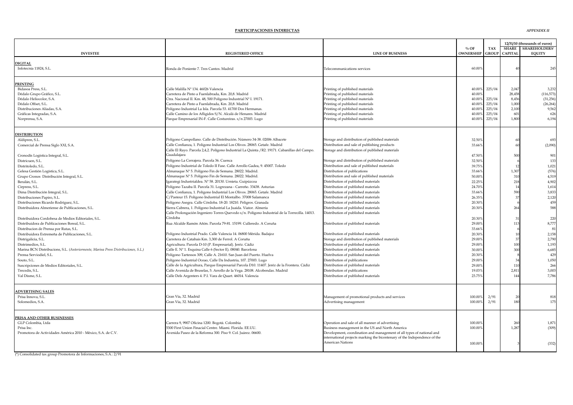#### **PARTICIPACIONES INDIRECTAS**

|                                                                                   |                                                                                                          |                                                                           |                  |              | 12/31/10 (thousands of euros) |                     |
|-----------------------------------------------------------------------------------|----------------------------------------------------------------------------------------------------------|---------------------------------------------------------------------------|------------------|--------------|-------------------------------|---------------------|
|                                                                                   |                                                                                                          |                                                                           | $%$ OF           | <b>TAX</b>   | <b>SHARE</b>                  | <b>SHAREHOLDERS</b> |
| <b>INVESTEE</b>                                                                   | <b>REGISTERED OFFICE</b>                                                                                 | <b>LINE OF BUSINESS</b>                                                   | <b>OWNERSHIP</b> | <b>GROUP</b> | <b>CAPITAI</b>                | <b>EQUITY</b>       |
| <b>DIGITAL</b>                                                                    |                                                                                                          |                                                                           |                  |              |                               |                     |
| Infotecnia 11824, S.L.                                                            | Ronda de Poniente 7. Tres Cantos. Madrid                                                                 | <b>Felecommunications</b> services                                        | 60.00%           |              | 4(                            | 245                 |
|                                                                                   |                                                                                                          |                                                                           |                  |              |                               |                     |
|                                                                                   |                                                                                                          |                                                                           |                  |              |                               |                     |
| PRINTING                                                                          |                                                                                                          |                                                                           |                  |              |                               |                     |
| Bidasoa Press, S.L.                                                               | Calle Malilla Nº 134, 46026 Valencia                                                                     | Printing of published materials                                           | 40.009           | 225/04       | 2,047                         | 3.232               |
| Dédalo Grupo Gráfico, S.L.                                                        | Carretera de Pinto a Fuenlabrada, Km. 20,8. Madrid                                                       | Printing of published materials                                           | 40.00            |              | 28,458                        | (116, 573)          |
| Dédalo Heliocolor, S.A.                                                           | Ctra. Nacional II. Km. 48, 500 Polígono Industrial Nº I. 19171.                                          | Printing of published materials                                           | 40.00            | 225/04       | 8,456                         | (31, 256)           |
| Dédalo Offset, S.L.                                                               | Carretera de Pinto a Fuenlabrada, Km. 20,8. Madrid                                                       | Printing of published materials                                           | 40.00            | 225/04       | 1,000                         | (26, 264)           |
| Distribuciones Aliadas, S.A.                                                      | Polígono Industrial La Isla. Parcela 53. 41700 Dos Hermanas.                                             | Printing of published materials                                           | 40.00            | 225/04       | 2,100                         | 9,562               |
| Gráficas Integradas, S.A.                                                         | Calle Camino de los Afligidos S/N. Alcalá de Henares. Madrid                                             | Printing of published materials                                           | 40.00            | 225/04       | 601                           | 626                 |
| Norprensa, S.A.                                                                   | Parque Empresarial IN-F. Calle Costureiras. s/n 27003. Lugo                                              | Printing of published materials                                           | 40.00            | 225/04       | 1,800                         | 6,194               |
|                                                                                   |                                                                                                          |                                                                           |                  |              |                               |                     |
| <b>DISTRIBUTION</b>                                                               |                                                                                                          |                                                                           |                  |              |                               |                     |
| Aldipren, S.L.                                                                    | Polígono Campollano. Calle de Distribución. Número 34-38. 02006 Albacete                                 | Storage and distribution of published materials                           | 32.50%           |              | 60                            | 693                 |
| Comercial de Prensa Siglo XXI, S.A.                                               | Calle Confianza, 1. Polígono Industrial Los Olivos. 28065. Getafe. Madrid                                | Distribution and sale of publishing products                              | 33.669           |              | 60                            | (2,090)             |
|                                                                                   | Calle El Rayo. Parcela 2,4,2. Polígono Industrial La Quinta / R2. 19171. Cabanillas del Campo.           | Storage and distribution of published materials                           |                  |              |                               |                     |
| Cronodís Logística Integral, S.L.                                                 | Guadalajara                                                                                              |                                                                           | 47.50%           |              | 500                           | 901                 |
| Districuen, S.L.                                                                  | Polígono La Cerrajera. Parcela 36. Cuenca                                                                | Storage and distribution of published materials                           | 32.50%           |              |                               | 133                 |
| Distritoledo, S.L.                                                                | Polígono Industrial de Toledo II Fase. Calle Arrollo Gadea, 9. 45007. Toledo                             | Distribution and sale of published materials                              | 39.75%           |              | 12                            | 1,021               |
| Gelesa Gestión Logística, S.L.                                                    | Almanaque Nº 5. Polígono Fin de Semana. 28022. Madrid.                                                   | Distribution of publications                                              | 33.66            |              | 1,307                         | (576)               |
| Grupo Cronos Distribución Integral, S.L.                                          | Almanaque Nº 5. Polígono Fin de Semana. 28022. Madrid.                                                   | Distribution and sale of published materials                              | 50.00%           |              | 310                           | 4,519               |
| Beralán, S.L.                                                                     | Igarategi Industrialdea. Nº 58. 20130. Urnieta. Guipúzcoa                                                | Distribution of published materials                                       | 22.25%           |              | 218                           | 4.902               |
| Cirpress, S.L.                                                                    | Polígono Tazaba II. Parcela 31. Logrezana - Carreño. 33438. Asturias                                     | Distribution of published materials                                       | 24.70%           |              | 14                            | 1,614               |
| Dima Distribución Integral, S.L.                                                  | Calle Confianza, 1. Polígono Industrial Los Olivos. 28065. Getafe. Madrid                                | Distribution of published materials                                       | 33.66            |              | 590                           | 3,833               |
|                                                                                   | C/Pasteur 15. Polígono Industrial El Montalbo. 37008 Salamanca                                           | Distribution of published materials                                       | 26.359           |              | 37                            | 2,120               |
| Distribuciones Papiro, S.L.                                                       |                                                                                                          |                                                                           |                  |              |                               | 459                 |
| Distribuciones Ricardo Rodríguez, S.L.                                            | Polígono Asegra. Calle Córdoba. 18-20. 18210. Peligros. Granada                                          | Distribution of published materials                                       | 20.30            |              |                               |                     |
| Distribuidora Almeriense de Publicaciones, S.L.                                   | Sierra Cabrera, 1. Polígono Industrial La Juaida. Viator. Almería                                        | Distribution of published materials                                       | 20.309           |              | 264                           | 588                 |
|                                                                                   | Calle Prolongación Ingeniero Torres Quevedo s/n. Polígono Industrial de la Torrecilla. 14013.<br>Córdoba | Distribution of published materials                                       |                  |              |                               |                     |
| Distribuidora Cordobesa de Medios Editoriales. S.L.                               |                                                                                                          |                                                                           | 20.30%           |              | 31                            | 220                 |
| Distribuidora de Publicaciones Boreal, S.L.                                       | Rua Alcalde Ramón Añón. Parcela 79-81. 15199. Culleredo. A Coruña                                        | Distribution of published materials                                       | 29.00            |              | 113                           | 8,777               |
| Distribucion de Prensa por Rutas, S.L.                                            |                                                                                                          |                                                                           | 33.669           |              |                               | 81                  |
| Distribuidora Extremeña de Publicaciones, S.L.                                    | Polígono Industrial Prado. Calle Valencia 14. 06800 Mérida. Badajoz                                      | Distribution of published materials                                       | 20.309           |              | 10                            | 2,158               |
| Distrigalicia, S.L.                                                               | Carretera de Catabais Km. 3,300 de Ferrol. A Coruña                                                      | Storage and distribution of published materials                           | 29.00%           |              | 37                            | 2,790               |
| Distrimedios, S.L.                                                                | Agricultura. Parcela D-10 (P. Empresarial). Jeréz. Cádiz                                                 | Distribution of published materials                                       | 29.00%           |              | 100                           | 1.193               |
| Marina BCN Distribucions, S.L. (Anteriormente, Marina Press Distribuciones, S.L.) | Calle E. Nº 1. Esquina Calle 6 (Sector E). 08040. Barcelona                                              | Distribution of published materials                                       | 30.00%           |              | 300                           | 6,685               |
| Prensa Serviodiel, S.L.                                                           | Polígono Tartessos 309, Calle A. 21610. San Juan del Puerto. Huelva                                      | Distribution of published materials                                       | 20.309           |              |                               | 429                 |
| Souto, S.L.                                                                       | Polígono Industrial Oceao, Calle Da Industria, 107. 27003. Lugo                                          | Distribution of publications                                              | 29.00%           |              | 34                            | 1,050               |
| Suscripciones de Medios Editoriales, S.L.                                         | Calle de la Agricultura, Parque Empresarial Parcela D10. 11407. Jeréz de la Frontera. Cádiz              | Distribution of published materials                                       | 29.00%           |              | 110                           | 266                 |
| Trecedis, S.L.                                                                    | Calle Avenida de Bruselas, 5. Arrollo de la Vega. 28108. Alcobendas. Madrid                              | Distribution of publications                                              | 19.039           |              | 2,811                         | 3,003               |
| Val Disme, S.L.                                                                   | Calle Dels Argenters 4. P.I. Vara de Quart. 46014. Valencia                                              | Distribution of published materials                                       | 23.75%           |              | 144                           | 7,786               |
|                                                                                   |                                                                                                          |                                                                           |                  |              |                               |                     |
| <b>ADVERTISING SALES</b>                                                          |                                                                                                          |                                                                           |                  |              |                               |                     |
| Prisa Innova, S.L.                                                                | Gran Vía, 32. Madrid                                                                                     | Management of promotional products and services                           | 100.00           | 2/91         | $\overline{2}$                | 818                 |
| Solomedios, S.A.                                                                  | Gran Vía, 32. Madrid                                                                                     | Advertising management                                                    | 100.00           | 2/91         | 180                           | 175                 |
|                                                                                   |                                                                                                          |                                                                           |                  |              |                               |                     |
| PRISA AND OTHER BUSINESSES                                                        |                                                                                                          |                                                                           |                  |              |                               |                     |
| GLP Colombia, Ltda                                                                | Carrera 9, 9907 Oficina 1200. Bogotá. Colombia                                                           | Operation and sale of all manner of advertising                           | 100.00%          |              | 260                           | 1,871               |
| Prisa Inc.                                                                        | 5300 First Union Finacial Centre. Miami. Florida. EE.UU.                                                 | Business management in the US and North America                           | 100.00%          |              | 1,287                         | (309)               |
| Promotora de Actividades América 2010 - México, S.A. de C.V.                      | Avenida Paseo de la Reforma 300. Piso 9. Col. Juárez. 06600.                                             | Development, coordination and management of all types of national and     |                  |              |                               |                     |
|                                                                                   |                                                                                                          | international projects marking the bicentenary of the Independence of the |                  |              |                               |                     |
|                                                                                   |                                                                                                          | American Nations                                                          | 100,00%          |              |                               | (332)               |
|                                                                                   |                                                                                                          |                                                                           |                  |              |                               |                     |
|                                                                                   |                                                                                                          |                                                                           |                  |              |                               |                     |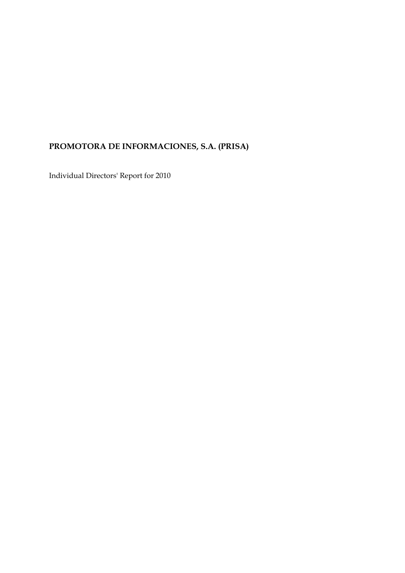# **PROMOTORA DE INFORMACIONES, S.A. (PRISA)**

Individual Directors' Report for 2010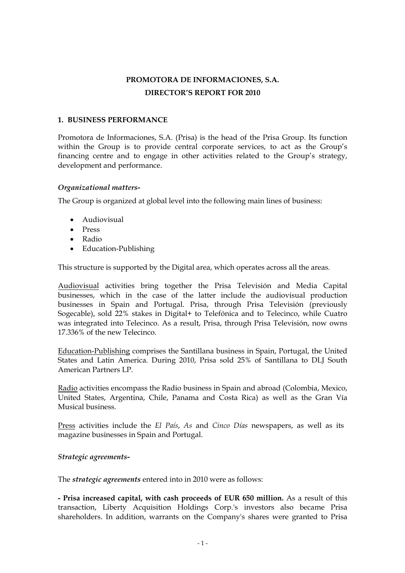## **PROMOTORA DE INFORMACIONES, S.A. DIRECTOR'S REPORT FOR 2010**

#### **1. BUSINESS PERFORMANCE**

Promotora de Informaciones, S.A. (Prisa) is the head of the Prisa Group. Its function within the Group is to provide central corporate services, to act as the Group's financing centre and to engage in other activities related to the Group's strategy, development and performance.

#### *Organizational matters-*

The Group is organized at global level into the following main lines of business:

- Audiovisual
- Press
- Radio
- Education-Publishing

This structure is supported by the Digital area, which operates across all the areas.

Audiovisual activities bring together the Prisa Televisión and Media Capital businesses, which in the case of the latter include the audiovisual production businesses in Spain and Portugal. Prisa, through Prisa Televisión (previously Sogecable), sold 22% stakes in Digital+ to Telefónica and to Telecinco, while Cuatro was integrated into Telecinco. As a result, Prisa, through Prisa Televisión, now owns 17.336% of the new Telecinco.

Education-Publishing comprises the Santillana business in Spain, Portugal, the United States and Latin America. During 2010, Prisa sold 25% of Santillana to DLJ South American Partners LP.

Radio activities encompass the Radio business in Spain and abroad (Colombia, Mexico, United States, Argentina, Chile, Panama and Costa Rica) as well as the Gran Vía Musical business.

Press activities include the *El País*, *As* and *Cinco Días* newspapers, as well as its magazine businesses in Spain and Portugal.

#### *Strategic agreements-*

The *strategic agreements* entered into in 2010 were as follows:

**- Prisa increased capital, with cash proceeds of EUR 650 million.** As a result of this transaction, Liberty Acquisition Holdings Corp.'s investors also became Prisa shareholders. In addition, warrants on the Company's shares were granted to Prisa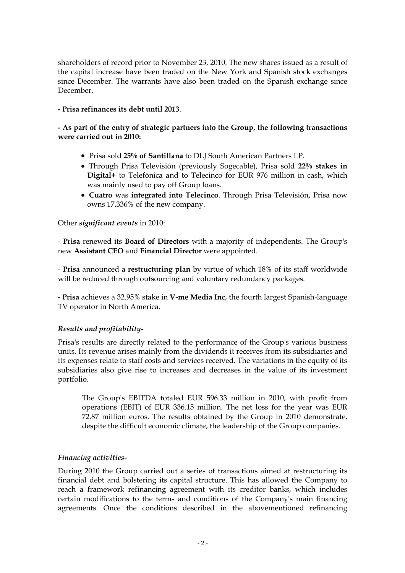shareholders of record prior to November 23, 2010. The new shares issued as a result of the capital increase have been traded on the New York and Spanish stock exchanges since December. The warrants have also been traded on the Spanish exchange since December.

#### **- Prisa refinances its debt until 2013**.

#### **- As part of the entry of strategic partners into the Group, the following transactions were carried out in 2010:**

- Prisa sold **25% of Santillana** to DLJ South American Partners LP.
- Through Prisa Televisión (previously Sogecable), Prisa sold **22% stakes in Digital+** to Telefónica and to Telecinco for EUR 976 million in cash, which was mainly used to pay off Group loans.
- **Cuatro** was **integrated into Telecinco**. Through Prisa Televisión, Prisa now owns 17.336% of the new company.

#### Other *significant events* in 2010:

- **Prisa** renewed its **Board of Directors** with a majority of independents. The Group's new **Assistant CEO** and **Financial Director** were appointed.

- **Prisa** announced a **restructuring plan** by virtue of which 18% of its staff worldwide will be reduced through outsourcing and voluntary redundancy packages.

**- Prisa** achieves a 32.95% stake in **V-me Media Inc**, the fourth largest Spanish-language TV operator in North America.

### *Results and profitability-*

Prisa's results are directly related to the performance of the Group's various business units. Its revenue arises mainly from the dividends it receives from its subsidiaries and its expenses relate to staff costs and services received. The variations in the equity of its subsidiaries also give rise to increases and decreases in the value of its investment portfolio.

The Group's EBITDA totaled EUR 596.33 million in 2010, with profit from operations (EBIT) of EUR 336.15 million. The net loss for the year was EUR 72.87 million euros. The results obtained by the Group in 2010 demonstrate, despite the difficult economic climate, the leadership of the Group companies.

#### *Financing activities-*

During 2010 the Group carried out a series of transactions aimed at restructuring its financial debt and bolstering its capital structure. This has allowed the Company to reach a framework refinancing agreement with its creditor banks, which includes certain modifications to the terms and conditions of the Company's main financing agreements. Once the conditions described in the abovementioned refinancing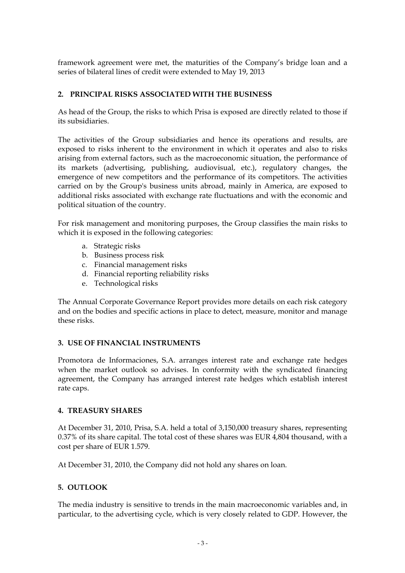framework agreement were met, the maturities of the Company's bridge loan and a series of bilateral lines of credit were extended to May 19, 2013

### **2. PRINCIPAL RISKS ASSOCIATED WITH THE BUSINESS**

As head of the Group, the risks to which Prisa is exposed are directly related to those if its subsidiaries.

The activities of the Group subsidiaries and hence its operations and results, are exposed to risks inherent to the environment in which it operates and also to risks arising from external factors, such as the macroeconomic situation, the performance of its markets (advertising, publishing, audiovisual, etc.), regulatory changes, the emergence of new competitors and the performance of its competitors. The activities carried on by the Group's business units abroad, mainly in America, are exposed to additional risks associated with exchange rate fluctuations and with the economic and political situation of the country.

For risk management and monitoring purposes, the Group classifies the main risks to which it is exposed in the following categories:

- a. Strategic risks
- b. Business process risk
- c. Financial management risks
- d. Financial reporting reliability risks
- e. Technological risks

The Annual Corporate Governance Report provides more details on each risk category and on the bodies and specific actions in place to detect, measure, monitor and manage these risks.

#### **3. USE OF FINANCIAL INSTRUMENTS**

Promotora de Informaciones, S.A. arranges interest rate and exchange rate hedges when the market outlook so advises. In conformity with the syndicated financing agreement, the Company has arranged interest rate hedges which establish interest rate caps.

#### **4. TREASURY SHARES**

At December 31, 2010, Prisa, S.A. held a total of 3,150,000 treasury shares, representing 0.37% of its share capital. The total cost of these shares was EUR 4,804 thousand, with a cost per share of EUR 1.579.

At December 31, 2010, the Company did not hold any shares on loan.

### **5. OUTLOOK**

The media industry is sensitive to trends in the main macroeconomic variables and, in particular, to the advertising cycle, which is very closely related to GDP. However, the